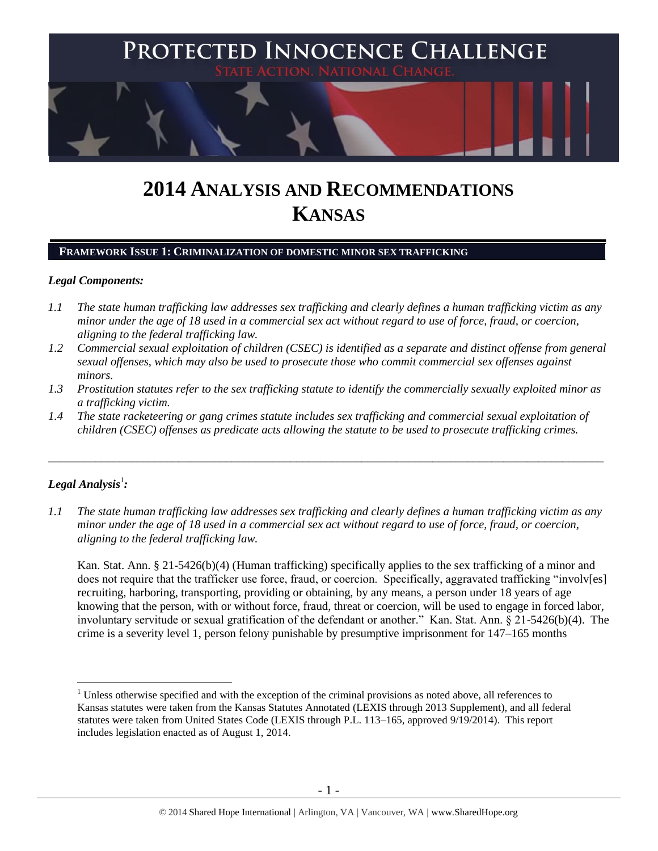

# **2014 ANALYSIS AND RECOMMENDATIONS KANSAS**

# **FRAMEWORK ISSUE 1: CRIMINALIZATION OF DOMESTIC MINOR SEX TRAFFICKING**

## *Legal Components:*

- *1.1 The state human trafficking law addresses sex trafficking and clearly defines a human trafficking victim as any minor under the age of 18 used in a commercial sex act without regard to use of force, fraud, or coercion, aligning to the federal trafficking law.*
- *1.2 Commercial sexual exploitation of children (CSEC) is identified as a separate and distinct offense from general sexual offenses, which may also be used to prosecute those who commit commercial sex offenses against minors.*
- *1.3 Prostitution statutes refer to the sex trafficking statute to identify the commercially sexually exploited minor as a trafficking victim.*
- *1.4 The state racketeering or gang crimes statute includes sex trafficking and commercial sexual exploitation of children (CSEC) offenses as predicate acts allowing the statute to be used to prosecute trafficking crimes.*

\_\_\_\_\_\_\_\_\_\_\_\_\_\_\_\_\_\_\_\_\_\_\_\_\_\_\_\_\_\_\_\_\_\_\_\_\_\_\_\_\_\_\_\_\_\_\_\_\_\_\_\_\_\_\_\_\_\_\_\_\_\_\_\_\_\_\_\_\_\_\_\_\_\_\_\_\_\_\_\_\_\_\_\_\_\_\_\_\_\_\_\_\_\_

# $\bm{L}$ egal Analysis $^1$ :

 $\overline{a}$ 

*1.1 The state human trafficking law addresses sex trafficking and clearly defines a human trafficking victim as any minor under the age of 18 used in a commercial sex act without regard to use of force, fraud, or coercion, aligning to the federal trafficking law.*

Kan. Stat. Ann. § 21-5426(b)(4) (Human trafficking) specifically applies to the sex trafficking of a minor and does not require that the trafficker use force, fraud, or coercion. Specifically, aggravated trafficking "involv[es] recruiting, harboring, transporting, providing or obtaining, by any means, a person under 18 years of age knowing that the person, with or without force, fraud, threat or coercion, will be used to engage in forced labor, involuntary servitude or sexual gratification of the defendant or another." Kan. Stat. Ann. § 21-5426(b)(4). The crime is a severity level 1, person felony punishable by presumptive imprisonment for 147–165 months

<sup>&</sup>lt;sup>1</sup> Unless otherwise specified and with the exception of the criminal provisions as noted above, all references to Kansas statutes were taken from the Kansas Statutes Annotated (LEXIS through 2013 Supplement), and all federal statutes were taken from United States Code (LEXIS through P.L. 113–165, approved 9/19/2014). This report includes legislation enacted as of August 1, 2014.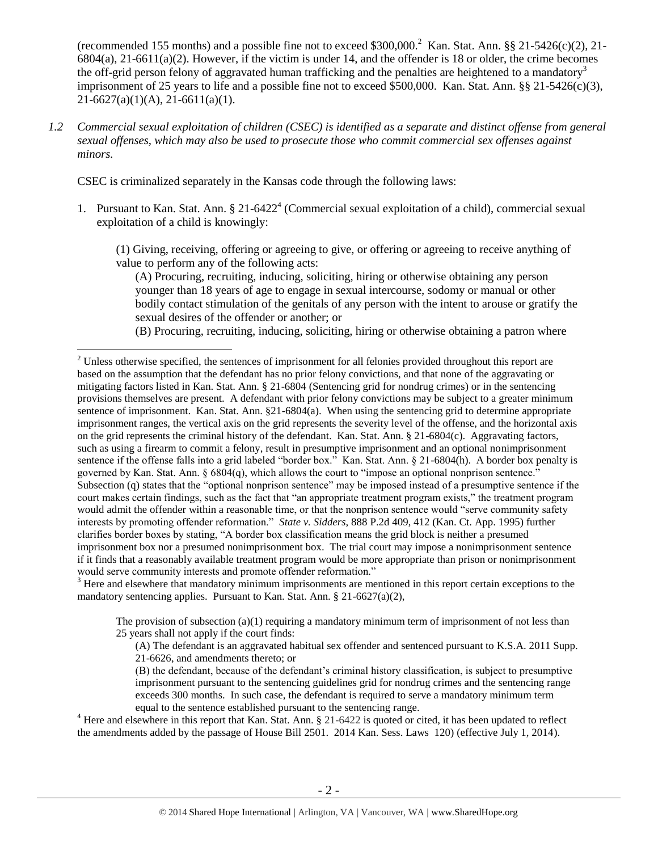(recommended 155 months) and a possible fine not to exceed \$300,000.<sup>2</sup> Kan. Stat. Ann. §§ 21-5426(c)(2), 21-6804(a), 21-6611(a)(2). However, if the victim is under 14, and the offender is 18 or older, the crime becomes the off-grid person felony of aggravated human trafficking and the penalties are heightened to a mandatory<sup>3</sup> imprisonment of 25 years to life and a possible fine not to exceed \$500,000. Kan. Stat. Ann. §§ 21-5426(c)(3), 21-6627(a)(1)(A), 21-6611(a)(1).

*1.2 Commercial sexual exploitation of children (CSEC) is identified as a separate and distinct offense from general sexual offenses, which may also be used to prosecute those who commit commercial sex offenses against minors.*

CSEC is criminalized separately in the Kansas code through the following laws:

 $\overline{a}$ 

1. Pursuant to Kan. Stat. Ann. § 21-6422<sup>4</sup> (Commercial sexual exploitation of a child), commercial sexual exploitation of a child is knowingly:

(1) Giving, receiving, offering or agreeing to give, or offering or agreeing to receive anything of value to perform any of the following acts:

<span id="page-1-1"></span><span id="page-1-0"></span>(A) Procuring, recruiting, inducing, soliciting, hiring or otherwise obtaining any person younger than 18 years of age to engage in sexual intercourse, sodomy or manual or other bodily contact stimulation of the genitals of any person with the intent to arouse or gratify the sexual desires of the offender or another; or

(B) Procuring, recruiting, inducing, soliciting, hiring or otherwise obtaining a patron where

<sup>3</sup> Here and elsewhere that mandatory minimum imprisonments are mentioned in this report certain exceptions to the mandatory sentencing applies. Pursuant to Kan. Stat. Ann. § 21-6627(a)(2),

The provision of subsection  $(a)(1)$  requiring a mandatory minimum term of imprisonment of not less than 25 years shall not apply if the court finds:

(A) The defendant is an aggravated habitual sex offender and sentenced pursuant to K.S.A. 2011 Supp. 21-6626, and amendments thereto; or

(B) the defendant, because of the defendant's criminal history classification, is subject to presumptive imprisonment pursuant to the sentencing guidelines grid for nondrug crimes and the sentencing range exceeds 300 months. In such case, the defendant is required to serve a mandatory minimum term equal to the sentence established pursuant to the sentencing range.

<sup>4</sup> Here and elsewhere in this report that Kan. Stat. Ann. § 21-6422 is quoted or cited, it has been updated to reflect the amendments added by the passage of House Bill 2501. 2014 Kan. Sess. Laws 120) (effective July 1, 2014).

<sup>&</sup>lt;sup>2</sup> Unless otherwise specified, the sentences of imprisonment for all felonies provided throughout this report are based on the assumption that the defendant has no prior felony convictions, and that none of the aggravating or mitigating factors listed in Kan. Stat. Ann. § 21-6804 (Sentencing grid for nondrug crimes) or in the sentencing provisions themselves are present. A defendant with prior felony convictions may be subject to a greater minimum sentence of imprisonment. Kan. Stat. Ann. §21-6804(a). When using the sentencing grid to determine appropriate imprisonment ranges, the vertical axis on the grid represents the severity level of the offense, and the horizontal axis on the grid represents the criminal history of the defendant. Kan. Stat. Ann.  $\S$  21-6804(c). Aggravating factors, such as using a firearm to commit a felony, result in presumptive imprisonment and an optional nonimprisonment sentence if the offense falls into a grid labeled "border box." Kan. Stat. Ann. § 21-6804(h). A border box penalty is governed by Kan. Stat. Ann. § 6804(q), which allows the court to "impose an optional nonprison sentence." Subsection (q) states that the "optional nonprison sentence" may be imposed instead of a presumptive sentence if the court makes certain findings, such as the fact that "an appropriate treatment program exists," the treatment program would admit the offender within a reasonable time, or that the nonprison sentence would "serve community safety interests by promoting offender reformation." *State v. Sidders*, 888 P.2d 409, 412 (Kan. Ct. App. 1995) further clarifies border boxes by stating, "A border box classification means the grid block is neither a presumed imprisonment box nor a presumed nonimprisonment box. The trial court may impose a nonimprisonment sentence if it finds that a reasonably available treatment program would be more appropriate than prison or nonimprisonment would serve community interests and promote offender reformation."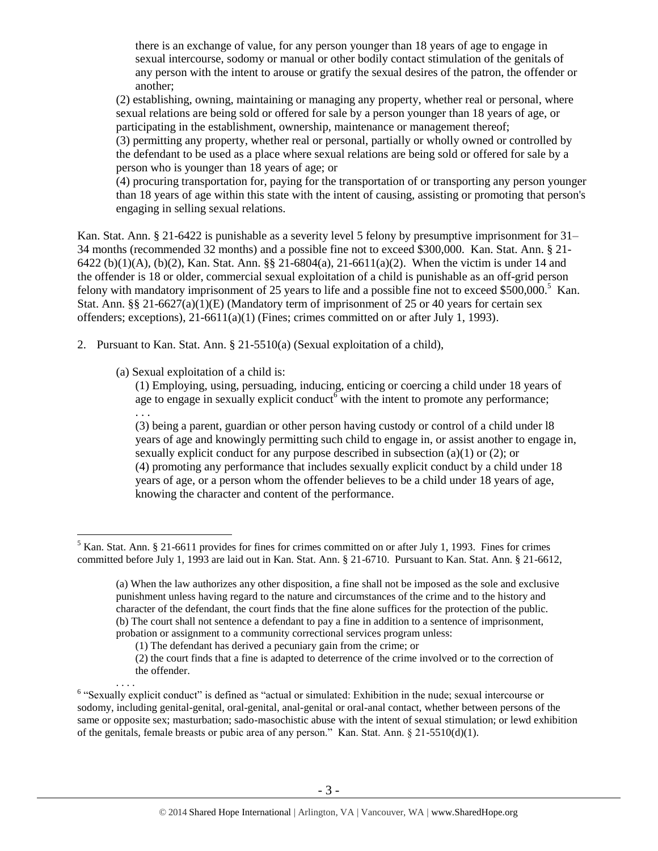there is an exchange of value, for any person younger than 18 years of age to engage in sexual intercourse, sodomy or manual or other bodily contact stimulation of the genitals of any person with the intent to arouse or gratify the sexual desires of the patron, the offender or another;

(2) establishing, owning, maintaining or managing any property, whether real or personal, where sexual relations are being sold or offered for sale by a person younger than 18 years of age, or participating in the establishment, ownership, maintenance or management thereof;

(3) permitting any property, whether real or personal, partially or wholly owned or controlled by the defendant to be used as a place where sexual relations are being sold or offered for sale by a person who is younger than 18 years of age; or

(4) procuring transportation for, paying for the transportation of or transporting any person younger than 18 years of age within this state with the intent of causing, assisting or promoting that person's engaging in selling sexual relations.

Kan. Stat. Ann. § 21-6422 is punishable as a severity level 5 felony by presumptive imprisonment for 31– 34 months (recommended 32 months) and a possible fine not to exceed \$300,000. Kan. Stat. Ann. § 21- 6422 (b)(1)(A), (b)(2), Kan. Stat. Ann. §§ 21-6804(a), 21-6611(a)(2). When the victim is under 14 and the offender is 18 or older, commercial sexual exploitation of a child is punishable as an off-grid person felony with mandatory imprisonment of 25 years to life and a possible fine not to exceed \$500,000.<sup>5</sup> Kan. Stat. Ann. §§ 21-6627(a)(1)(E) (Mandatory term of imprisonment of 25 or 40 years for certain sex offenders; exceptions),  $21-6611(a)(1)$  (Fines; crimes committed on or after July 1, 1993).

- 2. Pursuant to Kan. Stat. Ann. § 21-5510(a) (Sexual exploitation of a child),
	- (a) Sexual exploitation of a child is:

<span id="page-2-0"></span>. . .

. . . .

(1) Employing, using, persuading, inducing, enticing or coercing a child under 18 years of age to engage in sexually explicit conduct with the intent to promote any performance;

(3) being a parent, guardian or other person having custody or control of a child under l8 years of age and knowingly permitting such child to engage in, or assist another to engage in, sexually explicit conduct for any purpose described in subsection (a)(1) or (2); or (4) promoting any performance that includes sexually explicit conduct by a child under 18 years of age, or a person whom the offender believes to be a child under 18 years of age, knowing the character and content of the performance.

 $\overline{a}$ <sup>5</sup> Kan. Stat. Ann. § 21-6611 provides for fines for crimes committed on or after July 1, 1993. Fines for crimes committed before July 1, 1993 are laid out in Kan. Stat. Ann. § 21-6710. Pursuant to Kan. Stat. Ann. § 21-6612,

<sup>(</sup>a) When the law authorizes any other disposition, a fine shall not be imposed as the sole and exclusive punishment unless having regard to the nature and circumstances of the crime and to the history and character of the defendant, the court finds that the fine alone suffices for the protection of the public. (b) The court shall not sentence a defendant to pay a fine in addition to a sentence of imprisonment, probation or assignment to a community correctional services program unless:

<sup>(1)</sup> The defendant has derived a pecuniary gain from the crime; or

<sup>(2)</sup> the court finds that a fine is adapted to deterrence of the crime involved or to the correction of the offender.

<sup>&</sup>lt;sup>6</sup> "Sexually explicit conduct" is defined as "actual or simulated: Exhibition in the nude; sexual intercourse or sodomy, including genital-genital, oral-genital, anal-genital or oral-anal contact, whether between persons of the same or opposite sex; masturbation; sado-masochistic abuse with the intent of sexual stimulation; or lewd exhibition of the genitals, female breasts or pubic area of any person." Kan. Stat. Ann. § 21-5510(d)(1).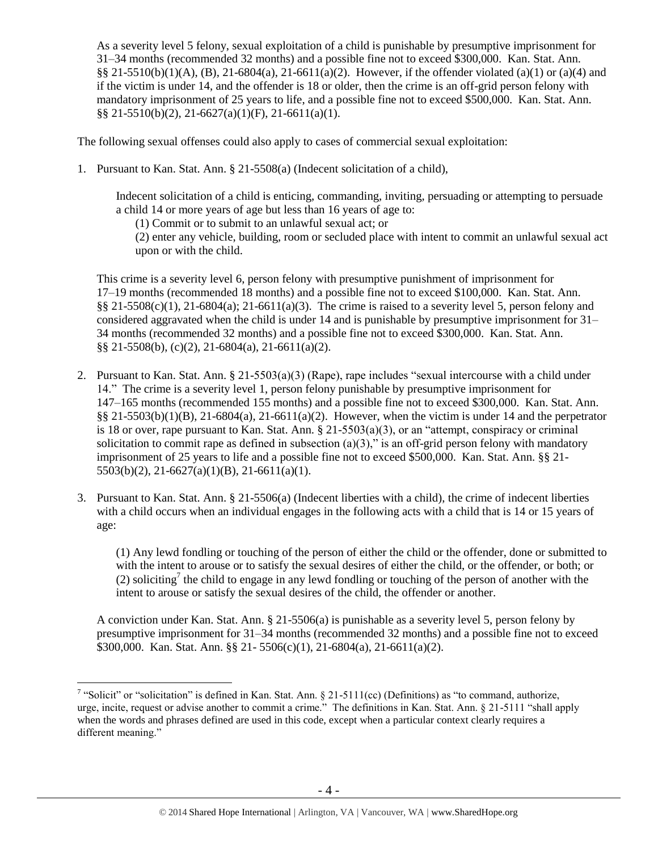As a severity level 5 felony, sexual exploitation of a child is punishable by presumptive imprisonment for 31–34 months (recommended 32 months) and a possible fine not to exceed \$300,000. Kan. Stat. Ann. §§ 21-5510(b)(1)(A), (B), 21-6804(a), 21-6611(a)(2). However, if the offender violated (a)(1) or (a)(4) and if the victim is under 14, and the offender is 18 or older, then the crime is an off-grid person felony with mandatory imprisonment of 25 years to life, and a possible fine not to exceed \$500,000. Kan. Stat. Ann. §§ 21-5510(b)(2), 21-6627(a)(1)(F), 21-6611(a)(1).

The following sexual offenses could also apply to cases of commercial sexual exploitation:

1. Pursuant to Kan. Stat. Ann. § 21-5508(a) (Indecent solicitation of a child),

Indecent solicitation of a child is enticing, commanding, inviting, persuading or attempting to persuade a child 14 or more years of age but less than 16 years of age to:

(1) Commit or to submit to an unlawful sexual act; or

(2) enter any vehicle, building, room or secluded place with intent to commit an unlawful sexual act upon or with the child.

This crime is a severity level 6, person felony with presumptive punishment of imprisonment for 17–19 months (recommended 18 months) and a possible fine not to exceed \$100,000. Kan. Stat. Ann.  $\S$ § 21-5508(c)(1), 21-6804(a); 21-6611(a)(3). The crime is raised to a severity level 5, person felony and considered aggravated when the child is under 14 and is punishable by presumptive imprisonment for 31– 34 months (recommended 32 months) and a possible fine not to exceed \$300,000. Kan. Stat. Ann. §§ 21-5508(b), (c)(2), 21-6804(a), 21-6611(a)(2).

- 2. Pursuant to Kan. Stat. Ann. § 21-5503(a)(3) (Rape), rape includes "sexual intercourse with a child under 14." The crime is a severity level 1, person felony punishable by presumptive imprisonment for 147–165 months (recommended 155 months) and a possible fine not to exceed \$300,000. Kan. Stat. Ann.  $\S$ § 21-5503(b)(1)(B), 21-6804(a), 21-6611(a)(2). However, when the victim is under 14 and the perpetrator is 18 or over, rape pursuant to Kan. Stat. Ann. § 21-5503(a)(3), or an "attempt, conspiracy or criminal solicitation to commit rape as defined in subsection  $(a)(3)$ ," is an off-grid person felony with mandatory imprisonment of 25 years to life and a possible fine not to exceed \$500,000. Kan. Stat. Ann. §§ 21- 5503(b)(2), 21-6627(a)(1)(B), 21-6611(a)(1).
- 3. Pursuant to Kan. Stat. Ann. § 21-5506(a) (Indecent liberties with a child), the crime of indecent liberties with a child occurs when an individual engages in the following acts with a child that is 14 or 15 years of age:

<span id="page-3-0"></span>(1) Any lewd fondling or touching of the person of either the child or the offender, done or submitted to with the intent to arouse or to satisfy the sexual desires of either the child, or the offender, or both; or (2) soliciting<sup>7</sup> the child to engage in any lewd fondling or touching of the person of another with the intent to arouse or satisfy the sexual desires of the child, the offender or another.

A conviction under Kan. Stat. Ann. § 21-5506(a) is punishable as a severity level 5, person felony by presumptive imprisonment for 31–34 months (recommended 32 months) and a possible fine not to exceed \$300,000. Kan. Stat. Ann. §§ 21- 5506(c)(1), 21-6804(a), 21-6611(a)(2).

<sup>&</sup>lt;sup>7</sup> "Solicit" or "solicitation" is defined in Kan. Stat. Ann. § 21-5111(cc) (Definitions) as "to command, authorize, urge, incite, request or advise another to commit a crime." The definitions in Kan. Stat. Ann. § 21-5111 "shall apply when the words and phrases defined are used in this code, except when a particular context clearly requires a different meaning."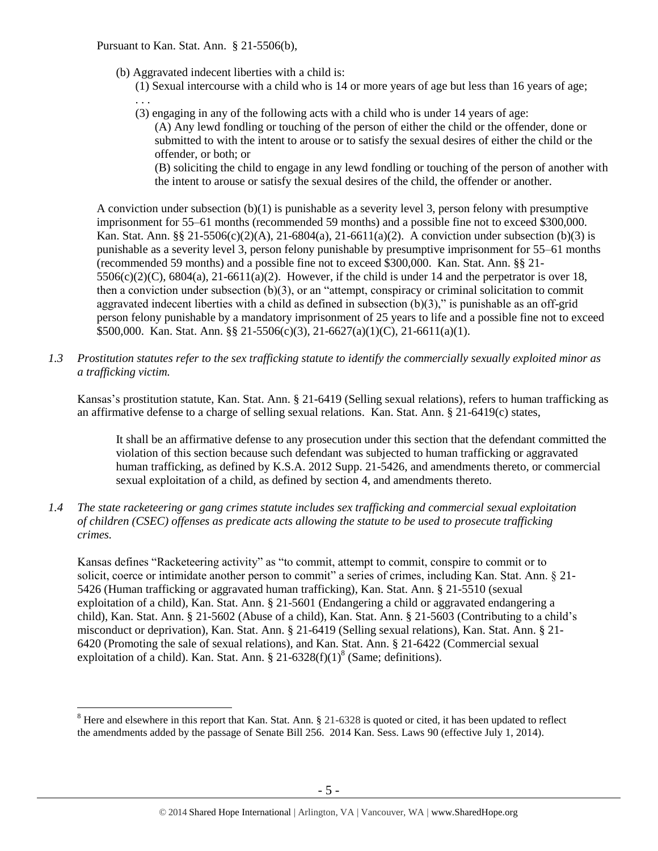Pursuant to Kan. Stat. Ann. § 21-5506(b),

- (b) Aggravated indecent liberties with a child is:
	- (1) Sexual intercourse with a child who is 14 or more years of age but less than 16 years of age; . . .
	- (3) engaging in any of the following acts with a child who is under 14 years of age:
		- (A) Any lewd fondling or touching of the person of either the child or the offender, done or submitted to with the intent to arouse or to satisfy the sexual desires of either the child or the offender, or both; or

(B) soliciting the child to engage in any lewd fondling or touching of the person of another with the intent to arouse or satisfy the sexual desires of the child, the offender or another.

A conviction under subsection (b)(1) is punishable as a severity level 3, person felony with presumptive imprisonment for 55–61 months (recommended 59 months) and a possible fine not to exceed \$300,000. Kan. Stat. Ann. §§ 21-5506(c)(2)(A), 21-6804(a), 21-6611(a)(2). A conviction under subsection (b)(3) is punishable as a severity level 3, person felony punishable by presumptive imprisonment for 55–61 months (recommended 59 months) and a possible fine not to exceed \$300,000. Kan. Stat. Ann. §§ 21-  $5506(c)(2)(C)$ ,  $6804(a)$ ,  $21-6611(a)(2)$ . However, if the child is under 14 and the perpetrator is over 18, then a conviction under subsection (b)(3), or an "attempt, conspiracy or criminal solicitation to commit aggravated indecent liberties with a child as defined in subsection  $(b)(3)$ ," is punishable as an off-grid person felony punishable by a mandatory imprisonment of 25 years to life and a possible fine not to exceed \$500,000. Kan. Stat. Ann. §§ 21-5506(c)(3), 21-6627(a)(1)(C), 21-6611(a)(1).

*1.3 Prostitution statutes refer to the sex trafficking statute to identify the commercially sexually exploited minor as a trafficking victim.* 

Kansas's prostitution statute, Kan. Stat. Ann. § 21-6419 (Selling sexual relations), refers to human trafficking as an affirmative defense to a charge of selling sexual relations. Kan. Stat. Ann. § 21-6419(c) states,

It shall be an affirmative defense to any prosecution under this section that the defendant committed the violation of this section because such defendant was subjected to human trafficking or aggravated human trafficking, as defined by K.S.A. 2012 Supp. 21-5426, and amendments thereto, or commercial sexual exploitation of a child, as defined by section 4, and amendments thereto.

*1.4 The state racketeering or gang crimes statute includes sex trafficking and commercial sexual exploitation of children (CSEC) offenses as predicate acts allowing the statute to be used to prosecute trafficking crimes.* 

Kansas defines "Racketeering activity" as "to commit, attempt to commit, conspire to commit or to solicit, coerce or intimidate another person to commit" a series of crimes, including Kan. Stat. Ann. § 21- 5426 (Human trafficking or aggravated human trafficking), Kan. Stat. Ann. § 21-5510 (sexual exploitation of a child), Kan. Stat. Ann. § 21-5601 (Endangering a child or aggravated endangering a child), Kan. Stat. Ann. § 21-5602 (Abuse of a child), Kan. Stat. Ann. § 21-5603 (Contributing to a child's misconduct or deprivation), Kan. Stat. Ann. § 21-6419 (Selling sexual relations), Kan. Stat. Ann. § 21- 6420 (Promoting the sale of sexual relations), and Kan. Stat. Ann. § 21-6422 (Commercial sexual exploitation of a child). Kan. Stat. Ann.  $\S 21-6328(f)(1)^8$  (Same; definitions).

 $8$  Here and elsewhere in this report that Kan. Stat. Ann.  $\S$  21-6328 is quoted or cited, it has been updated to reflect the amendments added by the passage of Senate Bill 256. 2014 Kan. Sess. Laws 90 (effective July 1, 2014).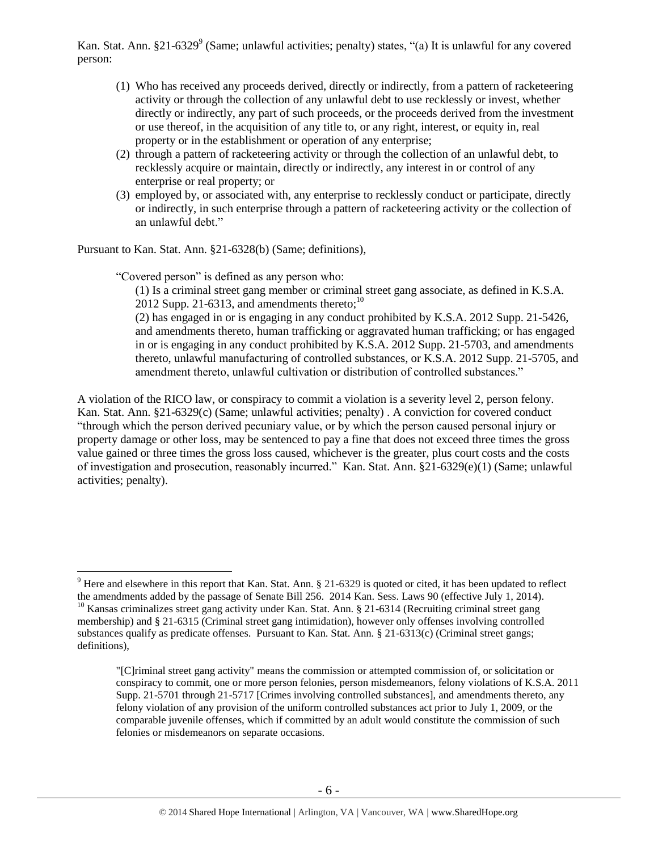Kan. Stat. Ann. §21-6329<sup>9</sup> (Same; unlawful activities; penalty) states, "(a) It is unlawful for any covered person:

- (1) Who has received any proceeds derived, directly or indirectly, from a pattern of racketeering activity or through the collection of any unlawful debt to use recklessly or invest, whether directly or indirectly, any part of such proceeds, or the proceeds derived from the investment or use thereof, in the acquisition of any title to, or any right, interest, or equity in, real property or in the establishment or operation of any enterprise;
- (2) through a pattern of racketeering activity or through the collection of an unlawful debt, to recklessly acquire or maintain, directly or indirectly, any interest in or control of any enterprise or real property; or
- (3) employed by, or associated with, any enterprise to recklessly conduct or participate, directly or indirectly, in such enterprise through a pattern of racketeering activity or the collection of an unlawful debt."

Pursuant to Kan. Stat. Ann. §21-6328(b) (Same; definitions),

"Covered person" is defined as any person who:

 $\overline{a}$ 

(1) Is a criminal street gang member or criminal street gang associate, as defined in K.S.A. 2012 Supp. 21-6313, and amendments thereto: $^{10}$ 

(2) has engaged in or is engaging in any conduct prohibited by K.S.A. 2012 Supp. 21-5426, and amendments thereto, human trafficking or aggravated human trafficking; or has engaged in or is engaging in any conduct prohibited by K.S.A. 2012 Supp. 21-5703, and amendments thereto, unlawful manufacturing of controlled substances, or K.S.A. 2012 Supp. 21-5705, and amendment thereto, unlawful cultivation or distribution of controlled substances."

A violation of the RICO law, or conspiracy to commit a violation is a severity level 2, person felony. Kan. Stat. Ann. §21-6329(c) (Same; unlawful activities; penalty) . A conviction for covered conduct "through which the person derived pecuniary value, or by which the person caused personal injury or property damage or other loss, may be sentenced to pay a fine that does not exceed three times the gross value gained or three times the gross loss caused, whichever is the greater, plus court costs and the costs of investigation and prosecution, reasonably incurred." Kan. Stat. Ann. §21-6329(e)(1) (Same; unlawful activities; penalty).

 $9$  Here and elsewhere in this report that Kan. Stat. Ann. § 21-6329 is quoted or cited, it has been updated to reflect the amendments added by the passage of Senate Bill 256. 2014 Kan. Sess. Laws 90 (effective July 1, 2014). <sup>10</sup> Kansas criminalizes street gang activity under Kan. Stat. Ann. § 21-6314 (Recruiting criminal street gang membership) and § 21-6315 (Criminal street gang intimidation), however only offenses involving controlled substances qualify as predicate offenses. Pursuant to Kan. Stat. Ann. § 21-6313(c) (Criminal street gangs; definitions),

<sup>&</sup>quot;[C]riminal street gang activity" means the commission or attempted commission of, or solicitation or conspiracy to commit, one or more person felonies, person misdemeanors, felony violations of K.S.A. 2011 Supp. 21-5701 through 21-5717 [Crimes involving controlled substances], and amendments thereto, any felony violation of any provision of the uniform controlled substances act prior to July 1, 2009, or the comparable juvenile offenses, which if committed by an adult would constitute the commission of such felonies or misdemeanors on separate occasions.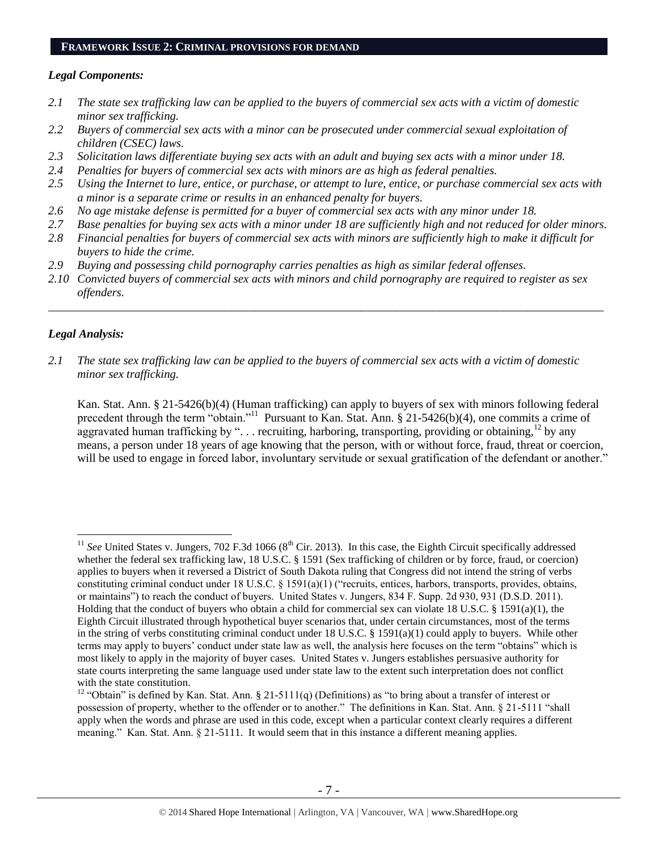#### **FRAMEWORK ISSUE 2: CRIMINAL PROVISIONS FOR DEMAND**

#### *Legal Components:*

- *2.1 The state sex trafficking law can be applied to the buyers of commercial sex acts with a victim of domestic minor sex trafficking.*
- *2.2 Buyers of commercial sex acts with a minor can be prosecuted under commercial sexual exploitation of children (CSEC) laws.*
- *2.3 Solicitation laws differentiate buying sex acts with an adult and buying sex acts with a minor under 18.*
- *2.4 Penalties for buyers of commercial sex acts with minors are as high as federal penalties.*
- *2.5 Using the Internet to lure, entice, or purchase, or attempt to lure, entice, or purchase commercial sex acts with a minor is a separate crime or results in an enhanced penalty for buyers.*
- *2.6 No age mistake defense is permitted for a buyer of commercial sex acts with any minor under 18.*
- *2.7 Base penalties for buying sex acts with a minor under 18 are sufficiently high and not reduced for older minors.*
- *2.8 Financial penalties for buyers of commercial sex acts with minors are sufficiently high to make it difficult for buyers to hide the crime.*
- *2.9 Buying and possessing child pornography carries penalties as high as similar federal offenses.*
- *2.10 Convicted buyers of commercial sex acts with minors and child pornography are required to register as sex offenders.*

\_\_\_\_\_\_\_\_\_\_\_\_\_\_\_\_\_\_\_\_\_\_\_\_\_\_\_\_\_\_\_\_\_\_\_\_\_\_\_\_\_\_\_\_\_\_\_\_\_\_\_\_\_\_\_\_\_\_\_\_\_\_\_\_\_\_\_\_\_\_\_\_\_\_\_\_\_\_\_\_\_\_\_\_\_\_\_\_\_\_\_\_\_\_

#### *Legal Analysis:*

 $\overline{a}$ 

*2.1 The state sex trafficking law can be applied to the buyers of commercial sex acts with a victim of domestic minor sex trafficking.*

Kan. Stat. Ann. § 21-5426(b)(4) (Human trafficking) can apply to buyers of sex with minors following federal precedent through the term "obtain."<sup>11</sup> Pursuant to Kan. Stat. Ann. § 21-5426(b)(4), one commits a crime of aggravated human trafficking by "... recruiting, harboring, transporting, providing or obtaining,<sup>12</sup> by any means, a person under 18 years of age knowing that the person, with or without force, fraud, threat or coercion, will be used to engage in forced labor, involuntary servitude or sexual gratification of the defendant or another."

 $11$  *See* United States v. Jungers, 702 F.3d 1066 ( $8<sup>th</sup>$  Cir. 2013). In this case, the Eighth Circuit specifically addressed whether the federal sex trafficking law, 18 U.S.C. § 1591 (Sex trafficking of children or by force, fraud, or coercion) applies to buyers when it reversed a District of South Dakota ruling that Congress did not intend the string of verbs constituting criminal conduct under 18 U.S.C. § 1591(a)(1) ("recruits, entices, harbors, transports, provides, obtains, or maintains") to reach the conduct of buyers. United States v. Jungers, 834 F. Supp. 2d 930, 931 (D.S.D. 2011). Holding that the conduct of buyers who obtain a child for commercial sex can violate 18 U.S.C. § 1591(a)(1), the Eighth Circuit illustrated through hypothetical buyer scenarios that, under certain circumstances, most of the terms in the string of verbs constituting criminal conduct under 18 U.S.C. § 1591(a)(1) could apply to buyers. While other terms may apply to buyers' conduct under state law as well, the analysis here focuses on the term "obtains" which is most likely to apply in the majority of buyer cases. United States v. Jungers establishes persuasive authority for state courts interpreting the same language used under state law to the extent such interpretation does not conflict with the state constitution.

<sup>&</sup>lt;sup>12</sup> "Obtain" is defined by Kan. Stat. Ann. § 21-5111(q) (Definitions) as "to bring about a transfer of interest or possession of property, whether to the offender or to another." The definitions in Kan. Stat. Ann. § 21-5111 "shall apply when the words and phrase are used in this code, except when a particular context clearly requires a different meaning." Kan. Stat. Ann. § 21-5111. It would seem that in this instance a different meaning applies.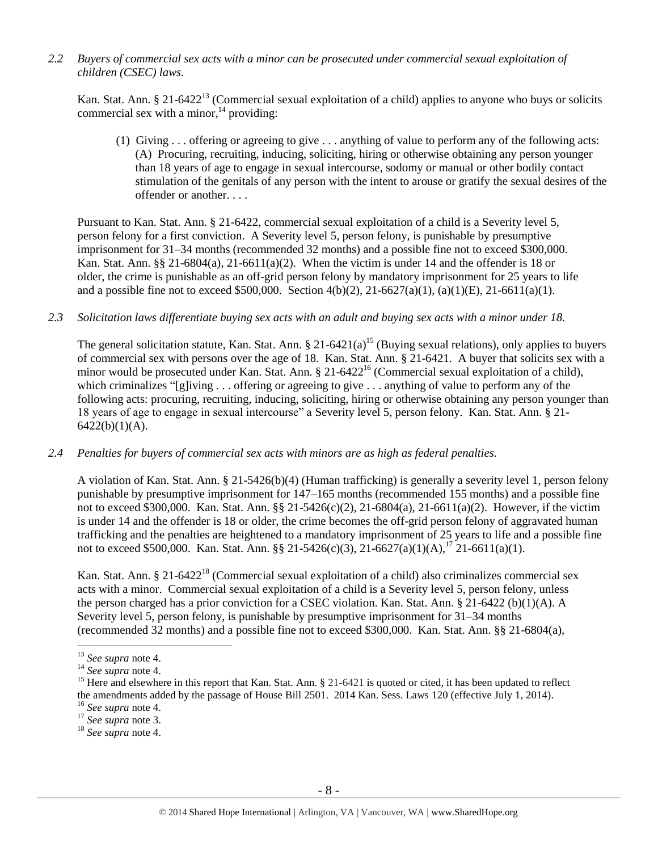*2.2 Buyers of commercial sex acts with a minor can be prosecuted under commercial sexual exploitation of children (CSEC) laws.*

Kan. Stat. Ann. § 21-6422<sup>13</sup> (Commercial sexual exploitation of a child) applies to anyone who buys or solicits commercial sex with a minor,  $14$  providing:

(1) Giving . . . offering or agreeing to give . . . anything of value to perform any of the following acts: (A) Procuring, recruiting, inducing, soliciting, hiring or otherwise obtaining any person younger than 18 years of age to engage in sexual intercourse, sodomy or manual or other bodily contact stimulation of the genitals of any person with the intent to arouse or gratify the sexual desires of the offender or another. . . .

Pursuant to Kan. Stat. Ann. § 21-6422, commercial sexual exploitation of a child is a Severity level 5, person felony for a first conviction. A Severity level 5, person felony, is punishable by presumptive imprisonment for 31–34 months (recommended 32 months) and a possible fine not to exceed \$300,000. Kan. Stat. Ann. §§ 21-6804(a), 21-6611(a)(2). When the victim is under 14 and the offender is 18 or older, the crime is punishable as an off-grid person felony by mandatory imprisonment for 25 years to life and a possible fine not to exceed \$500,000. Section 4(b)(2), 21-6627(a)(1), (a)(1)(E), 21-6611(a)(1).

*2.3 Solicitation laws differentiate buying sex acts with an adult and buying sex acts with a minor under 18.*

The general solicitation statute, Kan. Stat. Ann. § 21-6421(a)<sup>15</sup> (Buying sexual relations), only applies to buyers of commercial sex with persons over the age of 18. Kan. Stat. Ann. § 21-6421. A buyer that solicits sex with a minor would be prosecuted under Kan. Stat. Ann. § 21-6422<sup>16</sup> (Commercial sexual exploitation of a child), which criminalizes "[g]iving . . . offering or agreeing to give . . . anything of value to perform any of the following acts: procuring, recruiting, inducing, soliciting, hiring or otherwise obtaining any person younger than 18 years of age to engage in sexual intercourse" a Severity level 5, person felony. Kan. Stat. Ann. § 21-  $6422(b)(1)(A)$ .

*2.4 Penalties for buyers of commercial sex acts with minors are as high as federal penalties.*

A violation of Kan. Stat. Ann. § 21-5426(b)(4) (Human trafficking) is generally a severity level 1, person felony punishable by presumptive imprisonment for 147–165 months (recommended 155 months) and a possible fine not to exceed \$300,000. Kan. Stat. Ann. §§ 21-5426(c)(2), 21-6804(a), 21-6611(a)(2). However, if the victim is under 14 and the offender is 18 or older, the crime becomes the off-grid person felony of aggravated human trafficking and the penalties are heightened to a mandatory imprisonment of 25 years to life and a possible fine not to exceed \$500,000. Kan. Stat. Ann. §§ 21-5426(c)(3), 21-6627(a)(1)(A),<sup>17</sup> 21-6611(a)(1).

Kan. Stat. Ann. § 21-6422<sup>18</sup> (Commercial sexual exploitation of a child) also criminalizes commercial sex acts with a minor. Commercial sexual exploitation of a child is a Severity level 5, person felony, unless the person charged has a prior conviction for a CSEC violation. Kan. Stat. Ann. § 21-6422 (b)(1)(A). A Severity level 5, person felony, is punishable by presumptive imprisonment for 31–34 months (recommended 32 months) and a possible fine not to exceed \$300,000. Kan. Stat. Ann. §§ 21-6804(a),

<sup>13</sup> *See supra* note [4.](#page-1-0)

<sup>14</sup> *See supra* note [4.](#page-1-0)

<sup>&</sup>lt;sup>15</sup> Here and elsewhere in this report that Kan. Stat. Ann.  $\S 21-6421$  is quoted or cited, it has been updated to reflect the amendments added by the passage of House Bill 2501. 2014 Kan. Sess. Laws 120 (effective July 1, 2014).

<sup>16</sup> *See supra* note [4.](#page-1-0)

<sup>17</sup> *See supra* note [3.](#page-1-1)

<sup>18</sup> *See supra* note [4.](#page-1-0)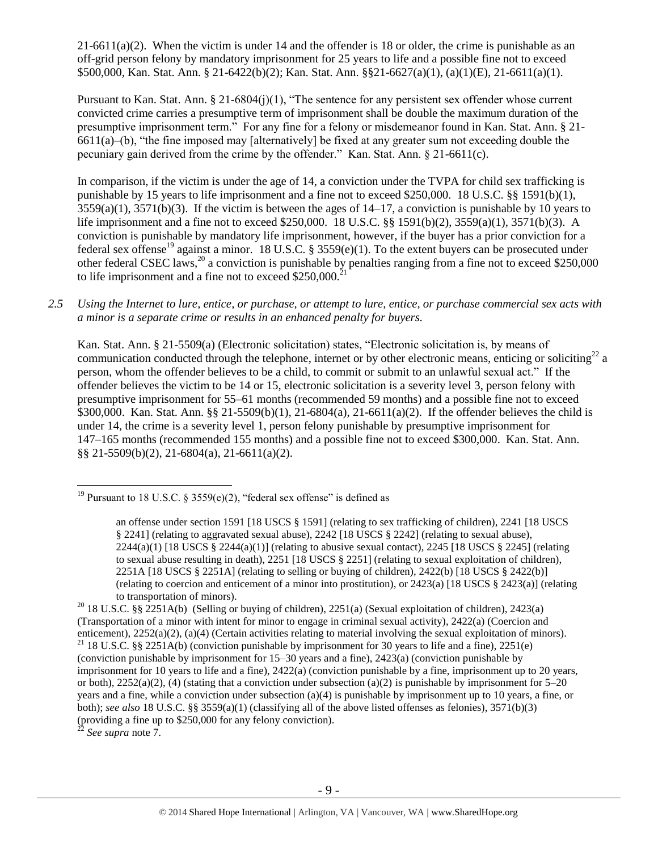$21-6611(a)(2)$ . When the victim is under 14 and the offender is 18 or older, the crime is punishable as an off-grid person felony by mandatory imprisonment for 25 years to life and a possible fine not to exceed \$500,000, Kan. Stat. Ann. § 21-6422(b)(2); Kan. Stat. Ann. §§21-6627(a)(1), (a)(1)(E), 21-6611(a)(1).

Pursuant to Kan. Stat. Ann. § 21-6804(j)(1), "The sentence for any persistent sex offender whose current convicted crime carries a presumptive term of imprisonment shall be double the maximum duration of the presumptive imprisonment term." For any fine for a felony or misdemeanor found in Kan. Stat. Ann. § 21- 6611(a)–(b), "the fine imposed may [alternatively] be fixed at any greater sum not exceeding double the pecuniary gain derived from the crime by the offender." Kan. Stat. Ann. § 21-6611(c).

<span id="page-8-0"></span>In comparison, if the victim is under the age of 14, a conviction under the TVPA for child sex trafficking is punishable by 15 years to life imprisonment and a fine not to exceed \$250,000. 18 U.S.C. §§ 1591(b)(1),  $3559(a)(1)$ ,  $3571(b)(3)$ . If the victim is between the ages of  $14-17$ , a conviction is punishable by 10 years to life imprisonment and a fine not to exceed \$250,000. 18 U.S.C. §§ 1591(b)(2), 3559(a)(1), 3571(b)(3). A conviction is punishable by mandatory life imprisonment, however, if the buyer has a prior conviction for a federal sex offense<sup>19</sup> against a minor. 18 U.S.C. § 3559(e)(1). To the extent buyers can be prosecuted under other federal CSEC laws,<sup>20</sup> a conviction is punishable by penalties ranging from a fine not to exceed \$250,000 to life imprisonment and a fine not to exceed  $$250,000.<sup>21</sup>$ 

*2.5 Using the Internet to lure, entice, or purchase, or attempt to lure, entice, or purchase commercial sex acts with a minor is a separate crime or results in an enhanced penalty for buyers.*

Kan. Stat. Ann. § 21-5509(a) (Electronic solicitation) states, "Electronic solicitation is, by means of communication conducted through the telephone, internet or by other electronic means, enticing or soliciting<sup>22</sup> a person, whom the offender believes to be a child, to commit or submit to an unlawful sexual act." If the offender believes the victim to be 14 or 15, electronic solicitation is a severity level 3, person felony with presumptive imprisonment for 55–61 months (recommended 59 months) and a possible fine not to exceed \$300,000. Kan. Stat. Ann. §§ 21-5509(b)(1), 21-6804(a), 21-6611(a)(2). If the offender believes the child is under 14, the crime is a severity level 1, person felony punishable by presumptive imprisonment for 147–165 months (recommended 155 months) and a possible fine not to exceed \$300,000. Kan. Stat. Ann. §§ 21-5509(b)(2), 21-6804(a), 21-6611(a)(2).

<sup>22</sup> *See supra* note [7.](#page-3-0)

<sup>&</sup>lt;sup>19</sup> Pursuant to 18 U.S.C. § 3559(e)(2), "federal sex offense" is defined as

an offense under section 1591 [18 USCS § 1591] (relating to sex trafficking of children), 2241 [18 USCS § 2241] (relating to aggravated sexual abuse), 2242 [18 USCS § 2242] (relating to sexual abuse),  $2244(a)(1)$  [18 USCS §  $2244(a)(1)$ ] (relating to abusive sexual contact),  $2245$  [18 USCS § 2245] (relating to sexual abuse resulting in death), 2251 [18 USCS § 2251] (relating to sexual exploitation of children), 2251A [18 USCS § 2251A] (relating to selling or buying of children), 2422(b) [18 USCS § 2422(b)] (relating to coercion and enticement of a minor into prostitution), or 2423(a) [18 USCS § 2423(a)] (relating to transportation of minors).

<sup>&</sup>lt;sup>20</sup> 18 U.S.C. §§ 2251A(b) (Selling or buying of children), 2251(a) (Sexual exploitation of children), 2423(a) (Transportation of a minor with intent for minor to engage in criminal sexual activity), 2422(a) (Coercion and enticement), 2252(a)(2), (a)(4) (Certain activities relating to material involving the sexual exploitation of minors). <sup>21</sup> 18 U.S.C. §§ 2251A(b) (conviction punishable by imprisonment for 30 years to life and a fine), 2251(e) (conviction punishable by imprisonment for 15–30 years and a fine), 2423(a) (conviction punishable by imprisonment for 10 years to life and a fine), 2422(a) (conviction punishable by a fine, imprisonment up to 20 years, or both),  $2252(a)(2)$ , (4) (stating that a conviction under subsection (a)(2) is punishable by imprisonment for 5–20 years and a fine, while a conviction under subsection (a)(4) is punishable by imprisonment up to 10 years, a fine, or both); *see also* 18 U.S.C. §§ 3559(a)(1) (classifying all of the above listed offenses as felonies), 3571(b)(3) (providing a fine up to \$250,000 for any felony conviction).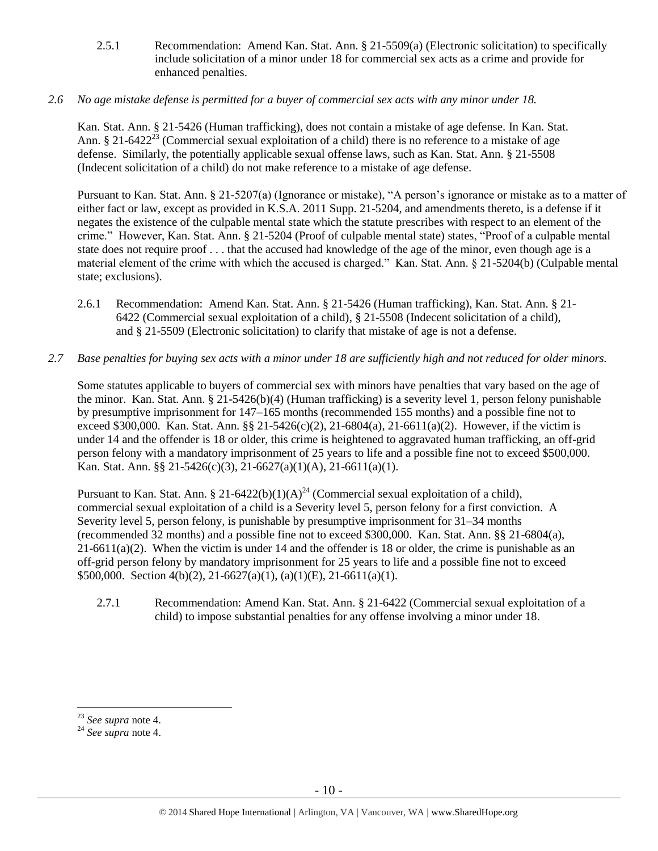- 2.5.1 Recommendation: Amend Kan. Stat. Ann. § 21-5509(a) (Electronic solicitation) to specifically include solicitation of a minor under 18 for commercial sex acts as a crime and provide for enhanced penalties.
- *2.6 No age mistake defense is permitted for a buyer of commercial sex acts with any minor under 18.*

Kan. Stat. Ann. § 21-5426 (Human trafficking), does not contain a mistake of age defense. In Kan. Stat. Ann. § 21-6422<sup>23</sup> (Commercial sexual exploitation of a child) there is no reference to a mistake of age defense. Similarly, the potentially applicable sexual offense laws, such as Kan. Stat. Ann. § 21-5508 (Indecent solicitation of a child) do not make reference to a mistake of age defense.

Pursuant to Kan. Stat. Ann. § 21-5207(a) (Ignorance or mistake), "A person's ignorance or mistake as to a matter of either fact or law, except as provided in K.S.A. 2011 Supp. 21-5204, and amendments thereto, is a defense if it negates the existence of the culpable mental state which the statute prescribes with respect to an element of the crime." However, Kan. Stat. Ann. § 21-5204 (Proof of culpable mental state) states, "Proof of a culpable mental state does not require proof . . . that the accused had knowledge of the age of the minor, even though age is a material element of the crime with which the accused is charged." Kan. Stat. Ann. § 21-5204(b) (Culpable mental state; exclusions).

- 2.6.1 Recommendation: Amend Kan. Stat. Ann. § 21-5426 (Human trafficking), Kan. Stat. Ann. § 21- 6422 (Commercial sexual exploitation of a child), § 21-5508 (Indecent solicitation of a child), and § 21-5509 (Electronic solicitation) to clarify that mistake of age is not a defense.
- *2.7 Base penalties for buying sex acts with a minor under 18 are sufficiently high and not reduced for older minors.*

Some statutes applicable to buyers of commercial sex with minors have penalties that vary based on the age of the minor. Kan. Stat. Ann. § 21-5426(b)(4) (Human trafficking) is a severity level 1, person felony punishable by presumptive imprisonment for 147–165 months (recommended 155 months) and a possible fine not to exceed \$300,000. Kan. Stat. Ann. §§ 21-5426(c)(2), 21-6804(a), 21-6611(a)(2). However, if the victim is under 14 and the offender is 18 or older, this crime is heightened to aggravated human trafficking, an off-grid person felony with a mandatory imprisonment of 25 years to life and a possible fine not to exceed \$500,000. Kan. Stat. Ann. §§ 21-5426(c)(3), 21-6627(a)(1)(A), 21-6611(a)(1).

Pursuant to Kan. Stat. Ann. § 21-6422(b)(1)(A)<sup>24</sup> (Commercial sexual exploitation of a child), commercial sexual exploitation of a child is a Severity level 5, person felony for a first conviction. A Severity level 5, person felony, is punishable by presumptive imprisonment for 31–34 months (recommended 32 months) and a possible fine not to exceed \$300,000. Kan. Stat. Ann. §§ 21-6804(a),  $21-6611(a)(2)$ . When the victim is under 14 and the offender is 18 or older, the crime is punishable as an off-grid person felony by mandatory imprisonment for 25 years to life and a possible fine not to exceed \$500,000. Section 4(b)(2), 21-6627(a)(1), (a)(1)(E), 21-6611(a)(1).

2.7.1 Recommendation: Amend Kan. Stat. Ann. § 21-6422 (Commercial sexual exploitation of a child) to impose substantial penalties for any offense involving a minor under 18.

<sup>23</sup> *See supra* note [4.](#page-1-0)

<sup>24</sup> *See supra* note [4.](#page-1-0)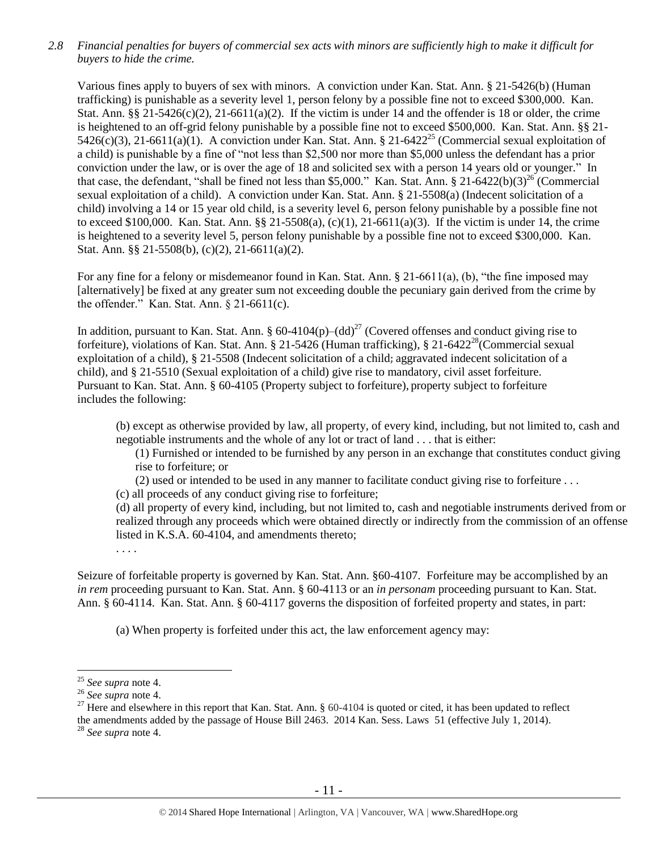*2.8 Financial penalties for buyers of commercial sex acts with minors are sufficiently high to make it difficult for buyers to hide the crime.* 

Various fines apply to buyers of sex with minors. A conviction under Kan. Stat. Ann. § 21-5426(b) (Human trafficking) is punishable as a severity level 1, person felony by a possible fine not to exceed \$300,000. Kan. Stat. Ann.  $\S$ § 21-5426(c)(2), 21-6611(a)(2). If the victim is under 14 and the offender is 18 or older, the crime is heightened to an off-grid felony punishable by a possible fine not to exceed \$500,000. Kan. Stat. Ann. §§ 21- 5426(c)(3), 21-6611(a)(1). A conviction under Kan. Stat. Ann. § 21-6422<sup>25</sup> (Commercial sexual exploitation of a child) is punishable by a fine of "not less than \$2,500 nor more than \$5,000 unless the defendant has a prior conviction under the law, or is over the age of 18 and solicited sex with a person 14 years old or younger." In that case, the defendant, "shall be fined not less than \$5,000." Kan. Stat. Ann. § 21-6422(b)(3)<sup>26</sup> (Commercial sexual exploitation of a child). A conviction under Kan. Stat. Ann. § 21-5508(a) (Indecent solicitation of a child) involving a 14 or 15 year old child, is a severity level 6, person felony punishable by a possible fine not to exceed \$100,000. Kan. Stat. Ann. §§ 21-5508(a), (c)(1), 21-6611(a)(3). If the victim is under 14, the crime is heightened to a severity level 5, person felony punishable by a possible fine not to exceed \$300,000. Kan. Stat. Ann. §§ 21-5508(b), (c)(2), 21-6611(a)(2).

For any fine for a felony or misdemeanor found in Kan. Stat. Ann. § 21-6611(a), (b), "the fine imposed may [alternatively] be fixed at any greater sum not exceeding double the pecuniary gain derived from the crime by the offender." Kan. Stat. Ann. § 21-6611(c).

In addition, pursuant to Kan. Stat. Ann. § 60-4104 $(p)$ – $(dd)^{27}$  (Covered offenses and conduct giving rise to forfeiture), violations of Kan. Stat. Ann. § 21-5426 (Human trafficking), § 21-6422<sup>28</sup> (Commercial sexual exploitation of a child), § 21-5508 (Indecent solicitation of a child**;** aggravated indecent solicitation of a child), and § 21-5510 (Sexual exploitation of a child) give rise to mandatory, civil asset forfeiture. Pursuant to Kan. Stat. Ann. § 60-4105 (Property subject to forfeiture), property subject to forfeiture includes the following:

(b) except as otherwise provided by law, all property, of every kind, including, but not limited to, cash and negotiable instruments and the whole of any lot or tract of land . . . that is either:

<span id="page-10-0"></span>(1) Furnished or intended to be furnished by any person in an exchange that constitutes conduct giving rise to forfeiture; or

(2) used or intended to be used in any manner to facilitate conduct giving rise to forfeiture . . .

(c) all proceeds of any conduct giving rise to forfeiture;

(d) all property of every kind, including, but not limited to, cash and negotiable instruments derived from or realized through any proceeds which were obtained directly or indirectly from the commission of an offense listed in K.S.A. 60-4104, and amendments thereto;

. . . .

Seizure of forfeitable property is governed by Kan. Stat. Ann. §60-4107. Forfeiture may be accomplished by an *in rem* proceeding pursuant to Kan. Stat. Ann. § 60-4113 or an *in personam* proceeding pursuant to Kan. Stat. Ann. § 60-4114. Kan. Stat. Ann. § 60-4117 governs the disposition of forfeited property and states, in part:

(a) When property is forfeited under this act, the law enforcement agency may:

 $\overline{a}$ <sup>25</sup> *See supra* note [4.](#page-1-0)

<sup>26</sup> *See supra* note [4.](#page-1-0)

<sup>&</sup>lt;sup>27</sup> Here and elsewhere in this report that Kan. Stat. Ann.  $\S$  60-4104 is quoted or cited, it has been updated to reflect the amendments added by the passage of House Bill 2463. 2014 Kan. Sess. Laws 51 (effective July 1, 2014). <sup>28</sup> *See supra* note [4.](#page-1-0)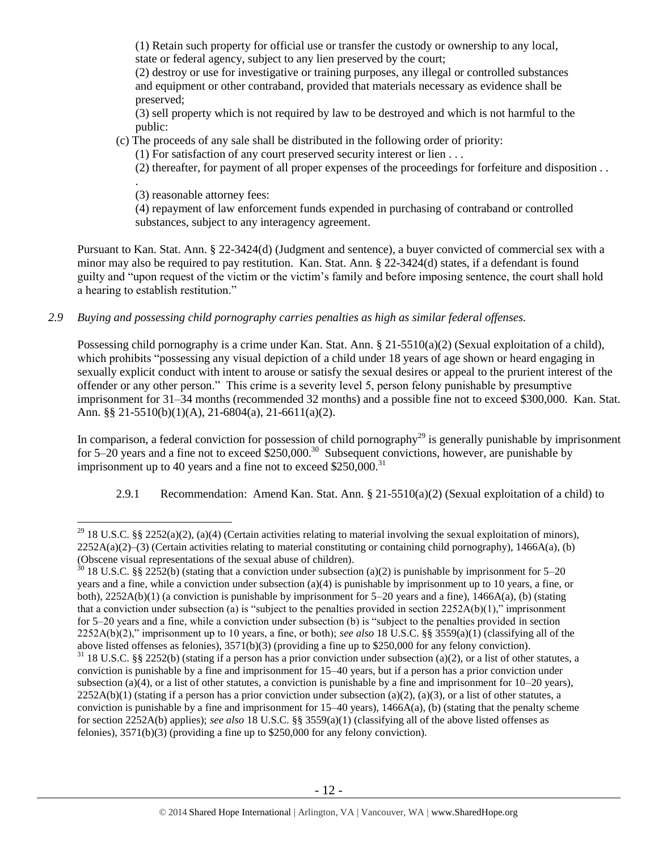(1) Retain such property for official use or transfer the custody or ownership to any local, state or federal agency, subject to any lien preserved by the court;

(2) destroy or use for investigative or training purposes, any illegal or controlled substances and equipment or other contraband, provided that materials necessary as evidence shall be preserved;

(3) sell property which is not required by law to be destroyed and which is not harmful to the public:

(c) The proceeds of any sale shall be distributed in the following order of priority:

(1) For satisfaction of any court preserved security interest or lien . . .

(2) thereafter, for payment of all proper expenses of the proceedings for forfeiture and disposition . .

. (3) reasonable attorney fees:

 $\overline{a}$ 

(4) repayment of law enforcement funds expended in purchasing of contraband or controlled substances, subject to any interagency agreement.

Pursuant to Kan. Stat. Ann. § 22-3424(d) (Judgment and sentence), a buyer convicted of commercial sex with a minor may also be required to pay restitution. Kan. Stat. Ann. § 22-3424(d) states, if a defendant is found guilty and "upon request of the victim or the victim's family and before imposing sentence, the court shall hold a hearing to establish restitution."

*2.9 Buying and possessing child pornography carries penalties as high as similar federal offenses.*

Possessing child pornography is a crime under Kan. Stat. Ann. § 21-5510(a)(2) (Sexual exploitation of a child), which prohibits "possessing any visual depiction of a child under 18 years of age shown or heard engaging in sexually explicit conduct with intent to arouse or satisfy the sexual desires or appeal to the prurient interest of the offender or any other person." This crime is a severity level 5, person felony punishable by presumptive imprisonment for 31–34 months (recommended 32 months) and a possible fine not to exceed \$300,000. Kan. Stat. Ann. §§ 21-5510(b)(1)(A), 21-6804(a), 21-6611(a)(2).

In comparison, a federal conviction for possession of child pornography<sup>29</sup> is generally punishable by imprisonment for 5–20 years and a fine not to exceed  $$250,000$ .<sup>30</sup> Subsequent convictions, however, are punishable by imprisonment up to 40 years and a fine not to exceed  $$250,000$ .<sup>31</sup>

2.9.1 Recommendation: Amend Kan. Stat. Ann. § 21-5510(a)(2) (Sexual exploitation of a child) to

<sup>&</sup>lt;sup>29</sup> 18 U.S.C. §§ 2252(a)(2), (a)(4) (Certain activities relating to material involving the sexual exploitation of minors),  $2252A(a)(2)$ –(3) (Certain activities relating to material constituting or containing child pornography), 1466A(a), (b) (Obscene visual representations of the sexual abuse of children).

 $30$  18 U.S.C. §§ 2252(b) (stating that a conviction under subsection (a)(2) is punishable by imprisonment for 5–20 years and a fine, while a conviction under subsection (a)(4) is punishable by imprisonment up to 10 years, a fine, or both), 2252A(b)(1) (a conviction is punishable by imprisonment for 5–20 years and a fine), 1466A(a), (b) (stating that a conviction under subsection (a) is "subject to the penalties provided in section 2252A(b)(1)," imprisonment for 5–20 years and a fine, while a conviction under subsection (b) is "subject to the penalties provided in section 2252A(b)(2)," imprisonment up to 10 years, a fine, or both); *see also* 18 U.S.C. §§ 3559(a)(1) (classifying all of the above listed offenses as felonies), 3571(b)(3) (providing a fine up to \$250,000 for any felony conviction).  $31$  18 U.S.C. §§ 2252(b) (stating if a person has a prior conviction under subsection (a)(2), or a list of other statutes, a conviction is punishable by a fine and imprisonment for 15–40 years, but if a person has a prior conviction under subsection (a)(4), or a list of other statutes, a conviction is punishable by a fine and imprisonment for  $10-20$  years),  $2252A(b)(1)$  (stating if a person has a prior conviction under subsection (a)(2), (a)(3), or a list of other statutes, a conviction is punishable by a fine and imprisonment for  $15-40$  years),  $1466A(a)$ , (b) (stating that the penalty scheme for section 2252A(b) applies); *see also* 18 U.S.C. §§ 3559(a)(1) (classifying all of the above listed offenses as felonies), 3571(b)(3) (providing a fine up to \$250,000 for any felony conviction).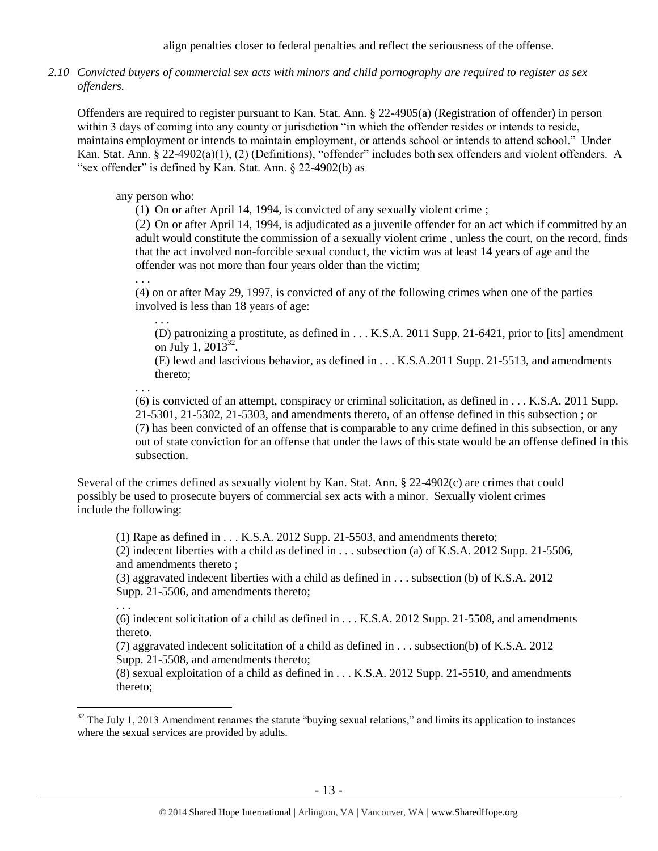*2.10 Convicted buyers of commercial sex acts with minors and child pornography are required to register as sex offenders.*

Offenders are required to register pursuant to Kan. Stat. Ann. § 22-4905(a) (Registration of offender) in person within 3 days of coming into any county or jurisdiction "in which the offender resides or intends to reside, maintains employment or intends to maintain employment, or attends school or intends to attend school." Under Kan. Stat. Ann. § 22-4902(a)(1), (2) (Definitions), "offender" includes both sex offenders and violent offenders. A "sex offender" is defined by Kan. Stat. Ann. § 22-4902(b) as

# any person who:

(1) On or after April 14, 1994, is convicted of any sexually violent crime ;

(2) On or after April 14, 1994, is adjudicated as a juvenile offender for an act which if committed by an adult would constitute the commission of a sexually violent crime , unless the court, on the record, finds that the act involved non-forcible sexual conduct, the victim was at least 14 years of age and the offender was not more than four years older than the victim;

(4) on or after May 29, 1997, is convicted of any of the following crimes when one of the parties involved is less than 18 years of age:

. . . (D) patronizing a prostitute, as defined in . . . K.S.A. 2011 Supp. 21-6421, prior to [its] amendment on July 1, 2013<sup>32</sup>.

<span id="page-12-0"></span>(E) lewd and lascivious behavior, as defined in . . . K.S.A.2011 Supp. 21-5513, and amendments thereto;

. . .

. . .

(6) is convicted of an attempt, conspiracy or criminal solicitation, as defined in . . . K.S.A. 2011 Supp. 21-5301, 21-5302, 21-5303, and amendments thereto, of an offense defined in this subsection ; or (7) has been convicted of an offense that is comparable to any crime defined in this subsection, or any out of state conviction for an offense that under the laws of this state would be an offense defined in this subsection.

Several of the crimes defined as sexually violent by Kan. Stat. Ann. § 22-4902(c) are crimes that could possibly be used to prosecute buyers of commercial sex acts with a minor. Sexually violent crimes include the following:

(1) Rape as defined in  $\dots$  K.S.A. 2012 Supp. 21-5503, and amendments thereto;

(2) indecent liberties with a child as defined in . . . subsection (a) of K.S.A. 2012 Supp. 21-5506, and amendments thereto ;

(3) aggravated indecent liberties with a child as defined in . . . subsection (b) of K.S.A. 2012 Supp. 21-5506, and amendments thereto;

. . .

 $\overline{a}$ 

(6) indecent solicitation of a child as defined in . . . K.S.A. 2012 Supp. 21-5508, and amendments thereto.

(7) aggravated indecent solicitation of a child as defined in . . . subsection(b) of K.S.A. 2012 Supp. 21-5508, and amendments thereto;

(8) sexual exploitation of a child as defined in . . . K.S.A. 2012 Supp. 21-5510, and amendments thereto;

 $32$  The July 1, 2013 Amendment renames the statute "buying sexual relations," and limits its application to instances where the sexual services are provided by adults.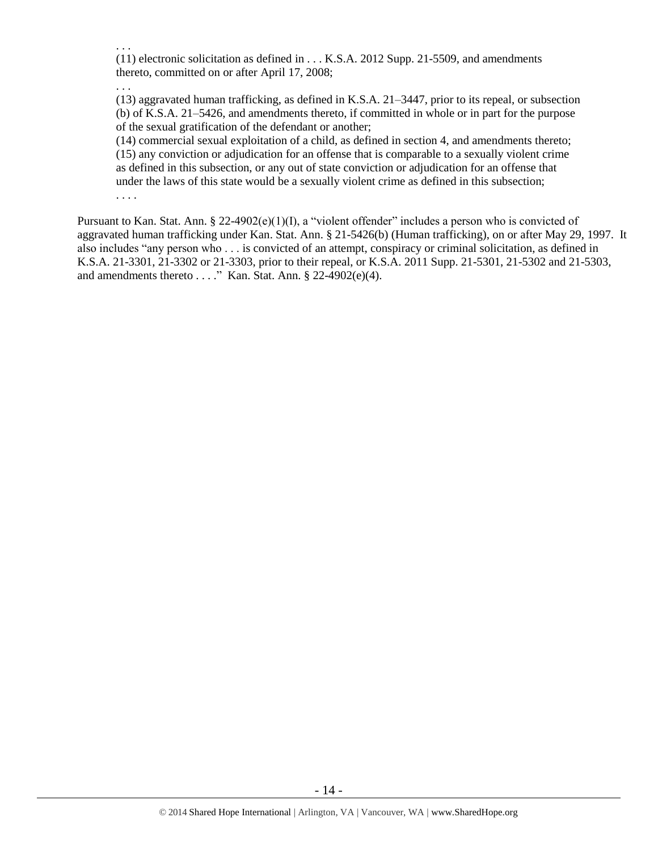(11) electronic solicitation as defined in . . . K.S.A. 2012 Supp. 21-5509, and amendments thereto, committed on or after April 17, 2008;

. . .

. . .

(13) aggravated human trafficking, as defined in K.S.A. 21–3447, prior to its repeal, or subsection (b) of K.S.A. 21–5426, and amendments thereto, if committed in whole or in part for the purpose of the sexual gratification of the defendant or another;

(14) commercial sexual exploitation of a child, as defined in section 4, and amendments thereto; (15) any conviction or adjudication for an offense that is comparable to a sexually violent crime as defined in this subsection, or any out of state conviction or adjudication for an offense that under the laws of this state would be a sexually violent crime as defined in this subsection; . . . .

Pursuant to Kan. Stat. Ann. §  $22-4902(e)(1)(I)$ , a "violent offender" includes a person who is convicted of aggravated human trafficking under Kan. Stat. Ann. § 21-5426(b) (Human trafficking), on or after May 29, 1997. It also includes "any person who . . . is convicted of an attempt, conspiracy or criminal solicitation, as defined in K.S.A. 21-3301, 21-3302 or 21-3303, prior to their repeal, or K.S.A. 2011 Supp. 21-5301, 21-5302 and 21-5303, and amendments thereto  $\dots$ ." Kan. Stat. Ann. § 22-4902(e)(4).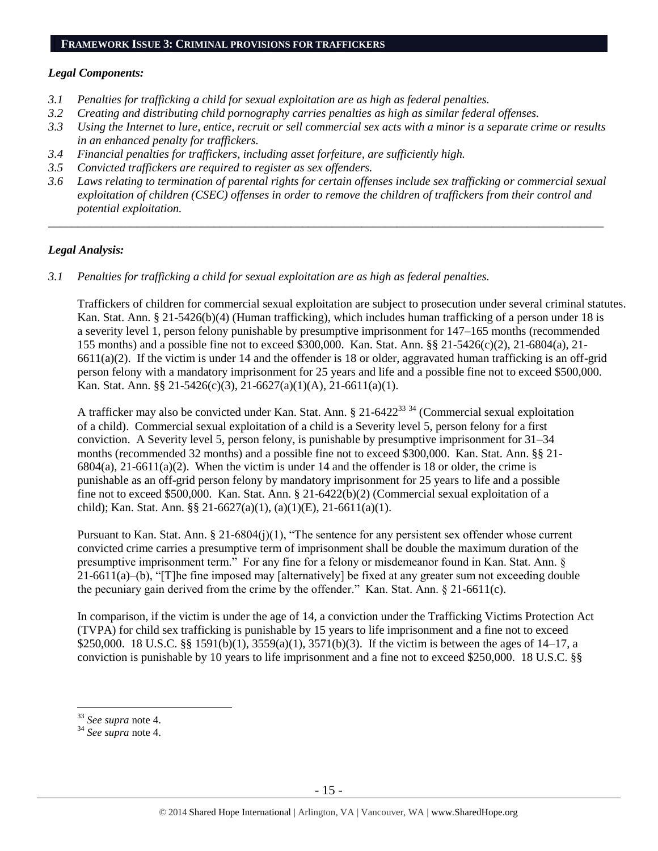#### **FRAMEWORK ISSUE 3: CRIMINAL PROVISIONS FOR TRAFFICKERS**

### *Legal Components:*

- *3.1 Penalties for trafficking a child for sexual exploitation are as high as federal penalties.*
- *3.2 Creating and distributing child pornography carries penalties as high as similar federal offenses.*
- *3.3 Using the Internet to lure, entice, recruit or sell commercial sex acts with a minor is a separate crime or results in an enhanced penalty for traffickers.*
- *3.4 Financial penalties for traffickers, including asset forfeiture, are sufficiently high.*
- *3.5 Convicted traffickers are required to register as sex offenders.*
- *3.6 Laws relating to termination of parental rights for certain offenses include sex trafficking or commercial sexual exploitation of children (CSEC) offenses in order to remove the children of traffickers from their control and potential exploitation.*

*\_\_\_\_\_\_\_\_\_\_\_\_\_\_\_\_\_\_\_\_\_\_\_\_\_\_\_\_\_\_\_\_\_\_\_\_\_\_\_\_\_\_\_\_\_\_\_\_\_\_\_\_\_\_\_\_\_\_\_\_\_\_\_\_\_\_\_\_\_\_\_\_\_\_\_\_\_\_\_\_\_\_\_\_\_\_\_\_\_\_\_\_\_\_*

#### *Legal Analysis:*

*3.1 Penalties for trafficking a child for sexual exploitation are as high as federal penalties.* 

Traffickers of children for commercial sexual exploitation are subject to prosecution under several criminal statutes. Kan. Stat. Ann. § 21-5426(b)(4) (Human trafficking), which includes human trafficking of a person under 18 is a severity level 1, person felony punishable by presumptive imprisonment for 147–165 months (recommended 155 months) and a possible fine not to exceed \$300,000. Kan. Stat. Ann. §§ 21-5426(c)(2), 21-6804(a), 21-  $6611(a)(2)$ . If the victim is under 14 and the offender is 18 or older, aggravated human trafficking is an off-grid person felony with a mandatory imprisonment for 25 years and life and a possible fine not to exceed \$500,000. Kan. Stat. Ann. §§ 21-5426(c)(3), 21-6627(a)(1)(A), 21-6611(a)(1).

A trafficker may also be convicted under Kan. Stat. Ann. § 21-6422<sup>33 34</sup> (Commercial sexual exploitation of a child). Commercial sexual exploitation of a child is a Severity level 5, person felony for a first conviction. A Severity level 5, person felony, is punishable by presumptive imprisonment for 31–34 months (recommended 32 months) and a possible fine not to exceed \$300,000. Kan. Stat. Ann. §§ 21-  $6804(a)$ ,  $21-6611(a)(2)$ . When the victim is under 14 and the offender is 18 or older, the crime is punishable as an off-grid person felony by mandatory imprisonment for 25 years to life and a possible fine not to exceed \$500,000. Kan. Stat. Ann. § 21-6422(b)(2) (Commercial sexual exploitation of a child); Kan. Stat. Ann. §§ 21-6627(a)(1), (a)(1)(E), 21-6611(a)(1).

Pursuant to Kan. Stat. Ann. § 21-6804(j)(1), "The sentence for any persistent sex offender whose current convicted crime carries a presumptive term of imprisonment shall be double the maximum duration of the presumptive imprisonment term." For any fine for a felony or misdemeanor found in Kan. Stat. Ann. §  $21-6611(a)$ –(b), "[T]he fine imposed may [alternatively] be fixed at any greater sum not exceeding double the pecuniary gain derived from the crime by the offender." Kan. Stat. Ann. § 21-6611(c).

In comparison, if the victim is under the age of 14, a conviction under the Trafficking Victims Protection Act (TVPA) for child sex trafficking is punishable by 15 years to life imprisonment and a fine not to exceed \$250,000. 18 U.S.C. §§ 1591(b)(1), 3559(a)(1), 3571(b)(3). If the victim is between the ages of 14–17, a conviction is punishable by 10 years to life imprisonment and a fine not to exceed \$250,000. 18 U.S.C. §§

<sup>33</sup> *See supra* note [4.](#page-1-0)

<sup>34</sup> *See supra* note [4.](#page-1-0)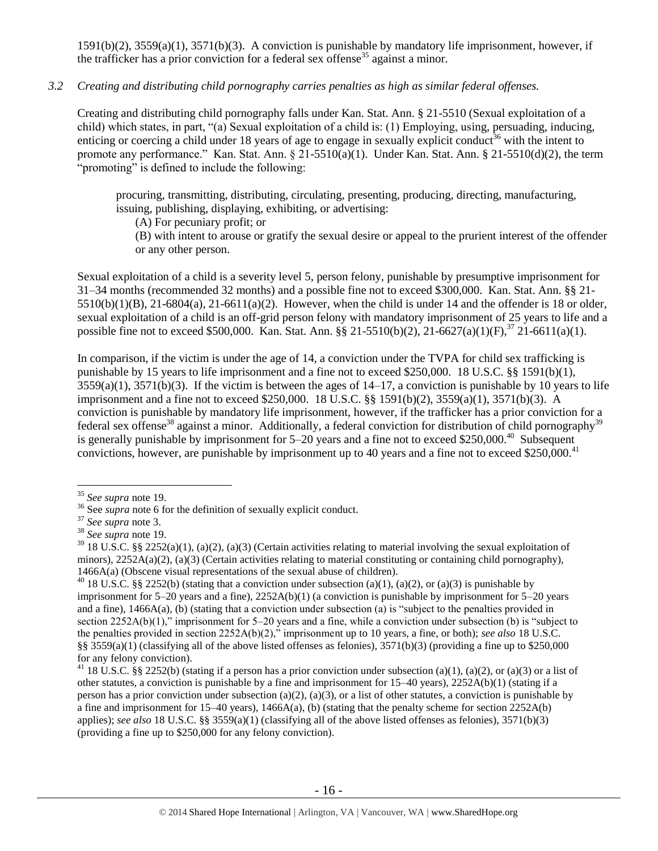1591(b)(2), 3559(a)(1), 3571(b)(3). A conviction is punishable by mandatory life imprisonment, however, if the trafficker has a prior conviction for a federal sex offense<sup>35</sup> against a minor.

# *3.2 Creating and distributing child pornography carries penalties as high as similar federal offenses.*

Creating and distributing child pornography falls under Kan. Stat. Ann. § 21-5510 (Sexual exploitation of a child) which states, in part, "(a) Sexual exploitation of a child is: (1) Employing, using, persuading, inducing, enticing or coercing a child under 18 years of age to engage in sexually explicit conduct<sup>36</sup> with the intent to promote any performance." Kan. Stat. Ann. § 21-5510(a)(1). Under Kan. Stat. Ann. § 21-5510(d)(2), the term "promoting" is defined to include the following:

procuring, transmitting, distributing, circulating, presenting, producing, directing, manufacturing, issuing, publishing, displaying, exhibiting, or advertising:

(A) For pecuniary profit; or

(B) with intent to arouse or gratify the sexual desire or appeal to the prurient interest of the offender or any other person.

Sexual exploitation of a child is a severity level 5, person felony, punishable by presumptive imprisonment for 31–34 months (recommended 32 months) and a possible fine not to exceed \$300,000. Kan. Stat. Ann. §§ 21- 5510(b)(1)(B), 21-6804(a), 21-6611(a)(2). However, when the child is under 14 and the offender is 18 or older, sexual exploitation of a child is an off-grid person felony with mandatory imprisonment of 25 years to life and a possible fine not to exceed \$500,000. Kan. Stat. Ann. §§ 21-5510(b)(2), 21-6627(a)(1)(F),<sup>37</sup> 21-6611(a)(1).

In comparison, if the victim is under the age of 14, a conviction under the TVPA for child sex trafficking is punishable by 15 years to life imprisonment and a fine not to exceed \$250,000. 18 U.S.C. §§ 1591(b)(1),  $3559(a)(1)$ ,  $3571(b)(3)$ . If the victim is between the ages of  $14-17$ , a conviction is punishable by 10 years to life imprisonment and a fine not to exceed \$250,000. 18 U.S.C. §§ 1591(b)(2), 3559(a)(1), 3571(b)(3). A conviction is punishable by mandatory life imprisonment, however, if the trafficker has a prior conviction for a federal sex offense<sup>38</sup> against a minor. Additionally, a federal conviction for distribution of child pornography<sup>39</sup> is generally punishable by imprisonment for  $5-20$  years and a fine not to exceed \$250,000.<sup>40</sup> Subsequent convictions, however, are punishable by imprisonment up to 40 years and a fine not to exceed \$250,000.<sup>41</sup>

<sup>35</sup> *See supra* note [19.](#page-8-0)

<sup>&</sup>lt;sup>36</sup> See *supra* note [6](#page-2-0) for the definition of sexually explicit conduct.

<sup>37</sup> *See supra* note [3.](#page-1-1)

<sup>38</sup> *See supra* note [19.](#page-8-0)

 $39\,18$  U.S.C. §§ 2252(a)(1), (a)(2), (a)(3) (Certain activities relating to material involving the sexual exploitation of minors),  $2252A(a)(2)$ , (a)(3) (Certain activities relating to material constituting or containing child pornography), 1466A(a) (Obscene visual representations of the sexual abuse of children).

<sup>&</sup>lt;sup>40</sup> 18 U.S.C. §§ 2252(b) (stating that a conviction under subsection (a)(1), (a)(2), or (a)(3) is punishable by imprisonment for  $5-20$  years and a fine),  $2252A(b)(1)$  (a conviction is punishable by imprisonment for  $5-20$  years and a fine), 1466A(a), (b) (stating that a conviction under subsection (a) is "subject to the penalties provided in section 2252A(b)(1)," imprisonment for 5–20 years and a fine, while a conviction under subsection (b) is "subject to the penalties provided in section 2252A(b)(2)," imprisonment up to 10 years, a fine, or both); *see also* 18 U.S.C. §§  $3559(a)(1)$  (classifying all of the above listed offenses as felonies),  $3571(b)(3)$  (providing a fine up to \$250,000 for any felony conviction).

<sup>&</sup>lt;sup>41</sup> 18 U.S.C. §§ 2252(b) (stating if a person has a prior conviction under subsection (a)(1), (a)(2), or (a)(3) or a list of other statutes, a conviction is punishable by a fine and imprisonment for  $15-40$  years),  $2252A(b)(1)$  (stating if a person has a prior conviction under subsection (a)(2), (a)(3), or a list of other statutes, a conviction is punishable by a fine and imprisonment for 15–40 years), 1466A(a), (b) (stating that the penalty scheme for section 2252A(b) applies); *see also* 18 U.S.C. §§ 3559(a)(1) (classifying all of the above listed offenses as felonies), 3571(b)(3) (providing a fine up to \$250,000 for any felony conviction).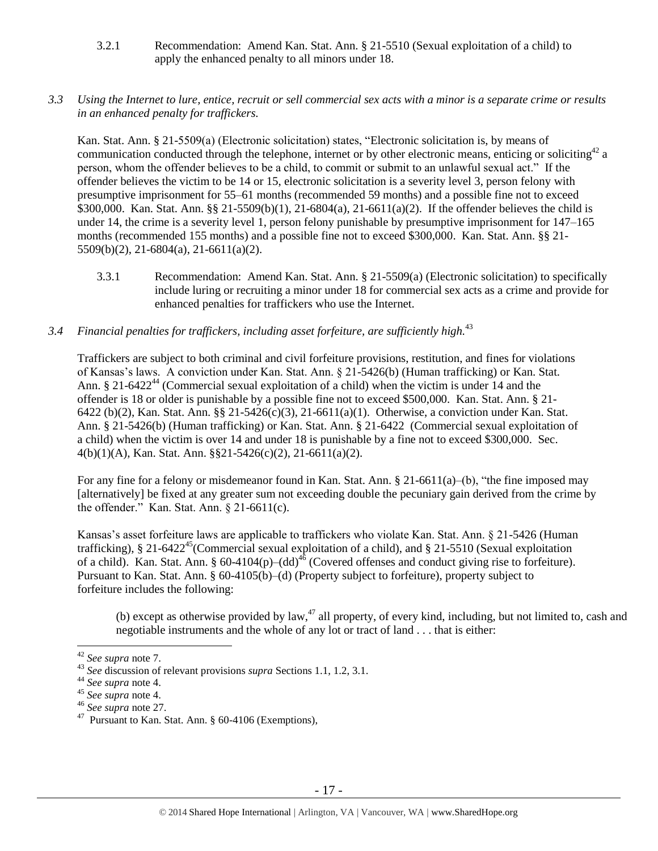- 3.2.1 Recommendation: Amend Kan. Stat. Ann. § 21-5510 (Sexual exploitation of a child) to apply the enhanced penalty to all minors under 18.
- *3.3 Using the Internet to lure, entice, recruit or sell commercial sex acts with a minor is a separate crime or results in an enhanced penalty for traffickers.*

Kan. Stat. Ann. § 21-5509(a) (Electronic solicitation) states, "Electronic solicitation is, by means of communication conducted through the telephone, internet or by other electronic means, enticing or soliciting<sup>42</sup> a person, whom the offender believes to be a child, to commit or submit to an unlawful sexual act." If the offender believes the victim to be 14 or 15, electronic solicitation is a severity level 3, person felony with presumptive imprisonment for 55–61 months (recommended 59 months) and a possible fine not to exceed \$300,000. Kan. Stat. Ann. §§ 21-5509(b)(1), 21-6804(a), 21-6611(a)(2). If the offender believes the child is under 14, the crime is a severity level 1, person felony punishable by presumptive imprisonment for 147–165 months (recommended 155 months) and a possible fine not to exceed \$300,000. Kan. Stat. Ann. §§ 21- 5509(b)(2), 21-6804(a), 21-6611(a)(2).

- 3.3.1 Recommendation: Amend Kan. Stat. Ann. § 21-5509(a) (Electronic solicitation) to specifically include luring or recruiting a minor under 18 for commercial sex acts as a crime and provide for enhanced penalties for traffickers who use the Internet.
- *3.4 Financial penalties for traffickers, including asset forfeiture, are sufficiently high.*<sup>43</sup>

Traffickers are subject to both criminal and civil forfeiture provisions, restitution, and fines for violations of Kansas's laws. A conviction under Kan. Stat. Ann. § 21-5426(b) (Human trafficking) or Kan. Stat. Ann. § 21-6422<sup>44</sup> (Commercial sexual exploitation of a child) when the victim is under 14 and the offender is 18 or older is punishable by a possible fine not to exceed \$500,000. Kan. Stat. Ann. § 21- 6422 (b)(2), Kan. Stat. Ann. §§ 21-5426(c)(3), 21-6611(a)(1). Otherwise, a conviction under Kan. Stat. Ann. § 21-5426(b) (Human trafficking) or Kan. Stat. Ann. § 21-6422 (Commercial sexual exploitation of a child) when the victim is over 14 and under 18 is punishable by a fine not to exceed \$300,000. Sec. 4(b)(1)(A), Kan. Stat. Ann. §§21-5426(c)(2), 21-6611(a)(2).

For any fine for a felony or misdemeanor found in Kan. Stat. Ann. § 21-6611(a)–(b), "the fine imposed may [alternatively] be fixed at any greater sum not exceeding double the pecuniary gain derived from the crime by the offender." Kan. Stat. Ann. § 21-6611(c).

Kansas's asset forfeiture laws are applicable to traffickers who violate Kan. Stat. Ann. § 21-5426 (Human trafficking), § 21-6422<sup>45</sup>(Commercial sexual exploitation of a child), and § 21-5510 (Sexual exploitation of a child). Kan. Stat. Ann. § 60-4104(p)–(dd)<sup>46</sup> (Covered offenses and conduct giving rise to forfeiture). Pursuant to Kan. Stat. Ann. § 60-4105(b)–(d) (Property subject to forfeiture), property subject to forfeiture includes the following:

<span id="page-16-0"></span>(b) except as otherwise provided by law,<sup>47</sup> all property, of every kind, including, but not limited to, cash and negotiable instruments and the whole of any lot or tract of land . . . that is either:

 $\overline{a}$ 

<sup>46</sup> *See supra* note [27.](#page-10-0) 

<sup>42</sup> *See supra* note [7.](#page-3-0)

<sup>43</sup> *See* discussion of relevant provisions *supra* Sections 1.1, 1.2, 3.1.

<sup>44</sup> *See supra* note [4.](#page-1-0)

<sup>45</sup> *See supra* note [4.](#page-1-0)

<sup>&</sup>lt;sup>47</sup> Pursuant to Kan. Stat. Ann. § 60-4106 (Exemptions),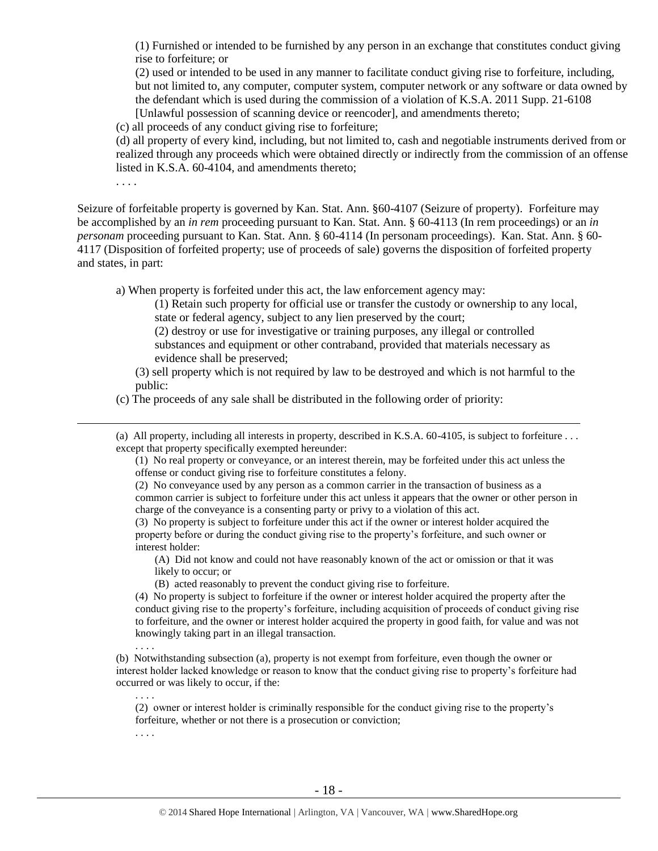(1) Furnished or intended to be furnished by any person in an exchange that constitutes conduct giving rise to forfeiture; or

(2) used or intended to be used in any manner to facilitate conduct giving rise to forfeiture, including, but not limited to, any computer, computer system, computer network or any software or data owned by the defendant which is used during the commission of a violation of K.S.A. 2011 Supp. 21-6108 [Unlawful possession of scanning device or reencoder], and amendments thereto;

(c) all proceeds of any conduct giving rise to forfeiture;

(d) all property of every kind, including, but not limited to, cash and negotiable instruments derived from or realized through any proceeds which were obtained directly or indirectly from the commission of an offense listed in K.S.A. 60-4104, and amendments thereto;

. . . .

 $\overline{a}$ 

. . . .

. . . .

. . . .

Seizure of forfeitable property is governed by Kan. Stat. Ann. §60-4107 (Seizure of property). Forfeiture may be accomplished by an *in rem* proceeding pursuant to Kan. Stat. Ann. § 60-4113 (In rem proceedings) or an *in personam* proceeding pursuant to Kan. Stat. Ann. § 60-4114 (In personam proceedings). Kan. Stat. Ann. § 60- 4117 (Disposition of forfeited property; use of proceeds of sale) governs the disposition of forfeited property and states, in part:

a) When property is forfeited under this act, the law enforcement agency may:

(1) Retain such property for official use or transfer the custody or ownership to any local, state or federal agency, subject to any lien preserved by the court;

(2) destroy or use for investigative or training purposes, any illegal or controlled substances and equipment or other contraband, provided that materials necessary as evidence shall be preserved;

(3) sell property which is not required by law to be destroyed and which is not harmful to the public:

(c) The proceeds of any sale shall be distributed in the following order of priority:

(a) All property, including all interests in property, described in K.S.A. 60-4105, is subject to forfeiture . . . except that property specifically exempted hereunder:

(1) No real property or conveyance, or an interest therein, may be forfeited under this act unless the offense or conduct giving rise to forfeiture constitutes a felony.

(2) No conveyance used by any person as a common carrier in the transaction of business as a common carrier is subject to forfeiture under this act unless it appears that the owner or other person in charge of the conveyance is a consenting party or privy to a violation of this act.

(3) No property is subject to forfeiture under this act if the owner or interest holder acquired the property before or during the conduct giving rise to the property's forfeiture, and such owner or interest holder:

(A) Did not know and could not have reasonably known of the act or omission or that it was likely to occur; or

(B) acted reasonably to prevent the conduct giving rise to forfeiture.

(4) No property is subject to forfeiture if the owner or interest holder acquired the property after the conduct giving rise to the property's forfeiture, including acquisition of proceeds of conduct giving rise to forfeiture, and the owner or interest holder acquired the property in good faith, for value and was not knowingly taking part in an illegal transaction.

(b) Notwithstanding subsection (a), property is not exempt from forfeiture, even though the owner or interest holder lacked knowledge or reason to know that the conduct giving rise to property's forfeiture had occurred or was likely to occur, if the:

(2) owner or interest holder is criminally responsible for the conduct giving rise to the property's forfeiture, whether or not there is a prosecution or conviction;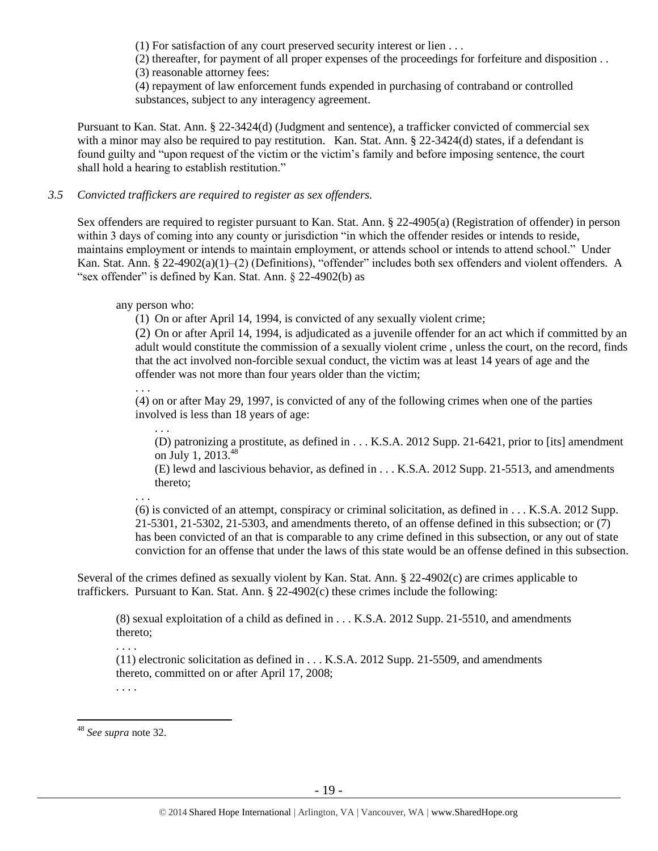(1) For satisfaction of any court preserved security interest or lien . . .

(2) thereafter, for payment of all proper expenses of the proceedings for forfeiture and disposition . .

(3) reasonable attorney fees:

(4) repayment of law enforcement funds expended in purchasing of contraband or controlled substances, subject to any interagency agreement.

Pursuant to Kan. Stat. Ann. § 22-3424(d) (Judgment and sentence), a trafficker convicted of commercial sex with a minor may also be required to pay restitution. Kan. Stat. Ann. § 22-3424(d) states, if a defendant is found guilty and "upon request of the victim or the victim's family and before imposing sentence, the court shall hold a hearing to establish restitution."

# *3.5 Convicted traffickers are required to register as sex offenders.*

Sex offenders are required to register pursuant to Kan. Stat. Ann. § 22-4905(a) (Registration of offender) in person within 3 days of coming into any county or jurisdiction "in which the offender resides or intends to reside, maintains employment or intends to maintain employment, or attends school or intends to attend school." Under Kan. Stat. Ann. § 22-4902(a)(1)–(2) (Definitions), "offender" includes both sex offenders and violent offenders. A "sex offender" is defined by Kan. Stat. Ann. § 22-4902(b) as

any person who:

(1) On or after April 14, 1994, is convicted of any sexually violent crime;

(2) On or after April 14, 1994, is adjudicated as a juvenile offender for an act which if committed by an adult would constitute the commission of a sexually violent crime , unless the court, on the record, finds that the act involved non-forcible sexual conduct, the victim was at least 14 years of age and the offender was not more than four years older than the victim;

. . .

(4) on or after May 29, 1997, is convicted of any of the following crimes when one of the parties involved is less than 18 years of age:

. . .

(D) patronizing a prostitute, as defined in . . . K.S.A. 2012 Supp. 21-6421, prior to [its] amendment on July 1, 2013. 48

(E) lewd and lascivious behavior, as defined in . . . K.S.A. 2012 Supp. 21-5513, and amendments thereto;

. . .

(6) is convicted of an attempt, conspiracy or criminal solicitation, as defined in . . . K.S.A. 2012 Supp. 21-5301, 21-5302, 21-5303, and amendments thereto, of an offense defined in this subsection; or (7) has been convicted of an that is comparable to any crime defined in this subsection, or any out of state conviction for an offense that under the laws of this state would be an offense defined in this subsection.

Several of the crimes defined as sexually violent by Kan. Stat. Ann. § 22-4902(c) are crimes applicable to traffickers. Pursuant to Kan. Stat. Ann. § 22-4902(c) these crimes include the following:

(8) sexual exploitation of a child as defined in . . . K.S.A. 2012 Supp. 21-5510, and amendments thereto;

. . . .

. . . .

(11) electronic solicitation as defined in . . . K.S.A. 2012 Supp. 21-5509, and amendments thereto, committed on or after April 17, 2008;

 $\overline{a}$ <sup>48</sup> *See supra* note [32.](#page-12-0)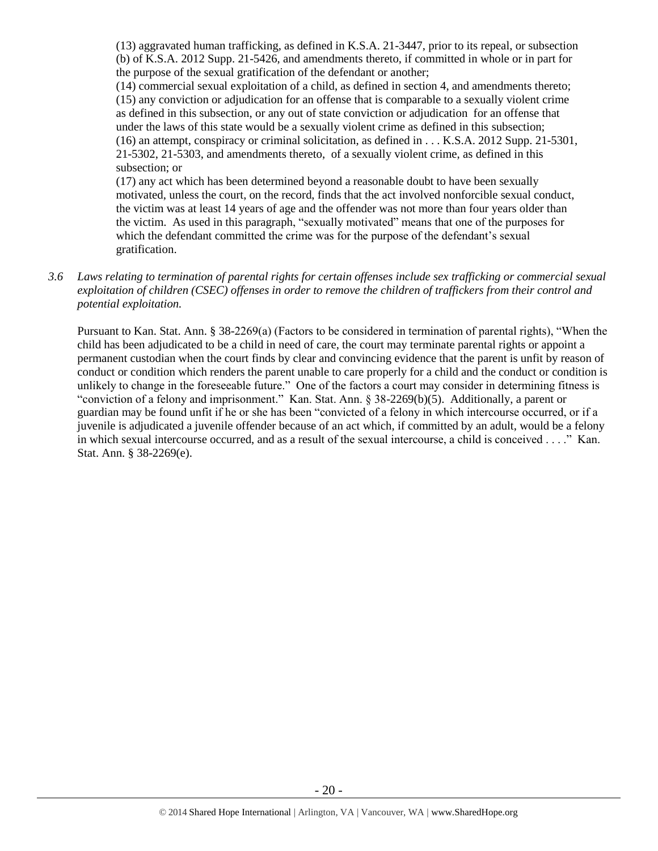(13) aggravated human trafficking, as defined in K.S.A. 21-3447, prior to its repeal, or subsection (b) of K.S.A. 2012 Supp. 21-5426, and amendments thereto, if committed in whole or in part for the purpose of the sexual gratification of the defendant or another;

(14) commercial sexual exploitation of a child, as defined in section 4, and amendments thereto; (15) any conviction or adjudication for an offense that is comparable to a sexually violent crime as defined in this subsection, or any out of state conviction or adjudication for an offense that under the laws of this state would be a sexually violent crime as defined in this subsection; (16) an attempt, conspiracy or criminal solicitation, as defined in . . . K.S.A. 2012 Supp. 21-5301, 21-5302, 21-5303, and amendments thereto, of a sexually violent crime, as defined in this subsection; or

(17) any act which has been determined beyond a reasonable doubt to have been sexually motivated, unless the court, on the record, finds that the act involved nonforcible sexual conduct, the victim was at least 14 years of age and the offender was not more than four years older than the victim. As used in this paragraph, "sexually motivated" means that one of the purposes for which the defendant committed the crime was for the purpose of the defendant's sexual gratification.

*3.6 Laws relating to termination of parental rights for certain offenses include sex trafficking or commercial sexual exploitation of children (CSEC) offenses in order to remove the children of traffickers from their control and potential exploitation.* 

Pursuant to Kan. Stat. Ann. § 38-2269(a) (Factors to be considered in termination of parental rights), "When the child has been adjudicated to be a child in need of care, the court may terminate parental rights or appoint a permanent custodian when the court finds by clear and convincing evidence that the parent is unfit by reason of conduct or condition which renders the parent unable to care properly for a child and the conduct or condition is unlikely to change in the foreseeable future." One of the factors a court may consider in determining fitness is "conviction of a felony and imprisonment." Kan. Stat. Ann. § 38-2269(b)(5). Additionally, a parent or guardian may be found unfit if he or she has been "convicted of a felony in which intercourse occurred, or if a juvenile is adjudicated a juvenile offender because of an act which, if committed by an adult, would be a felony in which sexual intercourse occurred, and as a result of the sexual intercourse, a child is conceived . . . ." Kan. Stat. Ann. § 38-2269(e).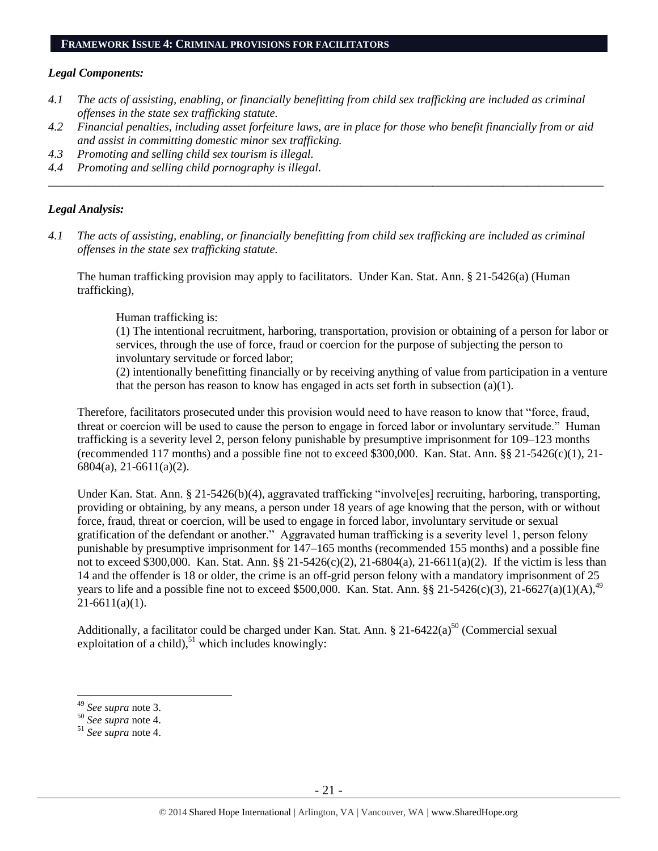#### **FRAMEWORK ISSUE 4: CRIMINAL PROVISIONS FOR FACILITATORS**

#### *Legal Components:*

- *4.1 The acts of assisting, enabling, or financially benefitting from child sex trafficking are included as criminal offenses in the state sex trafficking statute.*
- *4.2 Financial penalties, including asset forfeiture laws, are in place for those who benefit financially from or aid and assist in committing domestic minor sex trafficking.*

*\_\_\_\_\_\_\_\_\_\_\_\_\_\_\_\_\_\_\_\_\_\_\_\_\_\_\_\_\_\_\_\_\_\_\_\_\_\_\_\_\_\_\_\_\_\_\_\_\_\_\_\_\_\_\_\_\_\_\_\_\_\_\_\_\_\_\_\_\_\_\_\_\_\_\_\_\_\_\_\_\_\_\_\_\_\_\_\_\_\_\_\_\_\_*

- *4.3 Promoting and selling child sex tourism is illegal.*
- *4.4 Promoting and selling child pornography is illegal.*

### *Legal Analysis:*

*4.1 The acts of assisting, enabling, or financially benefitting from child sex trafficking are included as criminal offenses in the state sex trafficking statute.*

The human trafficking provision may apply to facilitators. Under Kan. Stat. Ann. § 21-5426(a) (Human trafficking),

Human trafficking is:

(1) The intentional recruitment, harboring, transportation, provision or obtaining of a person for labor or services, through the use of force, fraud or coercion for the purpose of subjecting the person to involuntary servitude or forced labor;

(2) intentionally benefitting financially or by receiving anything of value from participation in a venture that the person has reason to know has engaged in acts set forth in subsection (a)(1).

Therefore, facilitators prosecuted under this provision would need to have reason to know that "force, fraud, threat or coercion will be used to cause the person to engage in forced labor or involuntary servitude." Human trafficking is a severity level 2, person felony punishable by presumptive imprisonment for 109–123 months (recommended 117 months) and a possible fine not to exceed \$300,000. Kan. Stat. Ann. §§ 21-5426(c)(1), 21- 6804(a), 21-6611(a)(2).

Under Kan. Stat. Ann. § 21-5426(b)(4), aggravated trafficking "involve[es] recruiting, harboring, transporting, providing or obtaining, by any means, a person under 18 years of age knowing that the person, with or without force, fraud, threat or coercion, will be used to engage in forced labor, involuntary servitude or sexual gratification of the defendant or another." Aggravated human trafficking is a severity level 1, person felony punishable by presumptive imprisonment for 147–165 months (recommended 155 months) and a possible fine not to exceed \$300,000. Kan. Stat. Ann. §§ 21-5426(c)(2), 21-6804(a), 21-6611(a)(2). If the victim is less than 14 and the offender is 18 or older, the crime is an off-grid person felony with a mandatory imprisonment of 25 years to life and a possible fine not to exceed \$500,000. Kan. Stat. Ann. §§ 21-5426(c)(3), 21-6627(a)(1)(A),<sup>49</sup>  $21-6611(a)(1)$ .

Additionally, a facilitator could be charged under Kan. Stat. Ann. § 21-6422(a)<sup>50</sup> (Commercial sexual exploitation of a child), $51$  which includes knowingly:

<sup>49</sup> *See supra* note [3.](#page-1-1)

<sup>50</sup> *See supra* note [4.](#page-1-0)

<sup>51</sup> *See supra* note [4.](#page-1-0)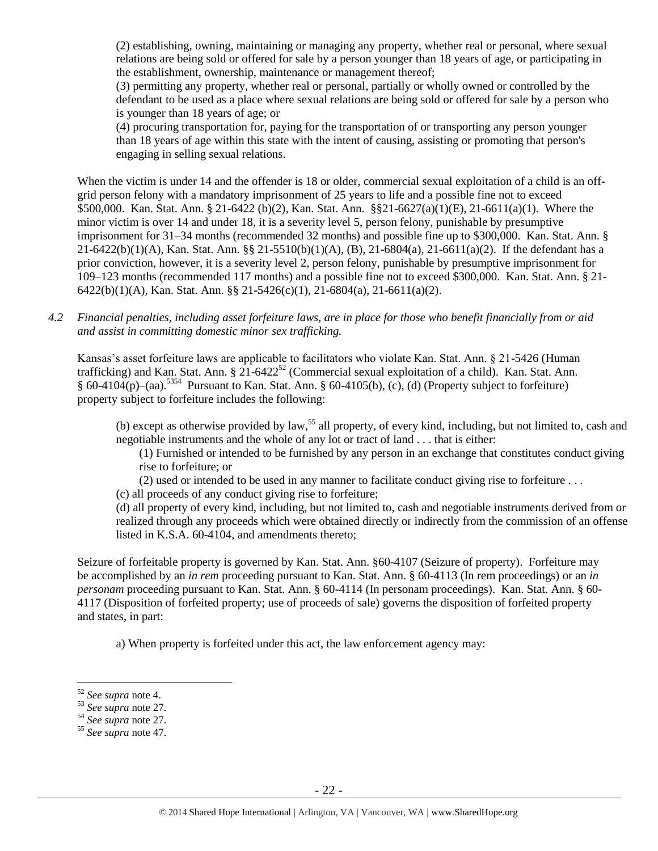(2) establishing, owning, maintaining or managing any property, whether real or personal, where sexual relations are being sold or offered for sale by a person younger than 18 years of age, or participating in the establishment, ownership, maintenance or management thereof;

(3) permitting any property, whether real or personal, partially or wholly owned or controlled by the defendant to be used as a place where sexual relations are being sold or offered for sale by a person who is younger than 18 years of age; or

(4) procuring transportation for, paying for the transportation of or transporting any person younger than 18 years of age within this state with the intent of causing, assisting or promoting that person's engaging in selling sexual relations.

When the victim is under 14 and the offender is 18 or older, commercial sexual exploitation of a child is an offgrid person felony with a mandatory imprisonment of 25 years to life and a possible fine not to exceed \$500,000. Kan. Stat. Ann. § 21-6422 (b)(2), Kan. Stat. Ann. §§21-6627(a)(1)(E), 21-6611(a)(1). Where the minor victim is over 14 and under 18, it is a severity level 5, person felony, punishable by presumptive imprisonment for 31–34 months (recommended 32 months) and possible fine up to \$300,000. Kan. Stat. Ann. § 21-6422(b)(1)(A), Kan. Stat. Ann. §§ 21-5510(b)(1)(A), (B), 21-6804(a), 21-6611(a)(2). If the defendant has a prior conviction, however, it is a severity level 2, person felony, punishable by presumptive imprisonment for 109–123 months (recommended 117 months) and a possible fine not to exceed \$300,000. Kan. Stat. Ann. § 21- 6422(b)(1)(A), Kan. Stat. Ann. §§ 21-5426(c)(1), 21-6804(a), 21-6611(a)(2).

*4.2 Financial penalties, including asset forfeiture laws, are in place for those who benefit financially from or aid and assist in committing domestic minor sex trafficking.*

Kansas's asset forfeiture laws are applicable to facilitators who violate Kan. Stat. Ann. § 21-5426 (Human trafficking) and Kan. Stat. Ann. §  $21-6422^{52}$  (Commercial sexual exploitation of a child). Kan. Stat. Ann. § 60-4104(p)–(aa).<sup>5354</sup> Pursuant to Kan. Stat. Ann. § 60-4105(b), (c), (d) (Property subject to forfeiture) property subject to forfeiture includes the following:

(b) except as otherwise provided by law,<sup>55</sup> all property, of every kind, including, but not limited to, cash and negotiable instruments and the whole of any lot or tract of land . . . that is either:

(1) Furnished or intended to be furnished by any person in an exchange that constitutes conduct giving rise to forfeiture; or

(2) used or intended to be used in any manner to facilitate conduct giving rise to forfeiture . . .

(c) all proceeds of any conduct giving rise to forfeiture;

(d) all property of every kind, including, but not limited to, cash and negotiable instruments derived from or realized through any proceeds which were obtained directly or indirectly from the commission of an offense listed in K.S.A. 60-4104, and amendments thereto;

Seizure of forfeitable property is governed by Kan. Stat. Ann. §60-4107 (Seizure of property). Forfeiture may be accomplished by an *in rem* proceeding pursuant to Kan. Stat. Ann. § 60-4113 (In rem proceedings) or an *in personam* proceeding pursuant to Kan. Stat. Ann. § 60-4114 (In personam proceedings). Kan. Stat. Ann. § 60- 4117 (Disposition of forfeited property; use of proceeds of sale) governs the disposition of forfeited property and states, in part:

a) When property is forfeited under this act, the law enforcement agency may:

<sup>52</sup> *See supra* note [4.](#page-1-0)

<sup>53</sup> *See supra* note [27.](#page-10-0) 

<sup>54</sup> *See supra* note [27.](#page-10-0)

<sup>55</sup> *See supra* note [47.](#page-16-0)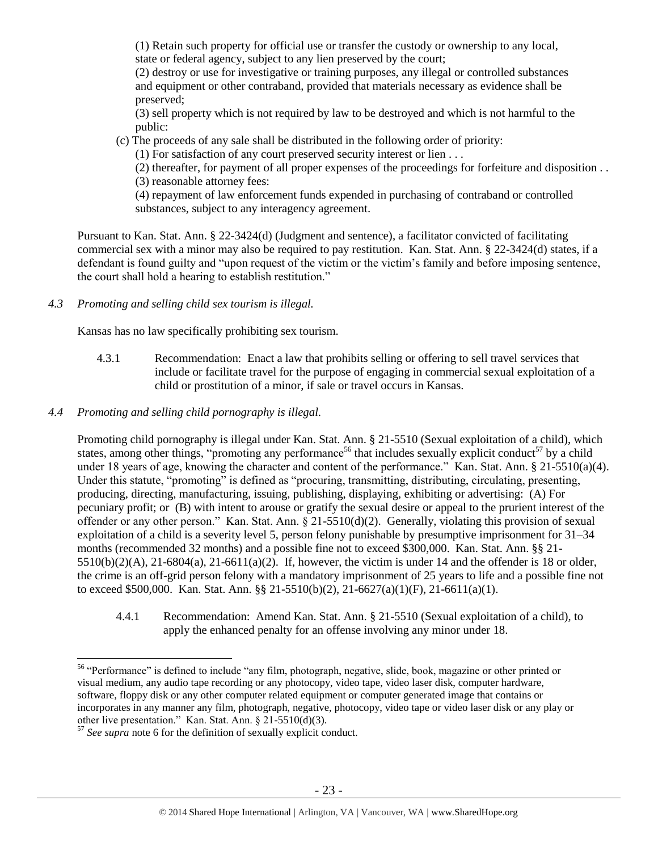(1) Retain such property for official use or transfer the custody or ownership to any local, state or federal agency, subject to any lien preserved by the court;

(2) destroy or use for investigative or training purposes, any illegal or controlled substances and equipment or other contraband, provided that materials necessary as evidence shall be preserved;

(3) sell property which is not required by law to be destroyed and which is not harmful to the public:

(c) The proceeds of any sale shall be distributed in the following order of priority:

(1) For satisfaction of any court preserved security interest or lien . . .

(2) thereafter, for payment of all proper expenses of the proceedings for forfeiture and disposition . . (3) reasonable attorney fees:

(4) repayment of law enforcement funds expended in purchasing of contraband or controlled substances, subject to any interagency agreement.

Pursuant to Kan. Stat. Ann. § 22-3424(d) (Judgment and sentence), a facilitator convicted of facilitating commercial sex with a minor may also be required to pay restitution. Kan. Stat. Ann. § 22-3424(d) states, if a defendant is found guilty and "upon request of the victim or the victim's family and before imposing sentence, the court shall hold a hearing to establish restitution."

*4.3 Promoting and selling child sex tourism is illegal.*

Kansas has no law specifically prohibiting sex tourism.

- 4.3.1 Recommendation: Enact a law that prohibits selling or offering to sell travel services that include or facilitate travel for the purpose of engaging in commercial sexual exploitation of a child or prostitution of a minor, if sale or travel occurs in Kansas.
- *4.4 Promoting and selling child pornography is illegal.*

Promoting child pornography is illegal under Kan. Stat. Ann. § 21-5510 (Sexual exploitation of a child), which states, among other things, "promoting any performance<sup>56</sup> that includes sexually explicit conduct<sup>57</sup> by a child under 18 years of age, knowing the character and content of the performance." Kan. Stat. Ann. § 21-5510(a)(4). Under this statute, "promoting" is defined as "procuring, transmitting, distributing, circulating, presenting, producing, directing, manufacturing, issuing, publishing, displaying, exhibiting or advertising: (A) For pecuniary profit; or (B) with intent to arouse or gratify the sexual desire or appeal to the prurient interest of the offender or any other person." Kan. Stat. Ann. § 21-5510(d)(2). Generally, violating this provision of sexual exploitation of a child is a severity level 5, person felony punishable by presumptive imprisonment for 31–34 months (recommended 32 months) and a possible fine not to exceed \$300,000. Kan. Stat. Ann. §§ 21- 5510(b)(2)(A), 21-6804(a), 21-6611(a)(2). If, however, the victim is under 14 and the offender is 18 or older, the crime is an off-grid person felony with a mandatory imprisonment of 25 years to life and a possible fine not to exceed \$500,000. Kan. Stat. Ann. §§ 21-5510(b)(2), 21-6627(a)(1)(F), 21-6611(a)(1).

4.4.1 Recommendation: Amend Kan. Stat. Ann. § 21-5510 (Sexual exploitation of a child), to apply the enhanced penalty for an offense involving any minor under 18.

 $\overline{a}$ <sup>56</sup> "Performance" is defined to include "any film, photograph, negative, slide, book, magazine or other printed or visual medium, any audio tape recording or any photocopy, video tape, video laser disk, computer hardware, software, floppy disk or any other computer related equipment or computer generated image that contains or incorporates in any manner any film, photograph, negative, photocopy, video tape or video laser disk or any play or other live presentation." Kan. Stat. Ann. § 21-5510(d)(3).

<sup>57</sup> *See supra* note [6](#page-2-0) for the definition of sexually explicit conduct.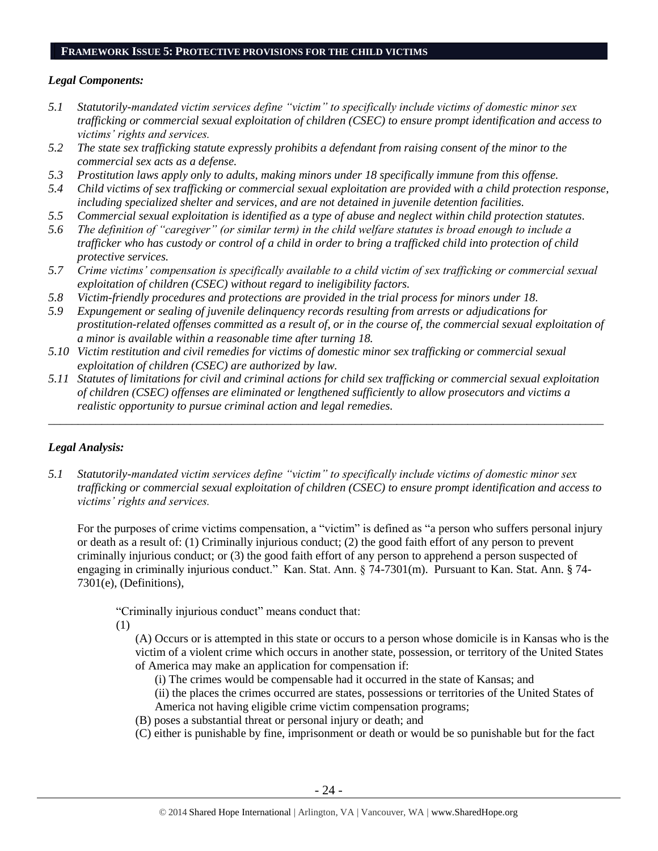#### **FRAMEWORK ISSUE 5: PROTECTIVE PROVISIONS FOR THE CHILD VICTIMS**

# *Legal Components:*

- *5.1 Statutorily-mandated victim services define "victim" to specifically include victims of domestic minor sex trafficking or commercial sexual exploitation of children (CSEC) to ensure prompt identification and access to victims' rights and services.*
- *5.2 The state sex trafficking statute expressly prohibits a defendant from raising consent of the minor to the commercial sex acts as a defense.*
- *5.3 Prostitution laws apply only to adults, making minors under 18 specifically immune from this offense.*
- *5.4 Child victims of sex trafficking or commercial sexual exploitation are provided with a child protection response, including specialized shelter and services, and are not detained in juvenile detention facilities.*
- *5.5 Commercial sexual exploitation is identified as a type of abuse and neglect within child protection statutes.*
- *5.6 The definition of "caregiver" (or similar term) in the child welfare statutes is broad enough to include a trafficker who has custody or control of a child in order to bring a trafficked child into protection of child protective services.*
- *5.7 Crime victims' compensation is specifically available to a child victim of sex trafficking or commercial sexual exploitation of children (CSEC) without regard to ineligibility factors.*
- *5.8 Victim-friendly procedures and protections are provided in the trial process for minors under 18.*
- *5.9 Expungement or sealing of juvenile delinquency records resulting from arrests or adjudications for prostitution-related offenses committed as a result of, or in the course of, the commercial sexual exploitation of a minor is available within a reasonable time after turning 18.*
- *5.10 Victim restitution and civil remedies for victims of domestic minor sex trafficking or commercial sexual exploitation of children (CSEC) are authorized by law.*
- *5.11 Statutes of limitations for civil and criminal actions for child sex trafficking or commercial sexual exploitation of children (CSEC) offenses are eliminated or lengthened sufficiently to allow prosecutors and victims a realistic opportunity to pursue criminal action and legal remedies.*

*\_\_\_\_\_\_\_\_\_\_\_\_\_\_\_\_\_\_\_\_\_\_\_\_\_\_\_\_\_\_\_\_\_\_\_\_\_\_\_\_\_\_\_\_\_\_\_\_\_\_\_\_\_\_\_\_\_\_\_\_\_\_\_\_\_\_\_\_\_\_\_\_\_\_\_\_\_\_\_\_\_\_\_\_\_\_\_\_\_\_\_\_\_\_*

# *Legal Analysis:*

*5.1 Statutorily-mandated victim services define "victim" to specifically include victims of domestic minor sex trafficking or commercial sexual exploitation of children (CSEC) to ensure prompt identification and access to victims' rights and services.* 

For the purposes of crime victims compensation, a "victim" is defined as "a person who suffers personal injury or death as a result of: (1) Criminally injurious conduct; (2) the good faith effort of any person to prevent criminally injurious conduct; or (3) the good faith effort of any person to apprehend a person suspected of engaging in criminally injurious conduct." Kan. Stat. Ann. § 74-7301(m). Pursuant to Kan. Stat. Ann. § 74- 7301(e), (Definitions),

"Criminally injurious conduct" means conduct that:

(1)

(A) Occurs or is attempted in this state or occurs to a person whose domicile is in Kansas who is the victim of a violent crime which occurs in another state, possession, or territory of the United States of America may make an application for compensation if:

(i) The crimes would be compensable had it occurred in the state of Kansas; and

(ii) the places the crimes occurred are states, possessions or territories of the United States of America not having eligible crime victim compensation programs;

- (B) poses a substantial threat or personal injury or death; and
- (C) either is punishable by fine, imprisonment or death or would be so punishable but for the fact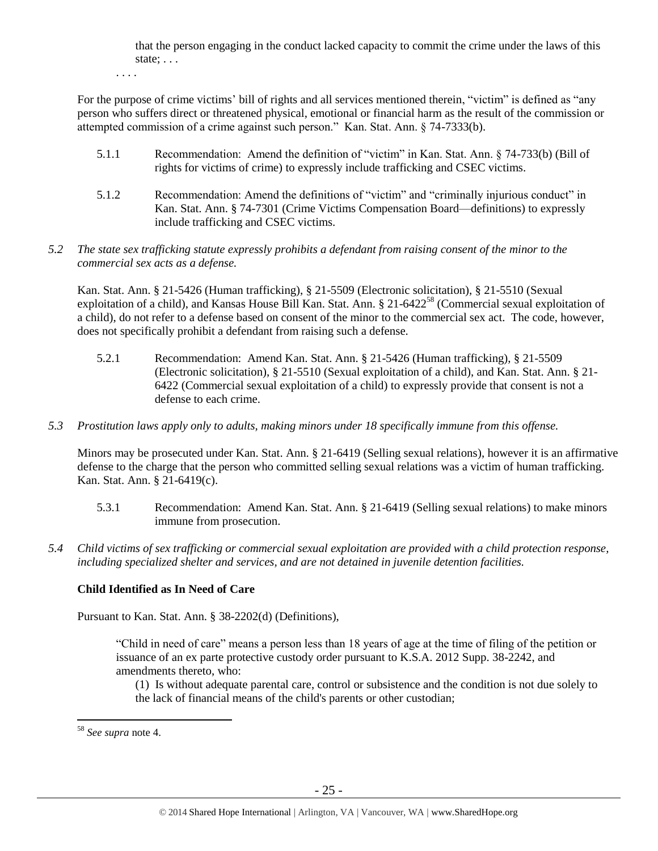that the person engaging in the conduct lacked capacity to commit the crime under the laws of this state; . . .

. . . .

For the purpose of crime victims' bill of rights and all services mentioned therein, "victim" is defined as "any person who suffers direct or threatened physical, emotional or financial harm as the result of the commission or attempted commission of a crime against such person." Kan. Stat. Ann. § 74-7333(b).

- 5.1.1 Recommendation: Amend the definition of "victim" in Kan. Stat. Ann. § 74-733(b) (Bill of rights for victims of crime) to expressly include trafficking and CSEC victims.
- 5.1.2 Recommendation: Amend the definitions of "victim" and "criminally injurious conduct" in Kan. Stat. Ann. § 74-7301 (Crime Victims Compensation Board—definitions) to expressly include trafficking and CSEC victims.
- *5.2 The state sex trafficking statute expressly prohibits a defendant from raising consent of the minor to the commercial sex acts as a defense.*

Kan. Stat. Ann. § 21-5426 (Human trafficking), § 21-5509 (Electronic solicitation), § 21-5510 (Sexual exploitation of a child), and Kansas House Bill Kan. Stat. Ann. § 21-6422<sup>58</sup> (Commercial sexual exploitation of a child), do not refer to a defense based on consent of the minor to the commercial sex act. The code, however, does not specifically prohibit a defendant from raising such a defense.

- 5.2.1 Recommendation: Amend Kan. Stat. Ann. § 21-5426 (Human trafficking), § 21-5509 (Electronic solicitation), § 21-5510 (Sexual exploitation of a child), and Kan. Stat. Ann. § 21- 6422 (Commercial sexual exploitation of a child) to expressly provide that consent is not a defense to each crime.
- *5.3 Prostitution laws apply only to adults, making minors under 18 specifically immune from this offense.*

Minors may be prosecuted under Kan. Stat. Ann. § 21-6419 (Selling sexual relations), however it is an affirmative defense to the charge that the person who committed selling sexual relations was a victim of human trafficking. Kan. Stat. Ann. § 21-6419(c).

- 5.3.1 Recommendation: Amend Kan. Stat. Ann. § 21-6419 (Selling sexual relations) to make minors immune from prosecution.
- *5.4 Child victims of sex trafficking or commercial sexual exploitation are provided with a child protection response, including specialized shelter and services, and are not detained in juvenile detention facilities.*

# **Child Identified as In Need of Care**

Pursuant to Kan. Stat. Ann. § 38-2202(d) (Definitions),

"Child in need of care" means a person less than 18 years of age at the time of filing of the petition or issuance of an ex parte protective custody order pursuant to K.S.A. 2012 Supp. 38-2242, and amendments thereto, who:

(1) Is without adequate parental care, control or subsistence and the condition is not due solely to the lack of financial means of the child's parents or other custodian;

<sup>58</sup> *See supra* note [4.](#page-1-0)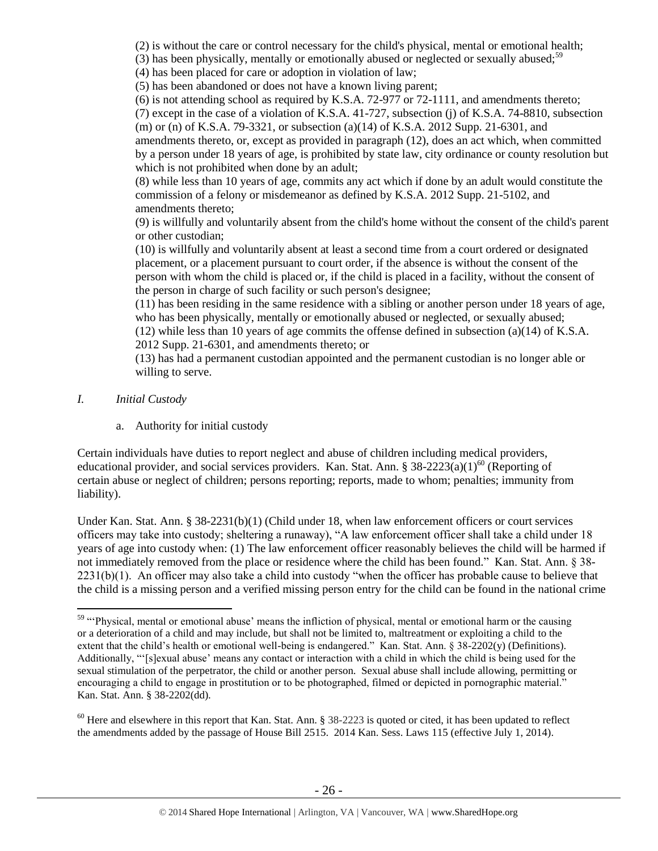(2) is without the care or control necessary for the child's physical, mental or emotional health;

(3) has been physically, mentally or emotionally abused or neglected or sexually abused;<sup>59</sup>

(4) has been placed for care or adoption in violation of law;

(5) has been abandoned or does not have a known living parent;

(6) is not attending school as required by K.S.A. 72-977 or 72-1111, and amendments thereto;

(7) except in the case of a violation of K.S.A. 41-727, subsection (j) of K.S.A. 74-8810, subsection (m) or (n) of K.S.A. 79-3321, or subsection (a)(14) of K.S.A. 2012 Supp. 21-6301, and

amendments thereto, or, except as provided in paragraph (12), does an act which, when committed by a person under 18 years of age, is prohibited by state law, city ordinance or county resolution but which is not prohibited when done by an adult;

(8) while less than 10 years of age, commits any act which if done by an adult would constitute the commission of a felony or misdemeanor as defined by K.S.A. 2012 Supp. 21-5102, and amendments thereto;

(9) is willfully and voluntarily absent from the child's home without the consent of the child's parent or other custodian;

(10) is willfully and voluntarily absent at least a second time from a court ordered or designated placement, or a placement pursuant to court order, if the absence is without the consent of the person with whom the child is placed or, if the child is placed in a facility, without the consent of the person in charge of such facility or such person's designee;

(11) has been residing in the same residence with a sibling or another person under 18 years of age, who has been physically, mentally or emotionally abused or neglected, or sexually abused; (12) while less than 10 years of age commits the offense defined in subsection (a)(14) of K.S.A.

2012 Supp. 21-6301, and amendments thereto; or

(13) has had a permanent custodian appointed and the permanent custodian is no longer able or willing to serve.

*I. Initial Custody*

 $\overline{a}$ 

a. Authority for initial custody

Certain individuals have duties to report neglect and abuse of children including medical providers, educational provider, and social services providers. Kan. Stat. Ann. §  $38-2223(a)(1)^{60}$  (Reporting of certain abuse or neglect of children; persons reporting; reports, made to whom; penalties; immunity from liability).

Under Kan. Stat. Ann. § 38-2231(b)(1) (Child under 18, when law enforcement officers or court services officers may take into custody; sheltering a runaway), "A law enforcement officer shall take a child under 18 years of age into custody when: (1) The law enforcement officer reasonably believes the child will be harmed if not immediately removed from the place or residence where the child has been found." Kan. Stat. Ann. § 38- 2231(b)(1). An officer may also take a child into custody "when the officer has probable cause to believe that the child is a missing person and a verified missing person entry for the child can be found in the national crime

<sup>&</sup>lt;sup>59</sup> "Physical, mental or emotional abuse' means the infliction of physical, mental or emotional harm or the causing or a deterioration of a child and may include, but shall not be limited to, maltreatment or exploiting a child to the extent that the child's health or emotional well-being is endangered." Kan. Stat. Ann.  $\S$  38-2202(y) (Definitions). Additionally, "'[s]exual abuse' means any contact or interaction with a child in which the child is being used for the sexual stimulation of the perpetrator, the child or another person. Sexual abuse shall include allowing, permitting or encouraging a child to engage in prostitution or to be photographed, filmed or depicted in pornographic material." Kan. Stat. Ann. § 38-2202(dd).

 $60$  Here and elsewhere in this report that Kan. Stat. Ann. § 38-2223 is quoted or cited, it has been updated to reflect the amendments added by the passage of House Bill 2515. 2014 Kan. Sess. Laws 115 (effective July 1, 2014).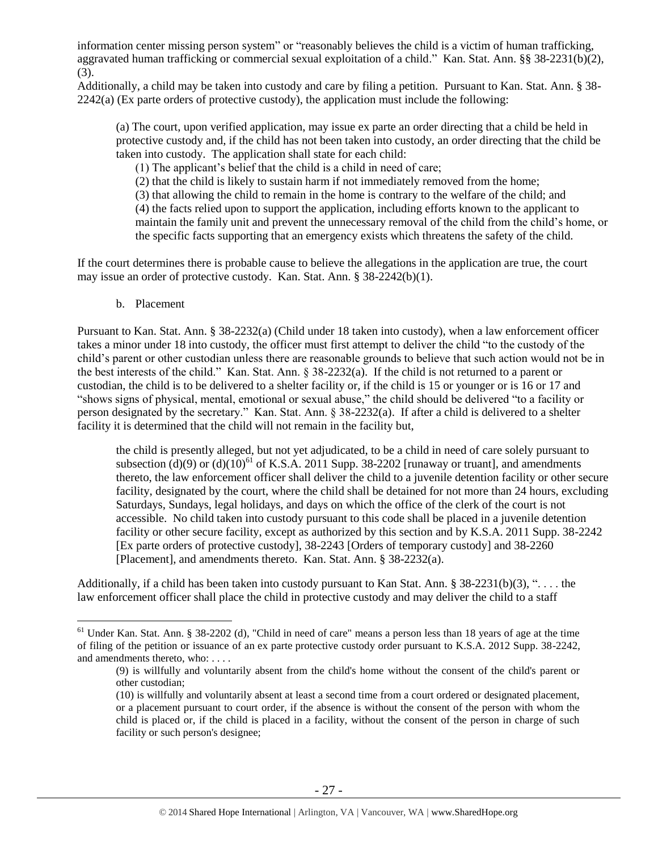information center missing person system" or "reasonably believes the child is a victim of human trafficking, aggravated human trafficking or commercial sexual exploitation of a child." Kan. Stat. Ann. §§ 38-2231(b)(2), (3).

Additionally, a child may be taken into custody and care by filing a petition. Pursuant to Kan. Stat. Ann. § 38- 2242(a) (Ex parte orders of protective custody), the application must include the following:

(a) The court, upon verified application, may issue ex parte an order directing that a child be held in protective custody and, if the child has not been taken into custody, an order directing that the child be taken into custody. The application shall state for each child:

(1) The applicant's belief that the child is a child in need of care;

(2) that the child is likely to sustain harm if not immediately removed from the home;

(3) that allowing the child to remain in the home is contrary to the welfare of the child; and

(4) the facts relied upon to support the application, including efforts known to the applicant to maintain the family unit and prevent the unnecessary removal of the child from the child's home, or the specific facts supporting that an emergency exists which threatens the safety of the child.

If the court determines there is probable cause to believe the allegations in the application are true, the court may issue an order of protective custody. Kan. Stat. Ann. § 38-2242(b)(1).

b. Placement

 $\overline{a}$ 

Pursuant to Kan. Stat. Ann. § 38-2232(a) (Child under 18 taken into custody), when a law enforcement officer takes a minor under 18 into custody, the officer must first attempt to deliver the child "to the custody of the child's parent or other custodian unless there are reasonable grounds to believe that such action would not be in the best interests of the child." Kan. Stat. Ann. § 38-2232(a). If the child is not returned to a parent or custodian, the child is to be delivered to a shelter facility or, if the child is 15 or younger or is 16 or 17 and "shows signs of physical, mental, emotional or sexual abuse," the child should be delivered "to a facility or person designated by the secretary." Kan. Stat. Ann. § 38-2232(a). If after a child is delivered to a shelter facility it is determined that the child will not remain in the facility but,

the child is presently alleged, but not yet adjudicated, to be a child in need of care solely pursuant to subsection  $(d)(9)$  or  $(d)(10)^{61}$  of K.S.A. 2011 Supp. 38-2202 [runaway or truant], and amendments thereto, the law enforcement officer shall deliver the child to a juvenile detention facility or other secure facility, designated by the court, where the child shall be detained for not more than 24 hours, excluding Saturdays, Sundays, legal holidays, and days on which the office of the clerk of the court is not accessible. No child taken into custody pursuant to this code shall be placed in a juvenile detention facility or other secure facility, except as authorized by this section and by K.S.A. 2011 Supp. 38-2242 [Ex parte orders of protective custody], 38-2243 [Orders of temporary custody] and 38-2260 [Placement], and amendments thereto. Kan. Stat. Ann. § 38-2232(a).

Additionally, if a child has been taken into custody pursuant to Kan Stat. Ann.  $\S 38-2231(b)(3)$ , "... the law enforcement officer shall place the child in protective custody and may deliver the child to a staff

<sup>&</sup>lt;sup>61</sup> Under Kan. Stat. Ann. § 38-2202 (d), "Child in need of care" means a person less than 18 years of age at the time of filing of the petition or issuance of an ex parte protective custody order pursuant to K.S.A. 2012 Supp. 38-2242, and amendments thereto, who: . . . .

<sup>(9)</sup> is willfully and voluntarily absent from the child's home without the consent of the child's parent or other custodian;

<sup>(10)</sup> is willfully and voluntarily absent at least a second time from a court ordered or designated placement, or a placement pursuant to court order, if the absence is without the consent of the person with whom the child is placed or, if the child is placed in a facility, without the consent of the person in charge of such facility or such person's designee;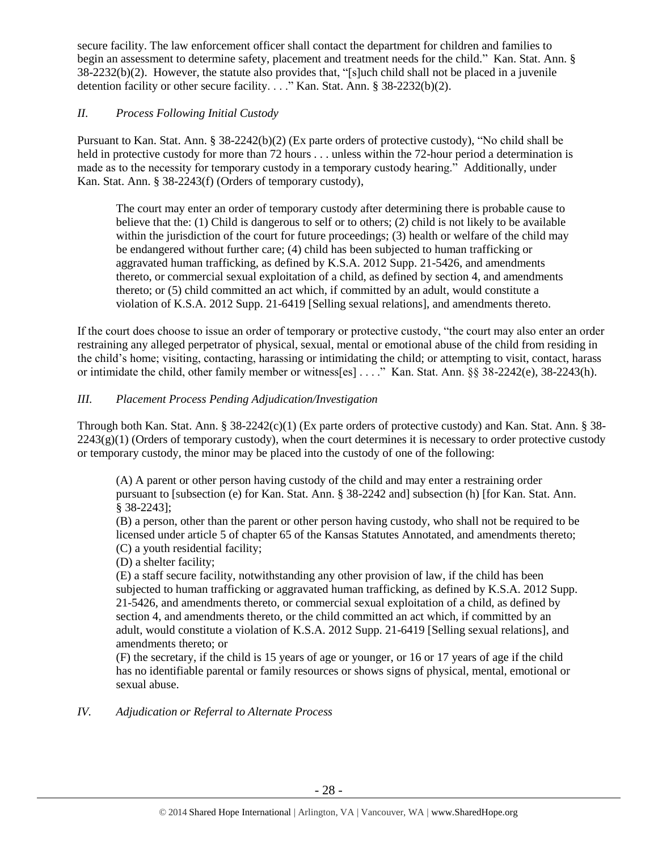secure facility. The law enforcement officer shall contact the department for children and families to begin an assessment to determine safety, placement and treatment needs for the child." Kan. Stat. Ann. § 38-2232(b)(2). However, the statute also provides that, "[s]uch child shall not be placed in a juvenile detention facility or other secure facility. . . ." Kan. Stat. Ann. § 38-2232(b)(2).

# *II. Process Following Initial Custody*

Pursuant to Kan. Stat. Ann. § 38-2242(b)(2) (Ex parte orders of protective custody), "No child shall be held in protective custody for more than 72 hours . . . unless within the 72-hour period a determination is made as to the necessity for temporary custody in a temporary custody hearing." Additionally, under Kan. Stat. Ann. § 38-2243(f) (Orders of temporary custody),

The court may enter an order of temporary custody after determining there is probable cause to believe that the: (1) Child is dangerous to self or to others; (2) child is not likely to be available within the jurisdiction of the court for future proceedings; (3) health or welfare of the child may be endangered without further care; (4) child has been subjected to human trafficking or aggravated human trafficking, as defined by K.S.A. 2012 Supp. 21-5426, and amendments thereto, or commercial sexual exploitation of a child, as defined by section 4, and amendments thereto; or (5) child committed an act which, if committed by an adult, would constitute a violation of K.S.A. 2012 Supp. 21-6419 [Selling sexual relations], and amendments thereto.

If the court does choose to issue an order of temporary or protective custody, "the court may also enter an order restraining any alleged perpetrator of physical, sexual, mental or emotional abuse of the child from residing in the child's home; visiting, contacting, harassing or intimidating the child; or attempting to visit, contact, harass or intimidate the child, other family member or witness[es] . . . ." Kan. Stat. Ann. §§ 38-2242(e), 38-2243(h).

# *III. Placement Process Pending Adjudication/Investigation*

Through both Kan. Stat. Ann. § 38-2242(c)(1) (Ex parte orders of protective custody) and Kan. Stat. Ann. § 38-  $2243(g)(1)$  (Orders of temporary custody), when the court determines it is necessary to order protective custody or temporary custody, the minor may be placed into the custody of one of the following:

(A) A parent or other person having custody of the child and may enter a restraining order pursuant to [subsection (e) for Kan. Stat. Ann. § 38-2242 and] subsection (h) [for Kan. Stat. Ann. § 38-2243];

(B) a person, other than the parent or other person having custody, who shall not be required to be licensed under article 5 of chapter 65 of the Kansas Statutes Annotated, and amendments thereto; (C) a youth residential facility;

(D) a shelter facility;

(E) a staff secure facility, notwithstanding any other provision of law, if the child has been subjected to human trafficking or aggravated human trafficking, as defined by K.S.A. 2012 Supp. 21-5426, and amendments thereto, or commercial sexual exploitation of a child, as defined by section 4, and amendments thereto, or the child committed an act which, if committed by an adult, would constitute a violation of K.S.A. 2012 Supp. 21-6419 [Selling sexual relations], and amendments thereto; or

(F) the secretary, if the child is 15 years of age or younger, or 16 or 17 years of age if the child has no identifiable parental or family resources or shows signs of physical, mental, emotional or sexual abuse.

# *IV. Adjudication or Referral to Alternate Process*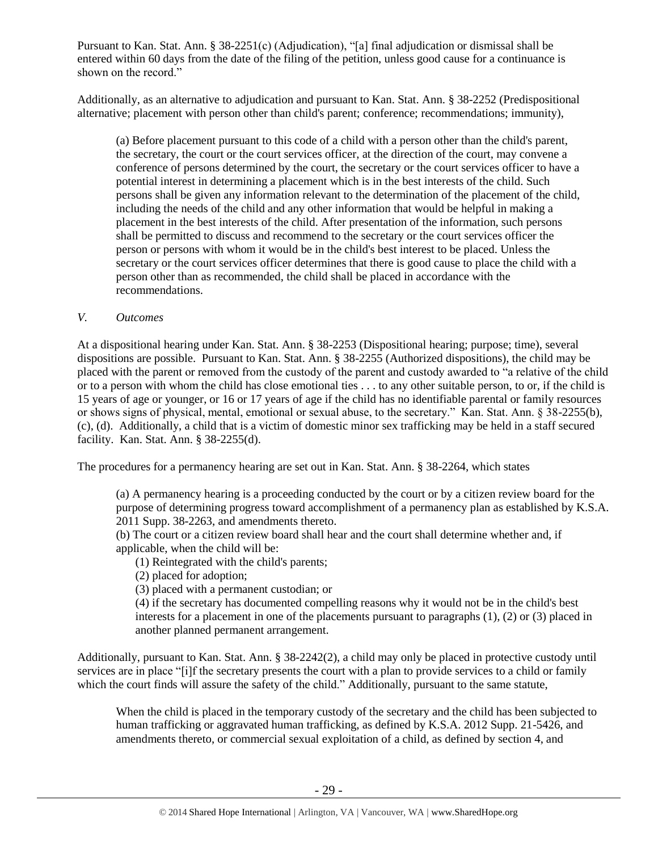Pursuant to Kan. Stat. Ann. § 38-2251(c) (Adjudication), "[a] final adjudication or dismissal shall be entered within 60 days from the date of the filing of the petition, unless good cause for a continuance is shown on the record."

Additionally, as an alternative to adjudication and pursuant to Kan. Stat. Ann. § 38-2252 (Predispositional alternative; placement with person other than child's parent; conference; recommendations; immunity),

(a) Before placement pursuant to this code of a child with a person other than the child's parent, the secretary, the court or the court services officer, at the direction of the court, may convene a conference of persons determined by the court, the secretary or the court services officer to have a potential interest in determining a placement which is in the best interests of the child. Such persons shall be given any information relevant to the determination of the placement of the child, including the needs of the child and any other information that would be helpful in making a placement in the best interests of the child. After presentation of the information, such persons shall be permitted to discuss and recommend to the secretary or the court services officer the person or persons with whom it would be in the child's best interest to be placed. Unless the secretary or the court services officer determines that there is good cause to place the child with a person other than as recommended, the child shall be placed in accordance with the recommendations.

# *V. Outcomes*

At a dispositional hearing under Kan. Stat. Ann. § 38-2253 (Dispositional hearing; purpose; time), several dispositions are possible. Pursuant to Kan. Stat. Ann. § 38-2255 (Authorized dispositions), the child may be placed with the parent or removed from the custody of the parent and custody awarded to "a relative of the child or to a person with whom the child has close emotional ties . . . to any other suitable person, to or, if the child is 15 years of age or younger, or 16 or 17 years of age if the child has no identifiable parental or family resources or shows signs of physical, mental, emotional or sexual abuse, to the secretary." Kan. Stat. Ann. § 38-2255(b), (c), (d). Additionally, a child that is a victim of domestic minor sex trafficking may be held in a staff secured facility. Kan. Stat. Ann. § 38-2255(d).

The procedures for a permanency hearing are set out in Kan. Stat. Ann. § 38-2264, which states

(a) A permanency hearing is a proceeding conducted by the court or by a citizen review board for the purpose of determining progress toward accomplishment of a permanency plan as established by K.S.A. 2011 Supp. 38-2263, and amendments thereto.

(b) The court or a citizen review board shall hear and the court shall determine whether and, if applicable, when the child will be:

(1) Reintegrated with the child's parents;

(2) placed for adoption;

(3) placed with a permanent custodian; or

(4) if the secretary has documented compelling reasons why it would not be in the child's best interests for a placement in one of the placements pursuant to paragraphs (1), (2) or (3) placed in another planned permanent arrangement.

Additionally, pursuant to Kan. Stat. Ann. § 38-2242(2), a child may only be placed in protective custody until services are in place "[i]f the secretary presents the court with a plan to provide services to a child or family which the court finds will assure the safety of the child." Additionally, pursuant to the same statute,

When the child is placed in the temporary custody of the secretary and the child has been subjected to human trafficking or aggravated human trafficking, as defined by K.S.A. 2012 Supp. 21-5426, and amendments thereto, or commercial sexual exploitation of a child, as defined by section 4, and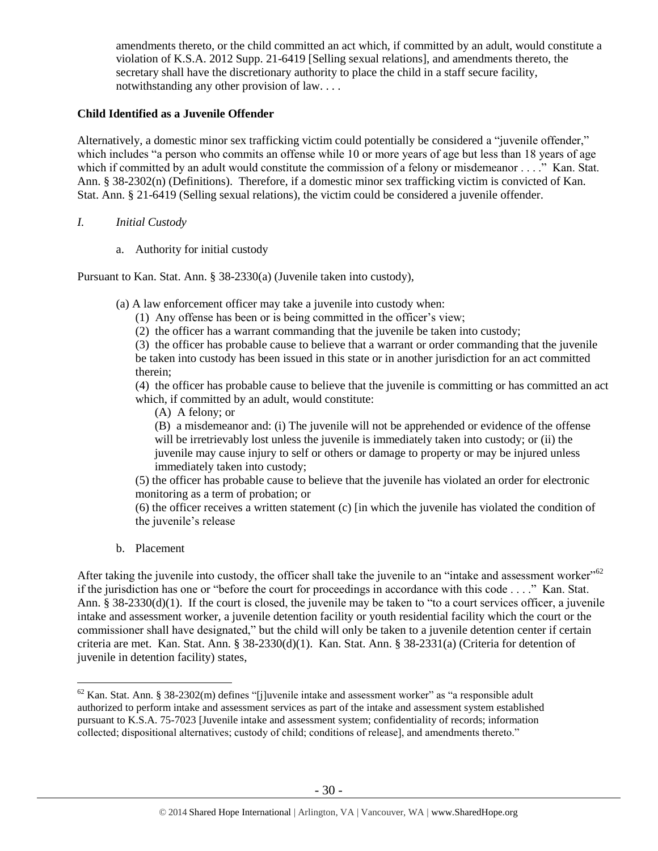amendments thereto, or the child committed an act which, if committed by an adult, would constitute a violation of K.S.A. 2012 Supp. 21-6419 [Selling sexual relations], and amendments thereto, the secretary shall have the discretionary authority to place the child in a staff secure facility, notwithstanding any other provision of law. . . .

# **Child Identified as a Juvenile Offender**

Alternatively, a domestic minor sex trafficking victim could potentially be considered a "juvenile offender," which includes "a person who commits an offense while 10 or more years of age but less than 18 years of age which if committed by an adult would constitute the commission of a felony or misdemeanor . . .." Kan. Stat. Ann. § 38-2302(n) (Definitions). Therefore, if a domestic minor sex trafficking victim is convicted of Kan. Stat. Ann. § 21-6419 (Selling sexual relations), the victim could be considered a juvenile offender.

## *I. Initial Custody*

a. Authority for initial custody

Pursuant to Kan. Stat. Ann. § 38-2330(a) (Juvenile taken into custody),

(a) A law enforcement officer may take a juvenile into custody when:

(1) Any offense has been or is being committed in the officer's view;

(2) the officer has a warrant commanding that the juvenile be taken into custody;

(3) the officer has probable cause to believe that a warrant or order commanding that the juvenile be taken into custody has been issued in this state or in another jurisdiction for an act committed therein;

(4) the officer has probable cause to believe that the juvenile is committing or has committed an act which, if committed by an adult, would constitute:

(A) A felony; or

(B) a misdemeanor and: (i) The juvenile will not be apprehended or evidence of the offense will be irretrievably lost unless the juvenile is immediately taken into custody; or (ii) the juvenile may cause injury to self or others or damage to property or may be injured unless immediately taken into custody;

(5) the officer has probable cause to believe that the juvenile has violated an order for electronic monitoring as a term of probation; or

(6) the officer receives a written statement (c) [in which the juvenile has violated the condition of the juvenile's release

b. Placement

 $\overline{a}$ 

After taking the juvenile into custody, the officer shall take the juvenile to an "intake and assessment worker"<sup>62</sup> if the jurisdiction has one or "before the court for proceedings in accordance with this code . . . ." Kan. Stat. Ann. § 38-2330(d)(1). If the court is closed, the juvenile may be taken to "to a court services officer, a juvenile intake and assessment worker, a juvenile detention facility or youth residential facility which the court or the commissioner shall have designated," but the child will only be taken to a juvenile detention center if certain criteria are met. Kan. Stat. Ann. § 38-2330(d)(1). Kan. Stat. Ann. § 38-2331(a) (Criteria for detention of juvenile in detention facility) states,

 $62$  Kan. Stat. Ann. § 38-2302(m) defines "[j]uvenile intake and assessment worker" as "a responsible adult authorized to perform intake and assessment services as part of the intake and assessment system established pursuant to K.S.A. 75-7023 [Juvenile intake and assessment system; confidentiality of records; information collected; dispositional alternatives; custody of child; conditions of release], and amendments thereto."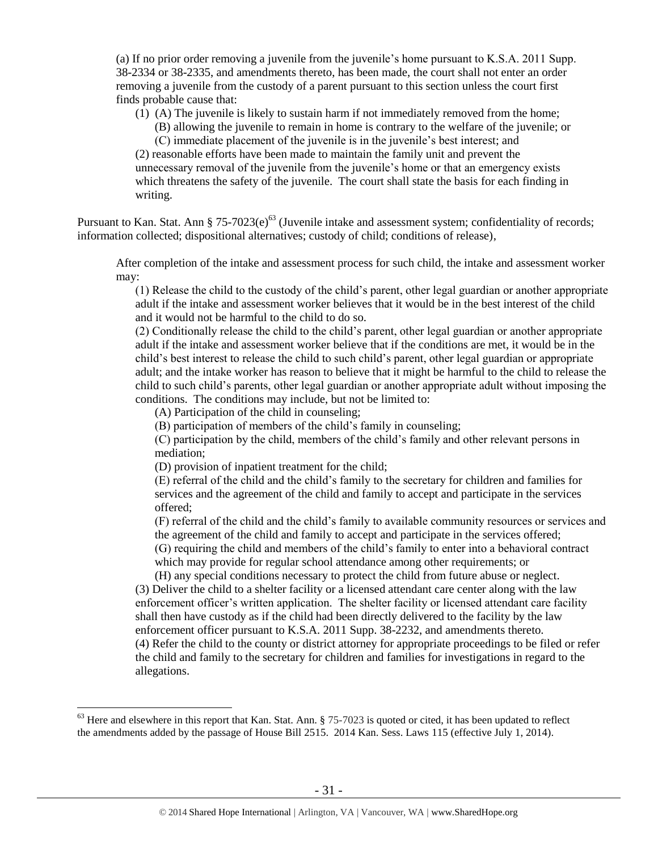(a) If no prior order removing a juvenile from the juvenile's home pursuant to K.S.A. 2011 Supp. 38-2334 or 38-2335, and amendments thereto, has been made, the court shall not enter an order removing a juvenile from the custody of a parent pursuant to this section unless the court first finds probable cause that:

(1) (A) The juvenile is likely to sustain harm if not immediately removed from the home;

(B) allowing the juvenile to remain in home is contrary to the welfare of the juvenile; or (C) immediate placement of the juvenile is in the juvenile's best interest; and

(2) reasonable efforts have been made to maintain the family unit and prevent the unnecessary removal of the juvenile from the juvenile's home or that an emergency exists which threatens the safety of the juvenile. The court shall state the basis for each finding in writing.

Pursuant to Kan. Stat. Ann § 75-7023(e)<sup>63</sup> (Juvenile intake and assessment system; confidentiality of records; information collected; dispositional alternatives; custody of child; conditions of release),

After completion of the intake and assessment process for such child, the intake and assessment worker may:

(1) Release the child to the custody of the child's parent, other legal guardian or another appropriate adult if the intake and assessment worker believes that it would be in the best interest of the child and it would not be harmful to the child to do so.

(2) Conditionally release the child to the child's parent, other legal guardian or another appropriate adult if the intake and assessment worker believe that if the conditions are met, it would be in the child's best interest to release the child to such child's parent, other legal guardian or appropriate adult; and the intake worker has reason to believe that it might be harmful to the child to release the child to such child's parents, other legal guardian or another appropriate adult without imposing the conditions. The conditions may include, but not be limited to:

(A) Participation of the child in counseling;

 $\overline{a}$ 

(B) participation of members of the child's family in counseling;

(C) participation by the child, members of the child's family and other relevant persons in mediation;

(D) provision of inpatient treatment for the child;

(E) referral of the child and the child's family to the secretary for children and families for services and the agreement of the child and family to accept and participate in the services offered;

(F) referral of the child and the child's family to available community resources or services and the agreement of the child and family to accept and participate in the services offered; (G) requiring the child and members of the child's family to enter into a behavioral contract which may provide for regular school attendance among other requirements; or

(H) any special conditions necessary to protect the child from future abuse or neglect.

(3) Deliver the child to a shelter facility or a licensed attendant care center along with the law enforcement officer's written application. The shelter facility or licensed attendant care facility shall then have custody as if the child had been directly delivered to the facility by the law enforcement officer pursuant to K.S.A. 2011 Supp. 38-2232, and amendments thereto. (4) Refer the child to the county or district attorney for appropriate proceedings to be filed or refer the child and family to the secretary for children and families for investigations in regard to the allegations.

 $63$  Here and elsewhere in this report that Kan. Stat. Ann.  $\S$  75-7023 is quoted or cited, it has been updated to reflect the amendments added by the passage of House Bill 2515. 2014 Kan. Sess. Laws 115 (effective July 1, 2014).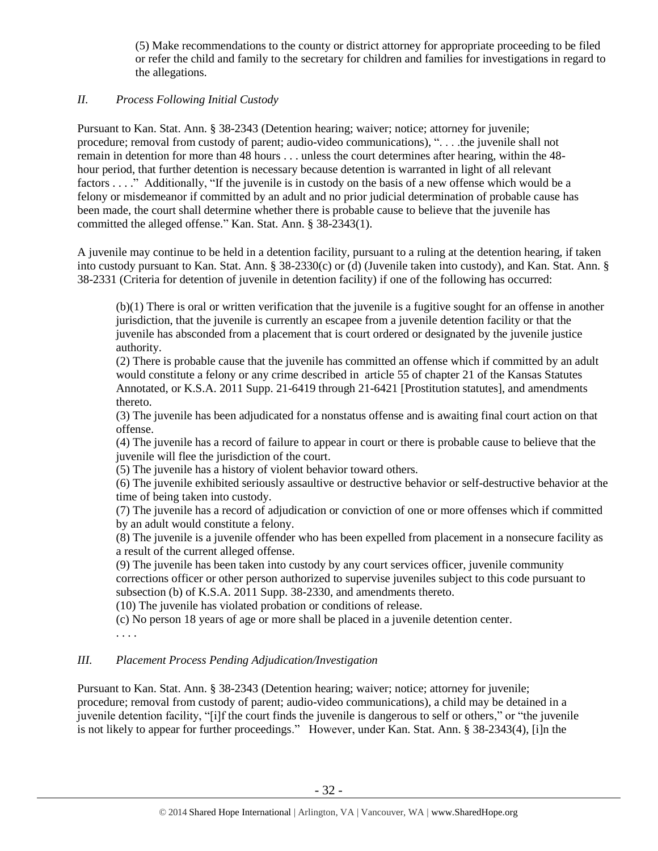(5) Make recommendations to the county or district attorney for appropriate proceeding to be filed or refer the child and family to the secretary for children and families for investigations in regard to the allegations.

# *II. Process Following Initial Custody*

Pursuant to Kan. Stat. Ann. § 38-2343 (Detention hearing; waiver; notice; attorney for juvenile; procedure; removal from custody of parent; audio-video communications), ". . . .the juvenile shall not remain in detention for more than 48 hours . . . unless the court determines after hearing, within the 48 hour period, that further detention is necessary because detention is warranted in light of all relevant factors . . . ." Additionally, "If the juvenile is in custody on the basis of a new offense which would be a felony or misdemeanor if committed by an adult and no prior judicial determination of probable cause has been made, the court shall determine whether there is probable cause to believe that the juvenile has committed the alleged offense." Kan. Stat. Ann. § 38-2343(1).

A juvenile may continue to be held in a detention facility, pursuant to a ruling at the detention hearing, if taken into custody pursuant to Kan. Stat. Ann. § 38-2330(c) or (d) (Juvenile taken into custody), and Kan. Stat. Ann. § 38-2331 (Criteria for detention of juvenile in detention facility) if one of the following has occurred:

(b)(1) There is oral or written verification that the juvenile is a fugitive sought for an offense in another jurisdiction, that the juvenile is currently an escapee from a juvenile detention facility or that the juvenile has absconded from a placement that is court ordered or designated by the juvenile justice authority.

(2) There is probable cause that the juvenile has committed an offense which if committed by an adult would constitute a felony or any crime described in article 55 of chapter 21 of the Kansas Statutes Annotated, or K.S.A. 2011 Supp. 21-6419 through 21-6421 [Prostitution statutes], and amendments thereto.

(3) The juvenile has been adjudicated for a nonstatus offense and is awaiting final court action on that offense.

(4) The juvenile has a record of failure to appear in court or there is probable cause to believe that the juvenile will flee the jurisdiction of the court.

(5) The juvenile has a history of violent behavior toward others.

(6) The juvenile exhibited seriously assaultive or destructive behavior or self-destructive behavior at the time of being taken into custody.

(7) The juvenile has a record of adjudication or conviction of one or more offenses which if committed by an adult would constitute a felony.

(8) The juvenile is a juvenile offender who has been expelled from placement in a nonsecure facility as a result of the current alleged offense.

(9) The juvenile has been taken into custody by any court services officer, juvenile community corrections officer or other person authorized to supervise juveniles subject to this code pursuant to subsection (b) of K.S.A. 2011 Supp. 38-2330, and amendments thereto.

(10) The juvenile has violated probation or conditions of release.

(c) No person 18 years of age or more shall be placed in a juvenile detention center.

. . . .

# *III. Placement Process Pending Adjudication/Investigation*

Pursuant to Kan. Stat. Ann. § 38-2343 (Detention hearing; waiver; notice; attorney for juvenile; procedure; removal from custody of parent; audio-video communications), a child may be detained in a juvenile detention facility, "[i]f the court finds the juvenile is dangerous to self or others," or "the juvenile is not likely to appear for further proceedings." However, under Kan. Stat. Ann. § 38-2343(4), [i]n the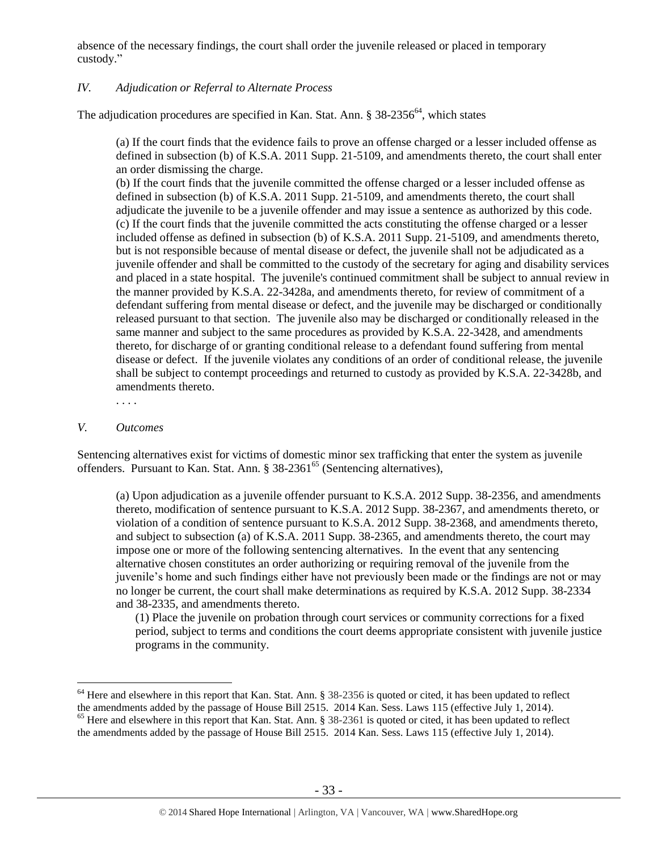absence of the necessary findings, the court shall order the juvenile released or placed in temporary custody."

# *IV. Adjudication or Referral to Alternate Process*

The adjudication procedures are specified in Kan. Stat. Ann.  $\S 38-2356^{64}$ , which states

(a) If the court finds that the evidence fails to prove an offense charged or a lesser included offense as defined in subsection (b) of K.S.A. 2011 Supp. 21-5109, and amendments thereto, the court shall enter an order dismissing the charge.

(b) If the court finds that the juvenile committed the offense charged or a lesser included offense as defined in subsection (b) of K.S.A. 2011 Supp. 21-5109, and amendments thereto, the court shall adjudicate the juvenile to be a juvenile offender and may issue a sentence as authorized by this code. (c) If the court finds that the juvenile committed the acts constituting the offense charged or a lesser included offense as defined in subsection (b) of K.S.A. 2011 Supp. 21-5109, and amendments thereto, but is not responsible because of mental disease or defect, the juvenile shall not be adjudicated as a juvenile offender and shall be committed to the custody of the secretary for aging and disability services and placed in a state hospital. The juvenile's continued commitment shall be subject to annual review in the manner provided by K.S.A. 22-3428a, and amendments thereto, for review of commitment of a defendant suffering from mental disease or defect, and the juvenile may be discharged or conditionally released pursuant to that section. The juvenile also may be discharged or conditionally released in the same manner and subject to the same procedures as provided by K.S.A. 22-3428, and amendments thereto, for discharge of or granting conditional release to a defendant found suffering from mental disease or defect. If the juvenile violates any conditions of an order of conditional release, the juvenile shall be subject to contempt proceedings and returned to custody as provided by K.S.A. 22-3428b, and amendments thereto.

. . . .

#### *V. Outcomes*

 $\overline{a}$ 

Sentencing alternatives exist for victims of domestic minor sex trafficking that enter the system as juvenile offenders. Pursuant to Kan. Stat. Ann. § 38-2361<sup>65</sup> (Sentencing alternatives),

(a) Upon adjudication as a juvenile offender pursuant to K.S.A. 2012 Supp. 38-2356, and amendments thereto, modification of sentence pursuant to K.S.A. 2012 Supp. 38-2367, and amendments thereto, or violation of a condition of sentence pursuant to K.S.A. 2012 Supp. 38-2368, and amendments thereto, and subject to subsection (a) of K.S.A. 2011 Supp. 38-2365, and amendments thereto, the court may impose one or more of the following sentencing alternatives. In the event that any sentencing alternative chosen constitutes an order authorizing or requiring removal of the juvenile from the juvenile's home and such findings either have not previously been made or the findings are not or may no longer be current, the court shall make determinations as required by K.S.A. 2012 Supp. 38-2334 and 38-2335, and amendments thereto.

(1) Place the juvenile on probation through court services or community corrections for a fixed period, subject to terms and conditions the court deems appropriate consistent with juvenile justice programs in the community.

<sup>&</sup>lt;sup>64</sup> Here and elsewhere in this report that Kan. Stat. Ann. § 38-2356 is quoted or cited, it has been updated to reflect the amendments added by the passage of House Bill 2515. 2014 Kan. Sess. Laws 115 (effective July 1, 2014).  $65$  Here and elsewhere in this report that Kan. Stat. Ann. § 38-2361 is quoted or cited, it has been updated to reflect the amendments added by the passage of House Bill 2515. 2014 Kan. Sess. Laws 115 (effective July 1, 2014).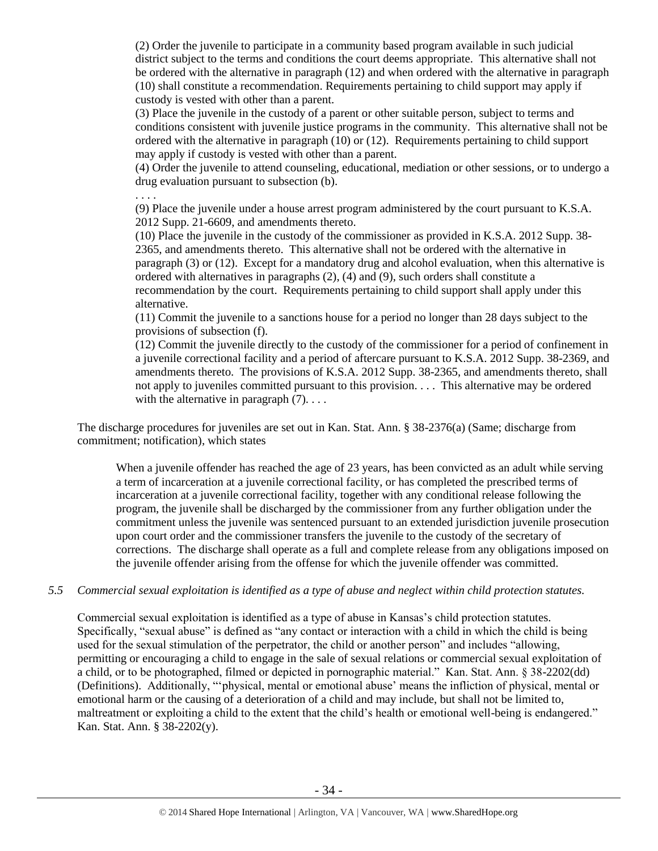(2) Order the juvenile to participate in a community based program available in such judicial district subject to the terms and conditions the court deems appropriate. This alternative shall not be ordered with the alternative in paragraph (12) and when ordered with the alternative in paragraph (10) shall constitute a recommendation. Requirements pertaining to child support may apply if custody is vested with other than a parent.

(3) Place the juvenile in the custody of a parent or other suitable person, subject to terms and conditions consistent with juvenile justice programs in the community. This alternative shall not be ordered with the alternative in paragraph (10) or (12). Requirements pertaining to child support may apply if custody is vested with other than a parent.

(4) Order the juvenile to attend counseling, educational, mediation or other sessions, or to undergo a drug evaluation pursuant to subsection (b).

. . . .

(9) Place the juvenile under a house arrest program administered by the court pursuant to K.S.A. 2012 Supp. 21-6609, and amendments thereto.

(10) Place the juvenile in the custody of the commissioner as provided in K.S.A. 2012 Supp. 38- 2365, and amendments thereto. This alternative shall not be ordered with the alternative in paragraph (3) or (12). Except for a mandatory drug and alcohol evaluation, when this alternative is ordered with alternatives in paragraphs (2), (4) and (9), such orders shall constitute a recommendation by the court. Requirements pertaining to child support shall apply under this alternative.

(11) Commit the juvenile to a sanctions house for a period no longer than 28 days subject to the provisions of subsection (f).

(12) Commit the juvenile directly to the custody of the commissioner for a period of confinement in a juvenile correctional facility and a period of aftercare pursuant to K.S.A. 2012 Supp. 38-2369, and amendments thereto. The provisions of K.S.A. 2012 Supp. 38-2365, and amendments thereto, shall not apply to juveniles committed pursuant to this provision. . . . This alternative may be ordered with the alternative in paragraph  $(7)$ ...

The discharge procedures for juveniles are set out in Kan. Stat. Ann. § 38-2376(a) (Same; discharge from commitment; notification), which states

When a juvenile offender has reached the age of 23 years, has been convicted as an adult while serving a term of incarceration at a juvenile correctional facility, or has completed the prescribed terms of incarceration at a juvenile correctional facility, together with any conditional release following the program, the juvenile shall be discharged by the commissioner from any further obligation under the commitment unless the juvenile was sentenced pursuant to an extended jurisdiction juvenile prosecution upon court order and the commissioner transfers the juvenile to the custody of the secretary of corrections. The discharge shall operate as a full and complete release from any obligations imposed on the juvenile offender arising from the offense for which the juvenile offender was committed.

## *5.5 Commercial sexual exploitation is identified as a type of abuse and neglect within child protection statutes.*

Commercial sexual exploitation is identified as a type of abuse in Kansas's child protection statutes. Specifically, "sexual abuse" is defined as "any contact or interaction with a child in which the child is being used for the sexual stimulation of the perpetrator, the child or another person" and includes "allowing, permitting or encouraging a child to engage in the sale of sexual relations or commercial sexual exploitation of a child, or to be photographed, filmed or depicted in pornographic material." Kan. Stat. Ann. § 38-2202(dd) (Definitions). Additionally, "'physical, mental or emotional abuse' means the infliction of physical, mental or emotional harm or the causing of a deterioration of a child and may include, but shall not be limited to, maltreatment or exploiting a child to the extent that the child's health or emotional well-being is endangered." Kan. Stat. Ann. § 38-2202(y).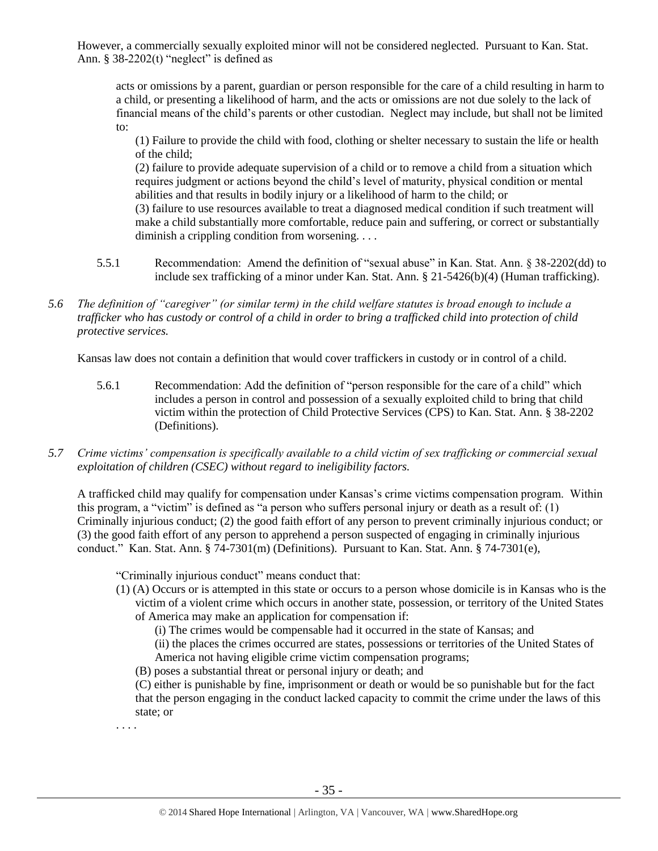However, a commercially sexually exploited minor will not be considered neglected. Pursuant to Kan. Stat. Ann.  $§$  38-2202(t) "neglect" is defined as

acts or omissions by a parent, guardian or person responsible for the care of a child resulting in harm to a child, or presenting a likelihood of harm, and the acts or omissions are not due solely to the lack of financial means of the child's parents or other custodian. Neglect may include, but shall not be limited to:

(1) Failure to provide the child with food, clothing or shelter necessary to sustain the life or health of the child;

(2) failure to provide adequate supervision of a child or to remove a child from a situation which requires judgment or actions beyond the child's level of maturity, physical condition or mental abilities and that results in bodily injury or a likelihood of harm to the child; or

(3) failure to use resources available to treat a diagnosed medical condition if such treatment will make a child substantially more comfortable, reduce pain and suffering, or correct or substantially diminish a crippling condition from worsening. . . .

- 5.5.1 Recommendation: Amend the definition of "sexual abuse" in Kan. Stat. Ann. § 38-2202(dd) to include sex trafficking of a minor under Kan. Stat. Ann. § 21-5426(b)(4) (Human trafficking).
- *5.6 The definition of "caregiver" (or similar term) in the child welfare statutes is broad enough to include a trafficker who has custody or control of a child in order to bring a trafficked child into protection of child protective services.*

Kansas law does not contain a definition that would cover traffickers in custody or in control of a child.

- 5.6.1 Recommendation: Add the definition of "person responsible for the care of a child" which includes a person in control and possession of a sexually exploited child to bring that child victim within the protection of Child Protective Services (CPS) to Kan. Stat. Ann. § 38-2202 (Definitions).
- *5.7 Crime victims' compensation is specifically available to a child victim of sex trafficking or commercial sexual exploitation of children (CSEC) without regard to ineligibility factors.*

A trafficked child may qualify for compensation under Kansas's crime victims compensation program. Within this program, a "victim" is defined as "a person who suffers personal injury or death as a result of: (1) Criminally injurious conduct; (2) the good faith effort of any person to prevent criminally injurious conduct; or (3) the good faith effort of any person to apprehend a person suspected of engaging in criminally injurious conduct." Kan. Stat. Ann. § 74-7301(m) (Definitions). Pursuant to Kan. Stat. Ann. § 74-7301(e),

"Criminally injurious conduct" means conduct that:

- (1) (A) Occurs or is attempted in this state or occurs to a person whose domicile is in Kansas who is the victim of a violent crime which occurs in another state, possession, or territory of the United States of America may make an application for compensation if:
	- (i) The crimes would be compensable had it occurred in the state of Kansas; and
	- (ii) the places the crimes occurred are states, possessions or territories of the United States of America not having eligible crime victim compensation programs;
	- (B) poses a substantial threat or personal injury or death; and
	- (C) either is punishable by fine, imprisonment or death or would be so punishable but for the fact that the person engaging in the conduct lacked capacity to commit the crime under the laws of this state; or

. . . .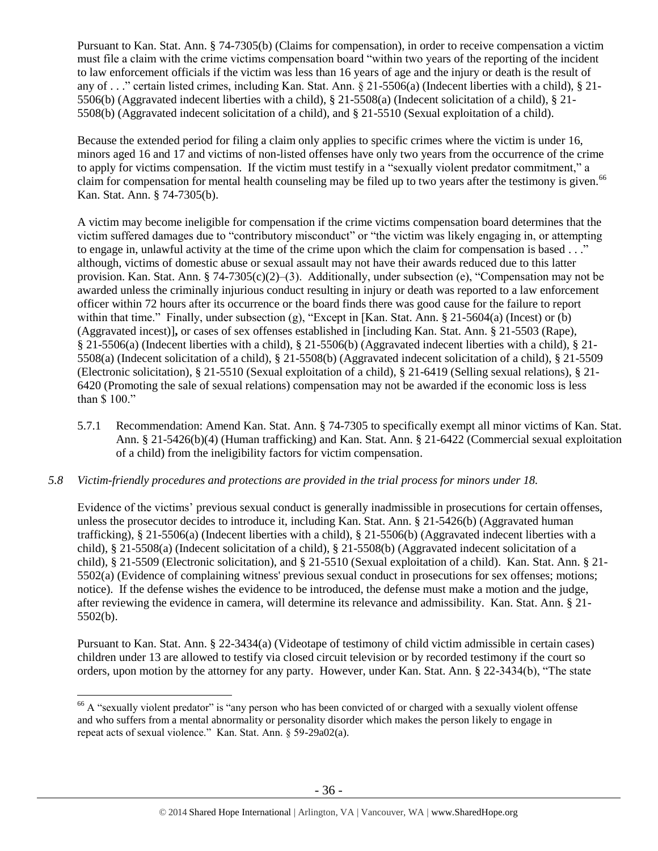Pursuant to Kan. Stat. Ann. § 74-7305(b) (Claims for compensation), in order to receive compensation a victim must file a claim with the crime victims compensation board "within two years of the reporting of the incident to law enforcement officials if the victim was less than 16 years of age and the injury or death is the result of any of . . ." certain listed crimes, including Kan. Stat. Ann. § 21-5506(a) (Indecent liberties with a child), § 21- 5506(b) (Aggravated indecent liberties with a child), § 21-5508(a) (Indecent solicitation of a child), § 21- 5508(b) (Aggravated indecent solicitation of a child), and § 21-5510 (Sexual exploitation of a child).

Because the extended period for filing a claim only applies to specific crimes where the victim is under 16, minors aged 16 and 17 and victims of non-listed offenses have only two years from the occurrence of the crime to apply for victims compensation. If the victim must testify in a "sexually violent predator commitment," a claim for compensation for mental health counseling may be filed up to two years after the testimony is given.<sup>66</sup> Kan. Stat. Ann. § 74-7305(b).

A victim may become ineligible for compensation if the crime victims compensation board determines that the victim suffered damages due to "contributory misconduct" or "the victim was likely engaging in, or attempting to engage in, unlawful activity at the time of the crime upon which the claim for compensation is based . . ." although, victims of domestic abuse or sexual assault may not have their awards reduced due to this latter provision. Kan. Stat. Ann. § 74-7305(c)(2)–(3). Additionally, under subsection (e), "Compensation may not be awarded unless the criminally injurious conduct resulting in injury or death was reported to a law enforcement officer within 72 hours after its occurrence or the board finds there was good cause for the failure to report within that time." Finally, under subsection (g), "Except in [Kan. Stat. Ann. § 21-5604(a) (Incest) or (b) (Aggravated incest)]**,** or cases of sex offenses established in [including Kan. Stat. Ann. § 21-5503 (Rape), § 21-5506(a) (Indecent liberties with a child), § 21-5506(b) (Aggravated indecent liberties with a child), § 21- 5508(a) (Indecent solicitation of a child), § 21-5508(b) (Aggravated indecent solicitation of a child), § 21-5509 (Electronic solicitation), § 21-5510 (Sexual exploitation of a child), § 21-6419 (Selling sexual relations), § 21- 6420 (Promoting the sale of sexual relations) compensation may not be awarded if the economic loss is less than \$ 100."

5.7.1 Recommendation: Amend Kan. Stat. Ann. § 74-7305 to specifically exempt all minor victims of Kan. Stat. Ann. § 21-5426(b)(4) (Human trafficking) and Kan. Stat. Ann. § 21-6422 (Commercial sexual exploitation of a child) from the ineligibility factors for victim compensation.

## *5.8 Victim-friendly procedures and protections are provided in the trial process for minors under 18.*

Evidence of the victims' previous sexual conduct is generally inadmissible in prosecutions for certain offenses, unless the prosecutor decides to introduce it, including Kan. Stat. Ann. § 21-5426(b) (Aggravated human trafficking), § 21-5506(a) (Indecent liberties with a child), § 21-5506(b) (Aggravated indecent liberties with a child), § 21-5508(a) (Indecent solicitation of a child), § 21-5508(b) (Aggravated indecent solicitation of a child), § 21-5509 (Electronic solicitation), and § 21-5510 (Sexual exploitation of a child). Kan. Stat. Ann. § 21- 5502(a) (Evidence of complaining witness' previous sexual conduct in prosecutions for sex offenses; motions; notice). If the defense wishes the evidence to be introduced, the defense must make a motion and the judge, after reviewing the evidence in camera, will determine its relevance and admissibility. Kan. Stat. Ann. § 21- 5502(b).

Pursuant to Kan. Stat. Ann. § 22-3434(a) (Videotape of testimony of child victim admissible in certain cases) children under 13 are allowed to testify via closed circuit television or by recorded testimony if the court so orders, upon motion by the attorney for any party. However, under Kan. Stat. Ann. § 22-3434(b), "The state

 $\overline{a}$ <sup>66</sup> A "sexually violent predator" is "any person who has been convicted of or charged with a sexually violent offense and who suffers from a mental abnormality or personality disorder which makes the person likely to engage in repeat acts of sexual violence." Kan. Stat. Ann. § 59-29a02(a).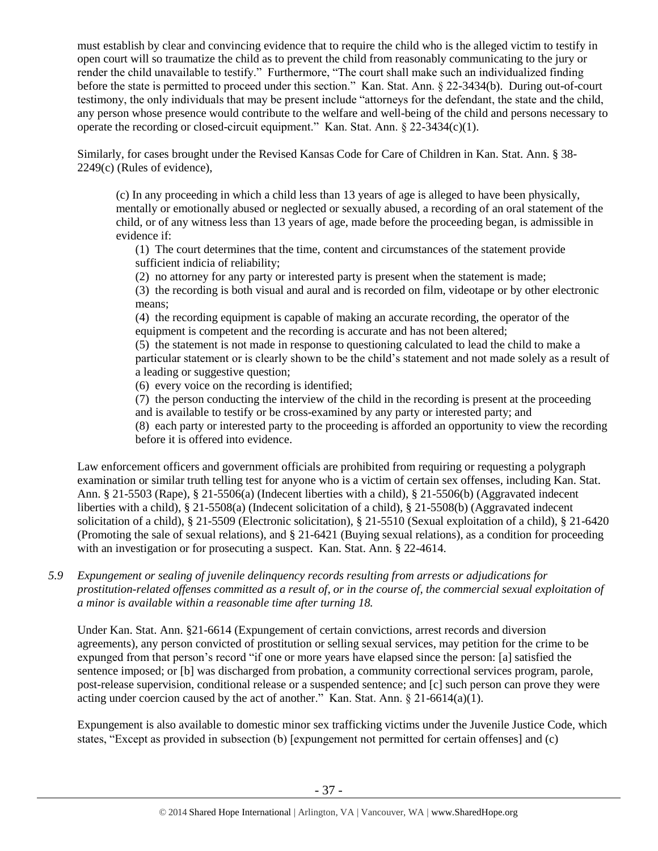must establish by clear and convincing evidence that to require the child who is the alleged victim to testify in open court will so traumatize the child as to prevent the child from reasonably communicating to the jury or render the child unavailable to testify." Furthermore, "The court shall make such an individualized finding before the state is permitted to proceed under this section." Kan. Stat. Ann. § 22-3434(b). During out-of-court testimony, the only individuals that may be present include "attorneys for the defendant, the state and the child, any person whose presence would contribute to the welfare and well-being of the child and persons necessary to operate the recording or closed-circuit equipment." Kan. Stat. Ann.  $\S$  22-3434(c)(1).

Similarly, for cases brought under the Revised Kansas Code for Care of Children in Kan. Stat. Ann. § 38- 2249(c) (Rules of evidence),

(c) In any proceeding in which a child less than 13 years of age is alleged to have been physically, mentally or emotionally abused or neglected or sexually abused, a recording of an oral statement of the child, or of any witness less than 13 years of age, made before the proceeding began, is admissible in evidence if:

(1) The court determines that the time, content and circumstances of the statement provide sufficient indicia of reliability;

(2) no attorney for any party or interested party is present when the statement is made;

(3) the recording is both visual and aural and is recorded on film, videotape or by other electronic means;

(4) the recording equipment is capable of making an accurate recording, the operator of the equipment is competent and the recording is accurate and has not been altered;

(5) the statement is not made in response to questioning calculated to lead the child to make a particular statement or is clearly shown to be the child's statement and not made solely as a result of a leading or suggestive question;

(6) every voice on the recording is identified;

(7) the person conducting the interview of the child in the recording is present at the proceeding and is available to testify or be cross-examined by any party or interested party; and

(8) each party or interested party to the proceeding is afforded an opportunity to view the recording before it is offered into evidence.

Law enforcement officers and government officials are prohibited from requiring or requesting a polygraph examination or similar truth telling test for anyone who is a victim of certain sex offenses, including Kan. Stat. Ann. § 21-5503 (Rape), § 21-5506(a) (Indecent liberties with a child), § 21-5506(b) (Aggravated indecent liberties with a child), § 21-5508(a) (Indecent solicitation of a child), § 21-5508(b) (Aggravated indecent solicitation of a child), § 21-5509 (Electronic solicitation), § 21-5510 (Sexual exploitation of a child), § 21-6420 (Promoting the sale of sexual relations), and § 21-6421 (Buying sexual relations), as a condition for proceeding with an investigation or for prosecuting a suspect. Kan. Stat. Ann. § 22-4614.

*5.9 Expungement or sealing of juvenile delinquency records resulting from arrests or adjudications for prostitution-related offenses committed as a result of, or in the course of, the commercial sexual exploitation of a minor is available within a reasonable time after turning 18.*

Under Kan. Stat. Ann. §21-6614 (Expungement of certain convictions, arrest records and diversion agreements), any person convicted of prostitution or selling sexual services, may petition for the crime to be expunged from that person's record "if one or more years have elapsed since the person: [a] satisfied the sentence imposed; or [b] was discharged from probation, a community correctional services program, parole, post-release supervision, conditional release or a suspended sentence; and [c] such person can prove they were acting under coercion caused by the act of another." Kan. Stat. Ann.  $\S 21-6614(a)(1)$ .

Expungement is also available to domestic minor sex trafficking victims under the Juvenile Justice Code, which states, "Except as provided in subsection (b) [expungement not permitted for certain offenses] and (c)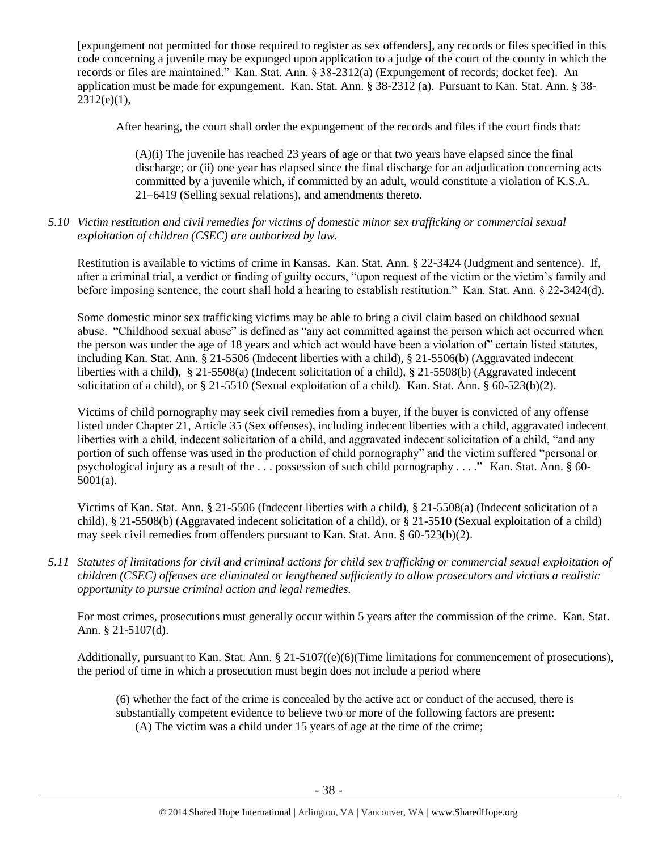[expungement not permitted for those required to register as sex offenders], any records or files specified in this code concerning a juvenile may be expunged upon application to a judge of the court of the county in which the records or files are maintained." Kan. Stat. Ann. § 38-2312(a) (Expungement of records; docket fee). An application must be made for expungement. Kan. Stat. Ann. § 38-2312 (a). Pursuant to Kan. Stat. Ann. § 38-  $2312(e)(1)$ ,

After hearing, the court shall order the expungement of the records and files if the court finds that:

(A)(i) The juvenile has reached 23 years of age or that two years have elapsed since the final discharge; or (ii) one year has elapsed since the final discharge for an adjudication concerning acts committed by a juvenile which, if committed by an adult, would constitute a violation of K.S.A. 21–6419 (Selling sexual relations), and amendments thereto.

# *5.10 Victim restitution and civil remedies for victims of domestic minor sex trafficking or commercial sexual exploitation of children (CSEC) are authorized by law.*

Restitution is available to victims of crime in Kansas. Kan. Stat. Ann. § 22-3424 (Judgment and sentence). If, after a criminal trial, a verdict or finding of guilty occurs, "upon request of the victim or the victim's family and before imposing sentence, the court shall hold a hearing to establish restitution." Kan. Stat. Ann. § 22-3424(d).

Some domestic minor sex trafficking victims may be able to bring a civil claim based on childhood sexual abuse. "Childhood sexual abuse" is defined as "any act committed against the person which act occurred when the person was under the age of 18 years and which act would have been a violation of" certain listed statutes, including Kan. Stat. Ann. § 21-5506 (Indecent liberties with a child), § 21-5506(b) (Aggravated indecent liberties with a child), § 21-5508(a) (Indecent solicitation of a child), § 21-5508(b) (Aggravated indecent solicitation of a child), or § 21-5510 (Sexual exploitation of a child). Kan. Stat. Ann. § 60-523(b)(2).

Victims of child pornography may seek civil remedies from a buyer, if the buyer is convicted of any offense listed under Chapter 21, Article 35 (Sex offenses), including indecent liberties with a child, aggravated indecent liberties with a child, indecent solicitation of a child, and aggravated indecent solicitation of a child, "and any portion of such offense was used in the production of child pornography" and the victim suffered "personal or psychological injury as a result of the . . . possession of such child pornography . . . ." Kan. Stat. Ann. § 60- 5001(a).

Victims of Kan. Stat. Ann. § 21-5506 (Indecent liberties with a child), § 21-5508(a) (Indecent solicitation of a child), § 21-5508(b) (Aggravated indecent solicitation of a child), or § 21-5510 (Sexual exploitation of a child) may seek civil remedies from offenders pursuant to Kan. Stat. Ann. § 60-523(b)(2).

*5.11 Statutes of limitations for civil and criminal actions for child sex trafficking or commercial sexual exploitation of children (CSEC) offenses are eliminated or lengthened sufficiently to allow prosecutors and victims a realistic opportunity to pursue criminal action and legal remedies.*

For most crimes, prosecutions must generally occur within 5 years after the commission of the crime. Kan. Stat. Ann. § 21-5107(d).

Additionally, pursuant to Kan. Stat. Ann. § 21-5107((e)(6)(Time limitations for commencement of prosecutions), the period of time in which a prosecution must begin does not include a period where

(6) whether the fact of the crime is concealed by the active act or conduct of the accused, there is substantially competent evidence to believe two or more of the following factors are present: (A) The victim was a child under 15 years of age at the time of the crime;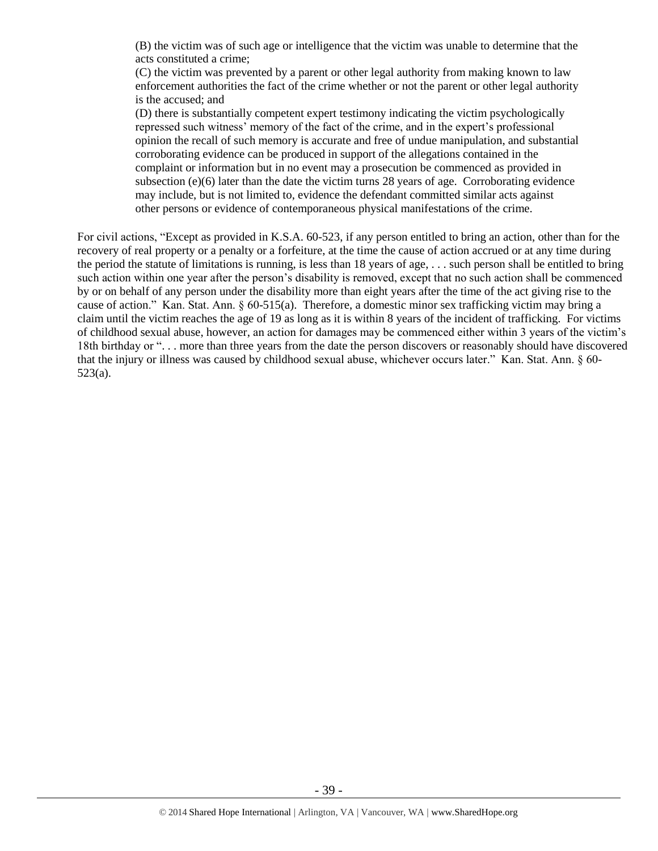(B) the victim was of such age or intelligence that the victim was unable to determine that the acts constituted a crime;

(C) the victim was prevented by a parent or other legal authority from making known to law enforcement authorities the fact of the crime whether or not the parent or other legal authority is the accused; and

(D) there is substantially competent expert testimony indicating the victim psychologically repressed such witness' memory of the fact of the crime, and in the expert's professional opinion the recall of such memory is accurate and free of undue manipulation, and substantial corroborating evidence can be produced in support of the allegations contained in the complaint or information but in no event may a prosecution be commenced as provided in subsection  $(e)(6)$  later than the date the victim turns 28 years of age. Corroborating evidence may include, but is not limited to, evidence the defendant committed similar acts against other persons or evidence of contemporaneous physical manifestations of the crime.

For civil actions, "Except as provided in K.S.A. 60-523, if any person entitled to bring an action, other than for the recovery of real property or a penalty or a forfeiture, at the time the cause of action accrued or at any time during the period the statute of limitations is running, is less than 18 years of age, . . . such person shall be entitled to bring such action within one year after the person's disability is removed, except that no such action shall be commenced by or on behalf of any person under the disability more than eight years after the time of the act giving rise to the cause of action." Kan. Stat. Ann. § 60-515(a). Therefore, a domestic minor sex trafficking victim may bring a claim until the victim reaches the age of 19 as long as it is within 8 years of the incident of trafficking. For victims of childhood sexual abuse, however, an action for damages may be commenced either within 3 years of the victim's 18th birthday or ". . . more than three years from the date the person discovers or reasonably should have discovered that the injury or illness was caused by childhood sexual abuse, whichever occurs later." Kan. Stat. Ann. § 60- 523(a).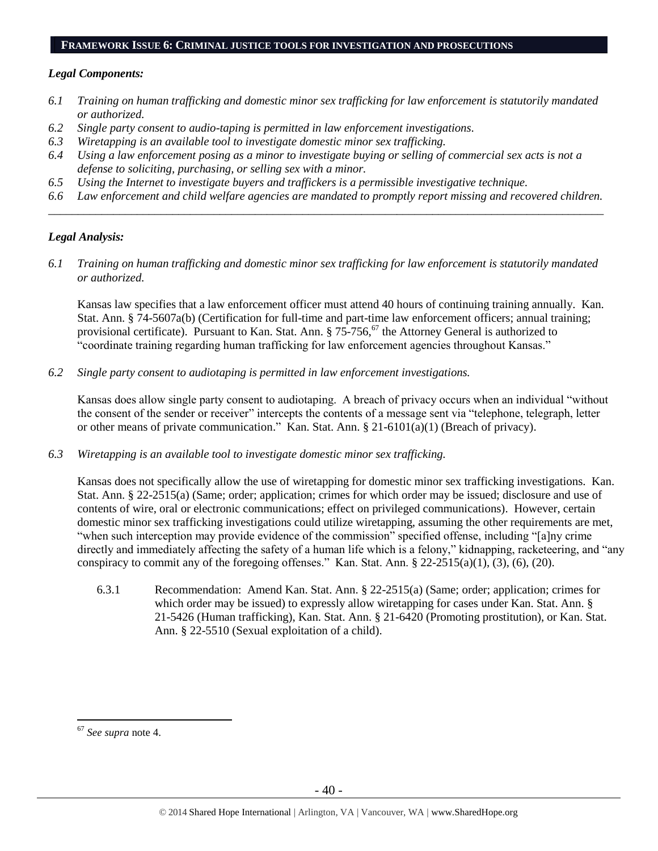#### **FRAMEWORK ISSUE 6: CRIMINAL JUSTICE TOOLS FOR INVESTIGATION AND PROSECUTIONS**

# *Legal Components:*

- *6.1 Training on human trafficking and domestic minor sex trafficking for law enforcement is statutorily mandated or authorized.*
- *6.2 Single party consent to audio-taping is permitted in law enforcement investigations.*
- *6.3 Wiretapping is an available tool to investigate domestic minor sex trafficking.*
- *6.4 Using a law enforcement posing as a minor to investigate buying or selling of commercial sex acts is not a defense to soliciting, purchasing, or selling sex with a minor.*
- *6.5 Using the Internet to investigate buyers and traffickers is a permissible investigative technique.*
- *6.6 Law enforcement and child welfare agencies are mandated to promptly report missing and recovered children. \_\_\_\_\_\_\_\_\_\_\_\_\_\_\_\_\_\_\_\_\_\_\_\_\_\_\_\_\_\_\_\_\_\_\_\_\_\_\_\_\_\_\_\_\_\_\_\_\_\_\_\_\_\_\_\_\_\_\_\_\_\_\_\_\_\_\_\_\_\_\_\_\_\_\_\_\_\_\_\_\_\_\_\_\_\_\_\_\_\_\_\_\_\_*

# *Legal Analysis:*

*6.1 Training on human trafficking and domestic minor sex trafficking for law enforcement is statutorily mandated or authorized.*

Kansas law specifies that a law enforcement officer must attend 40 hours of continuing training annually. Kan. Stat. Ann. § 74-5607a(b) (Certification for full-time and part-time law enforcement officers; annual training; provisional certificate). Pursuant to Kan. Stat. Ann. § 75-756,<sup>67</sup> the Attorney General is authorized to "coordinate training regarding human trafficking for law enforcement agencies throughout Kansas."

*6.2 Single party consent to audiotaping is permitted in law enforcement investigations.*

Kansas does allow single party consent to audiotaping. A breach of privacy occurs when an individual "without the consent of the sender or receiver" intercepts the contents of a message sent via "telephone, telegraph, letter or other means of private communication." Kan. Stat. Ann. § 21-6101(a)(1) (Breach of privacy).

*6.3 Wiretapping is an available tool to investigate domestic minor sex trafficking.* 

Kansas does not specifically allow the use of wiretapping for domestic minor sex trafficking investigations. Kan. Stat. Ann. § 22-2515(a) (Same; order; application; crimes for which order may be issued; disclosure and use of contents of wire, oral or electronic communications; effect on privileged communications). However, certain domestic minor sex trafficking investigations could utilize wiretapping, assuming the other requirements are met, "when such interception may provide evidence of the commission" specified offense, including "[a]ny crime directly and immediately affecting the safety of a human life which is a felony," kidnapping, racketeering, and "any conspiracy to commit any of the foregoing offenses." Kan. Stat. Ann. § 22-2515(a)(1), (3), (6), (20).

6.3.1 Recommendation: Amend Kan. Stat. Ann. § 22-2515(a) (Same; order; application; crimes for which order may be issued) to expressly allow wiretapping for cases under Kan. Stat. Ann. § 21-5426 (Human trafficking), Kan. Stat. Ann. § 21-6420 (Promoting prostitution), or Kan. Stat. Ann. § 22-5510 (Sexual exploitation of a child).

<sup>67</sup> *See supra* note [4.](#page-1-0)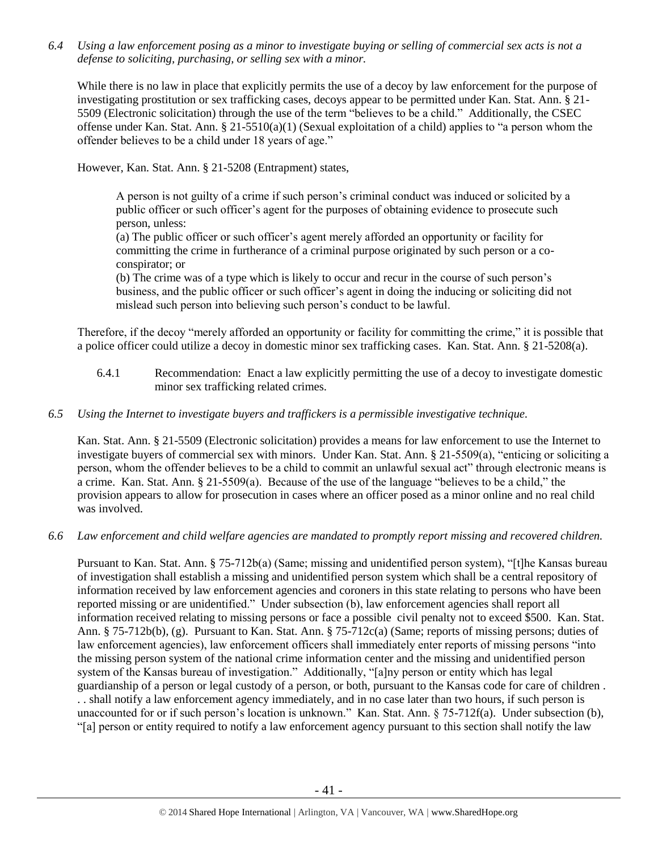*6.4 Using a law enforcement posing as a minor to investigate buying or selling of commercial sex acts is not a defense to soliciting, purchasing, or selling sex with a minor.*

While there is no law in place that explicitly permits the use of a decoy by law enforcement for the purpose of investigating prostitution or sex trafficking cases, decoys appear to be permitted under Kan. Stat. Ann. § 21- 5509 (Electronic solicitation) through the use of the term "believes to be a child." Additionally, the CSEC offense under Kan. Stat. Ann. § 21-5510(a)(1) (Sexual exploitation of a child) applies to "a person whom the offender believes to be a child under 18 years of age."

However, Kan. Stat. Ann. § 21-5208 (Entrapment) states,

A person is not guilty of a crime if such person's criminal conduct was induced or solicited by a public officer or such officer's agent for the purposes of obtaining evidence to prosecute such person, unless:

(a) The public officer or such officer's agent merely afforded an opportunity or facility for committing the crime in furtherance of a criminal purpose originated by such person or a coconspirator; or

(b) The crime was of a type which is likely to occur and recur in the course of such person's business, and the public officer or such officer's agent in doing the inducing or soliciting did not mislead such person into believing such person's conduct to be lawful.

Therefore, if the decoy "merely afforded an opportunity or facility for committing the crime," it is possible that a police officer could utilize a decoy in domestic minor sex trafficking cases. Kan. Stat. Ann. § 21-5208(a).

6.4.1 Recommendation: Enact a law explicitly permitting the use of a decoy to investigate domestic minor sex trafficking related crimes.

# *6.5 Using the Internet to investigate buyers and traffickers is a permissible investigative technique.*

Kan. Stat. Ann. § 21-5509 (Electronic solicitation) provides a means for law enforcement to use the Internet to investigate buyers of commercial sex with minors. Under Kan. Stat. Ann. § 21-5509(a), "enticing or soliciting a person, whom the offender believes to be a child to commit an unlawful sexual act" through electronic means is a crime. Kan. Stat. Ann. § 21-5509(a). Because of the use of the language "believes to be a child," the provision appears to allow for prosecution in cases where an officer posed as a minor online and no real child was involved.

*6.6 Law enforcement and child welfare agencies are mandated to promptly report missing and recovered children.*

Pursuant to Kan. Stat. Ann. § 75-712b(a) (Same; missing and unidentified person system), "[t]he Kansas bureau of investigation shall establish a missing and unidentified person system which shall be a central repository of information received by law enforcement agencies and coroners in this state relating to persons who have been reported missing or are unidentified." Under subsection (b), law enforcement agencies shall report all information received relating to missing persons or face a possible civil penalty not to exceed \$500. Kan. Stat. Ann. § 75-712b(b), (g). Pursuant to Kan. Stat. Ann. § 75-712c(a) (Same; reports of missing persons; duties of law enforcement agencies), law enforcement officers shall immediately enter reports of missing persons "into the missing person system of the national crime information center and the missing and unidentified person system of the Kansas bureau of investigation." Additionally, "[a]ny person or entity which has legal guardianship of a person or legal custody of a person, or both, pursuant to the Kansas code for care of children . . . shall notify a law enforcement agency immediately, and in no case later than two hours, if such person is unaccounted for or if such person's location is unknown." Kan. Stat. Ann. § 75-712f(a). Under subsection (b), "[a] person or entity required to notify a law enforcement agency pursuant to this section shall notify the law